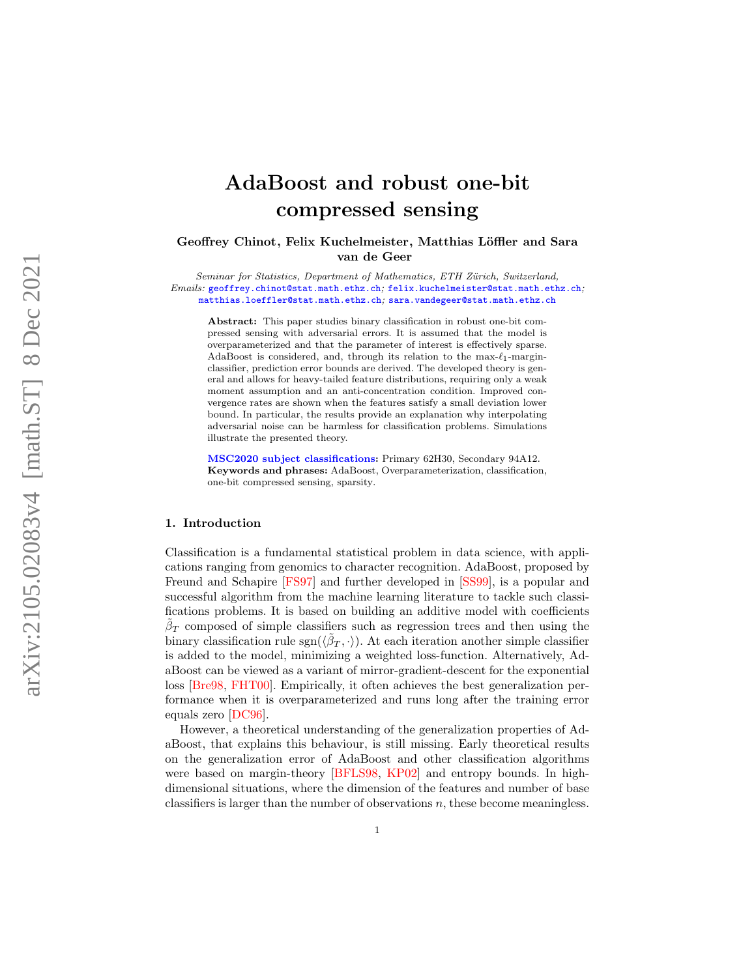# AdaBoost and robust one-bit compressed sensing

Geoffrey Chinot, Felix Kuchelmeister, Matthias Löffler and Sara van de Geer

Seminar for Statistics, Department of Mathematics, ETH Zürich, Switzerland, Emails: [geoffrey.chinot@stat.math.ethz.ch](mailto:geoffrey.chinot@stat.math.ethz.ch), [felix.kuchelmeister@stat.math.ethz.ch](mailto:felix.kuchelmeister@stat.math.ethz.ch), [matthias.loeffler@stat.math.ethz.ch](mailto:matthias.loeffler@stat.math.ethz.ch) ; [sara.vandegeer@stat.math.ethz.ch](mailto:sara.vandegeer@stat.math.ethz.ch)

Abstract: This paper studies binary classification in robust one-bit compressed sensing with adversarial errors. It is assumed that the model is overparameterized and that the parameter of interest is effectively sparse. AdaBoost is considered, and, through its relation to the  $\max-\ell_1$ -marginclassifier, prediction error bounds are derived. The developed theory is general and allows for heavy-tailed feature distributions, requiring only a weak moment assumption and an anti-concentration condition. Improved convergence rates are shown when the features satisfy a small deviation lower bound. In particular, the results provide an explanation why interpolating adversarial noise can be harmless for classification problems. Simulations illustrate the presented theory.

[MSC2020 subject classifications](https://mathscinet.ams.org/mathscinet/msc/msc2020.html) : Primary 62H30, Secondary 94A12. Keywords and phrases: AdaBoost, Overparameterization, classification, one-bit compressed sensing, sparsity.

#### 1. Introduction

Classification is a fundamental statistical problem in data science, with applications ranging from genomics to character recognition. AdaBoost, proposed by Freund and Schapire [\[FS97\]](#page-33-0) and further developed in [\[SS99\]](#page-34-0), is a popular and successful algorithm from the machine learning literature to tackle such classifications problems. It is based on building an additive model with coefficients  $\beta_T$  composed of simple classifiers such as regression trees and then using the binary classification rule  $sgn(\langle \tilde{\beta}_T, \cdot \rangle)$ . At each iteration another simple classifier is added to the model, minimizing a weighted loss-function. Alternatively, AdaBoost can be viewed as a variant of mirror-gradient-descent for the exponential loss [\[Bre98](#page-32-0) , [FHT00\]](#page-32-1). Empirically, it often achieves the best generalization performance when it is overparameterized and runs long after the training error equals zero [\[DC96\]](#page-32-2).

However, a theoretical understanding of the generalization properties of AdaBoost, that explains this behaviour, is still missing. Early theoretical results on the generalization error of AdaBoost and other classification algorithms were based on margin-theory [\[BFLS98](#page-31-0), [KP02\]](#page-33-1) and entropy bounds. In highdimensional situations, where the dimension of the features and number of base classifiers is larger than the number of observations  $n$ , these become meaningless.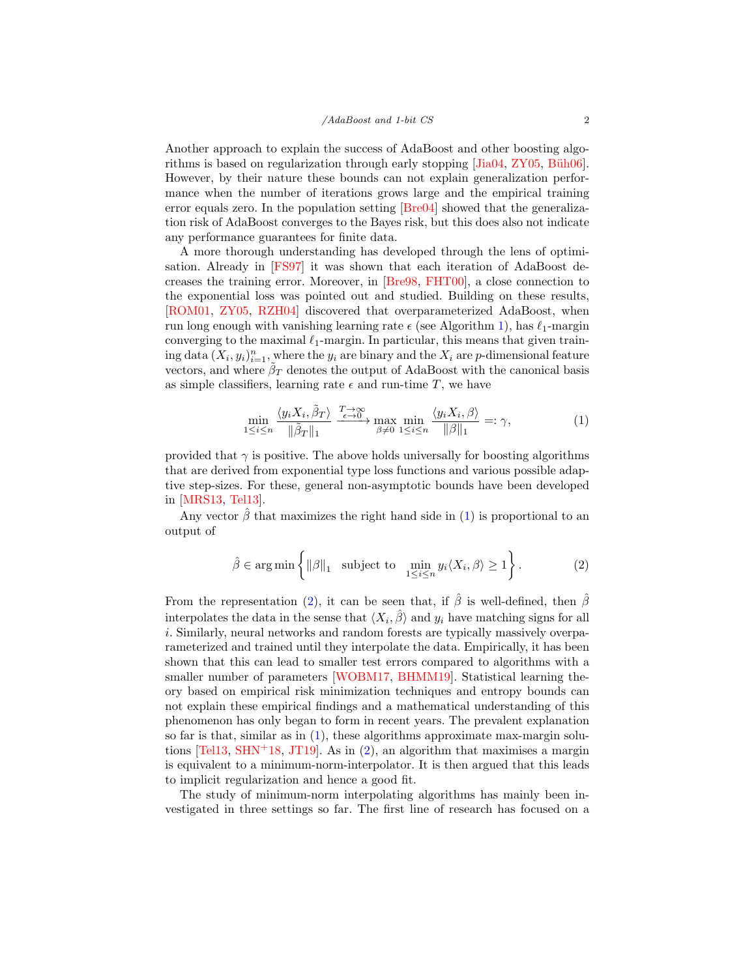Another approach to explain the success of AdaBoost and other boosting algorithms is based on regularization through early stopping  $[Jia04, ZY05, Büh06]$  $[Jia04, ZY05, Büh06]$  $[Jia04, ZY05, Büh06]$ . However, by their nature these bounds can not explain generalization performance when the number of iterations grows large and the empirical training error equals zero. In the population setting [\[Bre04\]](#page-32-4) showed that the generalization risk of AdaBoost converges to the Bayes risk, but this does also not indicate any performance guarantees for finite data.

A more thorough understanding has developed through the lens of optimisation. Already in [\[FS97\]](#page-33-0) it was shown that each iteration of AdaBoost decreases the training error. Moreover, in [\[Bre98,](#page-32-0) [FHT00\]](#page-32-1), a close connection to the exponential loss was pointed out and studied. Building on these results, [\[ROM01,](#page-34-1) [ZY05,](#page-35-0) [RZH04\]](#page-34-2) discovered that overparameterized AdaBoost, when run long enough with vanishing learning rate  $\epsilon$  (see Algorithm [1\)](#page-6-0), has  $\ell_1$ -margin converging to the maximal  $\ell_1$ -margin. In particular, this means that given training data  $(X_i, y_i)_{i=1}^n$ , where the  $y_i$  are binary and the  $X_i$  are p-dimensional feature vectors, and where  $\beta_T$  denotes the output of AdaBoost with the canonical basis as simple classifiers, learning rate  $\epsilon$  and run-time T, we have

<span id="page-1-0"></span>
$$
\min_{1 \le i \le n} \frac{\langle y_i X_i, \tilde{\beta}_T \rangle}{\|\tilde{\beta}_T\|_1} \xrightarrow{\frac{T \to \infty}{\epsilon \to 0}} \max_{\beta \ne 0} \min_{1 \le i \le n} \frac{\langle y_i X_i, \beta \rangle}{\|\beta\|_1} =: \gamma,
$$
\n(1)

provided that  $\gamma$  is positive. The above holds universally for boosting algorithms that are derived from exponential type loss functions and various possible adaptive step-sizes. For these, general non-asymptotic bounds have been developed in [\[MRS13,](#page-34-3) [Tel13\]](#page-34-4).

Any vector  $\hat{\beta}$  that maximizes the right hand side in [\(1\)](#page-1-0) is proportional to an output of

<span id="page-1-1"></span>
$$
\hat{\beta} \in \arg\min \left\{ \|\beta\|_1 \quad \text{subject to} \quad \min_{1 \le i \le n} y_i \langle X_i, \beta \rangle \ge 1 \right\}.
$$
 (2)

From the representation [\(2\)](#page-1-1), it can be seen that, if  $\hat{\beta}$  is well-defined, then  $\hat{\beta}$ interpolates the data in the sense that  $\langle X_i, \hat{\beta} \rangle$  and  $y_i$  have matching signs for all i. Similarly, neural networks and random forests are typically massively overparameterized and trained until they interpolate the data. Empirically, it has been shown that this can lead to smaller test errors compared to algorithms with a smaller number of parameters [\[WOBM17,](#page-34-5) [BHMM19\]](#page-31-1). Statistical learning theory based on empirical risk minimization techniques and entropy bounds can not explain these empirical findings and a mathematical understanding of this phenomenon has only began to form in recent years. The prevalent explanation so far is that, similar as in  $(1)$ , these algorithms approximate max-margin solutions  $[Tel13, SHN<sup>+</sup>18, JT19]$  $[Tel13, SHN<sup>+</sup>18, JT19]$  $[Tel13, SHN<sup>+</sup>18, JT19]$  $[Tel13, SHN<sup>+</sup>18, JT19]$ . As in [\(2\)](#page-1-1), an algorithm that maximises a margin is equivalent to a minimum-norm-interpolator. It is then argued that this leads to implicit regularization and hence a good fit.

The study of minimum-norm interpolating algorithms has mainly been investigated in three settings so far. The first line of research has focused on a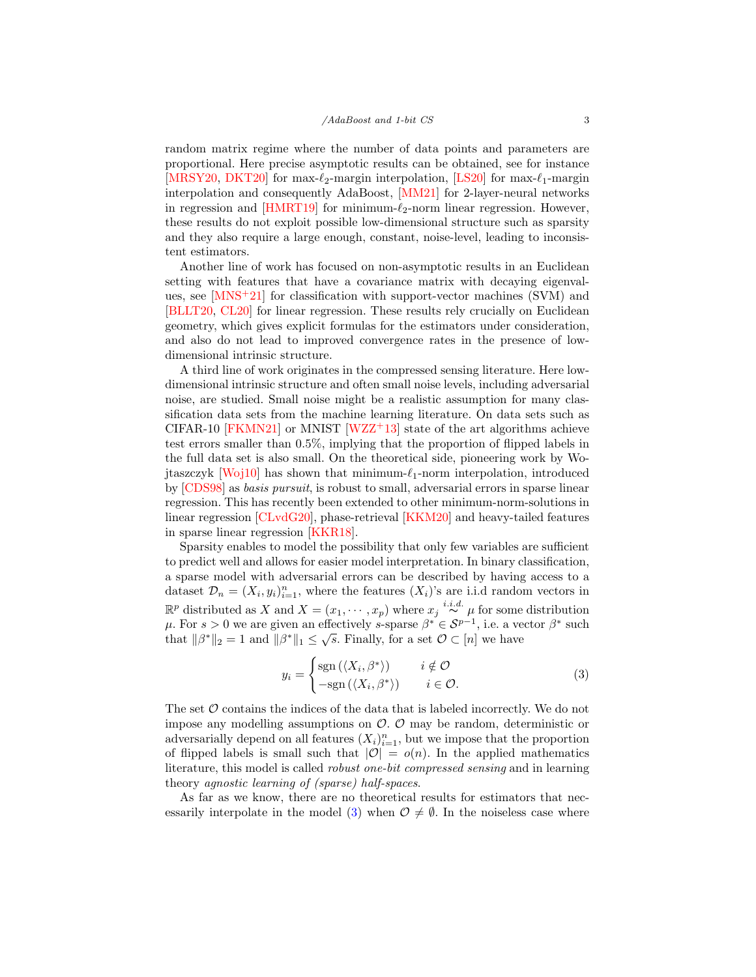random matrix regime where the number of data points and parameters are proportional. Here precise asymptotic results can be obtained, see for instance [\[MRSY20,](#page-34-7) [DKT20\]](#page-32-5) for max- $\ell_2$ -margin interpolation, [\[LS20\]](#page-33-4) for max- $\ell_1$ -margin interpolation and consequently AdaBoost, [\[MM21\]](#page-33-5) for 2-layer-neural networks in regression and  $[HMRT19]$  for minimum- $\ell_2$ -norm linear regression. However, these results do not exploit possible low-dimensional structure such as sparsity and they also require a large enough, constant, noise-level, leading to inconsistent estimators.

Another line of work has focused on non-asymptotic results in an Euclidean setting with features that have a covariance matrix with decaying eigenvalues, see  $[MNS+21]$  for classification with support-vector machines (SVM) and [\[BLLT20,](#page-32-6) [CL20\]](#page-32-7) for linear regression. These results rely crucially on Euclidean geometry, which gives explicit formulas for the estimators under consideration, and also do not lead to improved convergence rates in the presence of lowdimensional intrinsic structure.

A third line of work originates in the compressed sensing literature. Here lowdimensional intrinsic structure and often small noise levels, including adversarial noise, are studied. Small noise might be a realistic assumption for many classification data sets from the machine learning literature. On data sets such as CIFAR-10 [\[FKMN21\]](#page-33-7) or MNIST  $[WZZ^+13]$  state of the art algorithms achieve test errors smaller than 0.5%, implying that the proportion of flipped labels in the full data set is also small. On the theoretical side, pioneering work by Wo-jtaszczyk [\[Woj10\]](#page-34-10) has shown that minimum- $\ell_1$ -norm interpolation, introduced by [\[CDS98\]](#page-32-8) as basis pursuit, is robust to small, adversarial errors in sparse linear regression. This has recently been extended to other minimum-norm-solutions in linear regression [\[CLvdG20\]](#page-32-9), phase-retrieval [\[KKM20\]](#page-33-8) and heavy-tailed features in sparse linear regression [\[KKR18\]](#page-33-9).

Sparsity enables to model the possibility that only few variables are sufficient to predict well and allows for easier model interpretation. In binary classification, a sparse model with adversarial errors can be described by having access to a dataset  $\mathcal{D}_n = (X_i, y_i)_{i=1}^n$ , where the features  $(X_i)$ 's are i.i.d random vectors in  $\mathbb{R}^p$  distributed as X and  $X = (x_1, \dots, x_p)$  where  $x_j \stackrel{i.i.d.}{\sim} \mu$  for some distribution μ. For  $s > 0$  we are given an effectively s-sparse  $\beta^* \in S^{p-1}$ , i.e. a vector  $\beta^*$  such that  $\|\beta^*\|_2 = 1$  and  $\|\beta^*\|_1 \leq \sqrt{s}$ . Finally, for a set  $\mathcal{O} \subset [n]$  we have

<span id="page-2-0"></span>
$$
y_i = \begin{cases} \text{sgn}(\langle X_i, \beta^* \rangle) & i \notin \mathcal{O} \\ -\text{sgn}(\langle X_i, \beta^* \rangle) & i \in \mathcal{O}. \end{cases} \tag{3}
$$

The set  $\mathcal O$  contains the indices of the data that is labeled incorrectly. We do not impose any modelling assumptions on  $\mathcal{O}$ .  $\mathcal{O}$  may be random, deterministic or adversarially depend on all features  $(X_i)_{i=1}^n$ , but we impose that the proportion of flipped labels is small such that  $|O| = o(n)$ . In the applied mathematics literature, this model is called robust one-bit compressed sensing and in learning theory agnostic learning of (sparse) half-spaces.

As far as we know, there are no theoretical results for estimators that nec-essarily interpolate in the model [\(3\)](#page-2-0) when  $\mathcal{O} \neq \emptyset$ . In the noiseless case where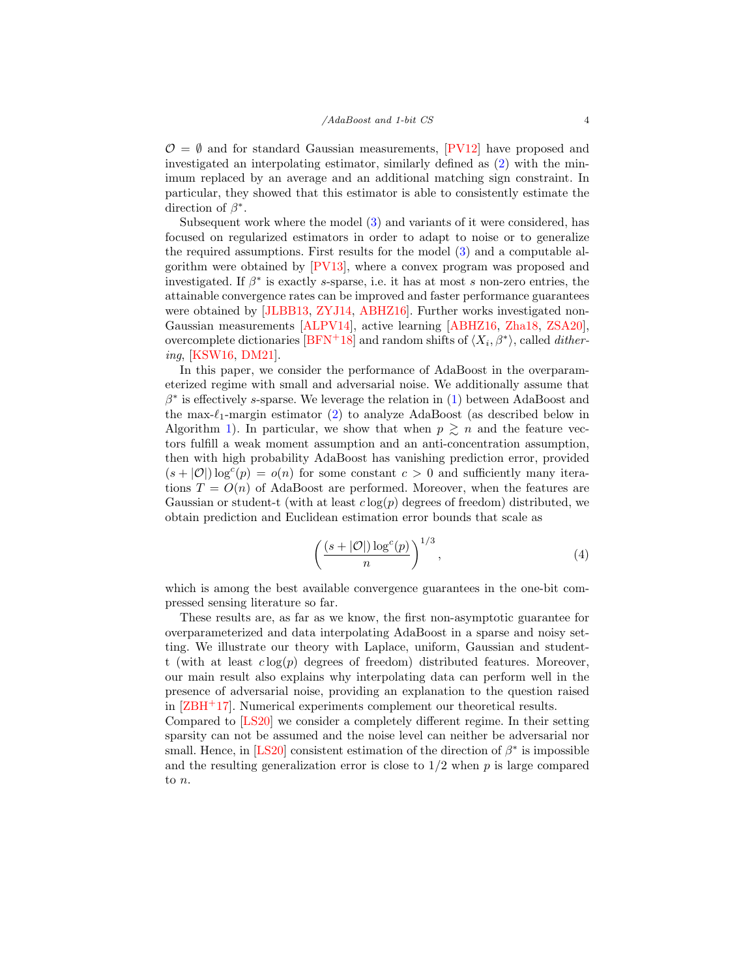$\mathcal{O} = \emptyset$  and for standard Gaussian measurements, [\[PV12\]](#page-34-11) have proposed and investigated an interpolating estimator, similarly defined as [\(2\)](#page-1-1) with the minimum replaced by an average and an additional matching sign constraint. In particular, they showed that this estimator is able to consistently estimate the direction of  $\beta^*$ .

Subsequent work where the model [\(3\)](#page-2-0) and variants of it were considered, has focused on regularized estimators in order to adapt to noise or to generalize the required assumptions. First results for the model [\(3\)](#page-2-0) and a computable algorithm were obtained by [\[PV13\]](#page-34-12), where a convex program was proposed and investigated. If  $\beta^*$  is exactly s-sparse, i.e. it has at most s non-zero entries, the attainable convergence rates can be improved and faster performance guarantees were obtained by [\[JLBB13,](#page-33-10) [ZYJ14,](#page-35-1) [ABHZ16\]](#page-31-2). Further works investigated non-Gaussian measurements [\[ALPV14\]](#page-31-3), active learning [\[ABHZ16,](#page-31-2) [Zha18,](#page-35-2) [ZSA20\]](#page-35-3), overcomplete dictionaries  $[BFN+18]$  and random shifts of  $\langle X_i, \beta^* \rangle$ , called *dither*ing, [\[KSW16,](#page-33-11) [DM21\]](#page-32-10).

In this paper, we consider the performance of AdaBoost in the overparameterized regime with small and adversarial noise. We additionally assume that  $\beta^*$  is effectively s-sparse. We leverage the relation in [\(1\)](#page-1-0) between AdaBoost and the max- $\ell_1$ -margin estimator [\(2\)](#page-1-1) to analyze AdaBoost (as described below in Algorithm [1\)](#page-6-0). In particular, we show that when  $p \geq n$  and the feature vectors fulfill a weak moment assumption and an anti-concentration assumption, then with high probability AdaBoost has vanishing prediction error, provided  $(s+|O|)\log^c(p) = o(n)$  for some constant  $c > 0$  and sufficiently many iterations  $T = O(n)$  of AdaBoost are performed. Moreover, when the features are Gaussian or student-t (with at least  $c \log(p)$  degrees of freedom) distributed, we obtain prediction and Euclidean estimation error bounds that scale as

$$
\left(\frac{(s+|O|)\log^c(p)}{n}\right)^{1/3},\tag{4}
$$

which is among the best available convergence guarantees in the one-bit compressed sensing literature so far.

These results are, as far as we know, the first non-asymptotic guarantee for overparameterized and data interpolating AdaBoost in a sparse and noisy setting. We illustrate our theory with Laplace, uniform, Gaussian and studentt (with at least  $c \log(p)$  degrees of freedom) distributed features. Moreover, our main result also explains why interpolating data can perform well in the presence of adversarial noise, providing an explanation to the question raised in [\[ZBH](#page-35-4)<sup>+</sup>17]. Numerical experiments complement our theoretical results.

Compared to [\[LS20\]](#page-33-4) we consider a completely different regime. In their setting sparsity can not be assumed and the noise level can neither be adversarial nor small. Hence, in [\[LS20\]](#page-33-4) consistent estimation of the direction of  $\beta^*$  is impossible and the resulting generalization error is close to  $1/2$  when p is large compared to n.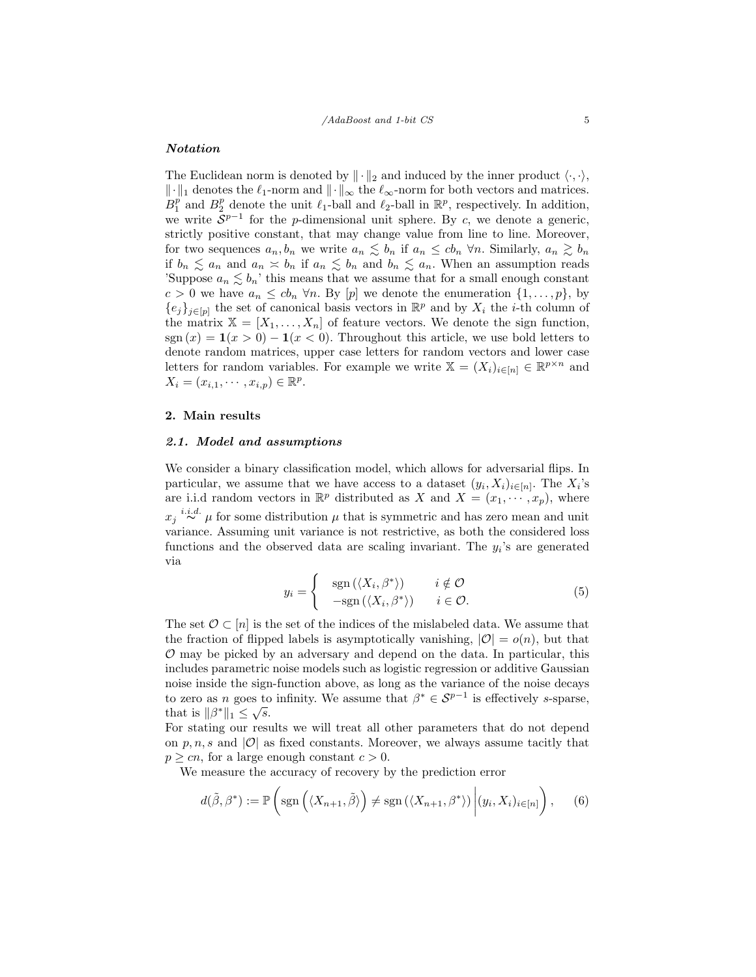## Notation

The Euclidean norm is denoted by  $\|\cdot\|_2$  and induced by the inner product  $\langle \cdot, \cdot \rangle$ ,  $\|\cdot\|_1$  denotes the  $\ell_1$ -norm and  $\|\cdot\|_{\infty}$  the  $\ell_{\infty}$ -norm for both vectors and matrices.  $B_1^p$  and  $B_2^p$  denote the unit  $\ell_1$ -ball and  $\ell_2$ -ball in  $\mathbb{R}^p$ , respectively. In addition, we write  $S^{p-1}$  for the *p*-dimensional unit sphere. By c, we denote a generic, strictly positive constant, that may change value from line to line. Moreover, for two sequences  $a_n, b_n$  we write  $a_n \leq b_n$  if  $a_n \leq cb_n$   $\forall n$ . Similarly,  $a_n \geq b_n$ if  $b_n \leq a_n$  and  $a_n \leq b_n$  if  $a_n \leq b_n$  and  $b_n \leq a_n$ . When an assumption reads 'Suppose  $a_n \lesssim b_n$ ' this means that we assume that for a small enough constant  $c > 0$  we have  $a_n \leq cb_n \forall n$ . By  $[p]$  we denote the enumeration  $\{1, \ldots, p\}$ , by  ${e_j}_{j\in [p]}$  the set of canonical basis vectors in  $\mathbb{R}^p$  and by  $X_i$  the *i*-th column of the matrix  $X = [X_1, \ldots, X_n]$  of feature vectors. We denote the sign function, sgn  $(x) = \mathbf{1}(x > 0) - \mathbf{1}(x < 0)$ . Throughout this article, we use bold letters to denote random matrices, upper case letters for random vectors and lower case letters for random variables. For example we write  $\mathbb{X} = (X_i)_{i \in [n]} \in \mathbb{R}^{p \times n}$  and  $X_i = (x_{i,1}, \dots, x_{i,p}) \in \mathbb{R}^p$ .

#### 2. Main results

#### 2.1. Model and assumptions

We consider a binary classification model, which allows for adversarial flips. In particular, we assume that we have access to a dataset  $(y_i, X_i)_{i \in [n]}$ . The  $X_i$ 's are i.i.d random vectors in  $\mathbb{R}^p$  distributed as X and  $X = (x_1, \dots, x_p)$ , where  $x_j \stackrel{i.i.d.}{\sim} \mu$  for some distribution  $\mu$  that is symmetric and has zero mean and unit variance. Assuming unit variance is not restrictive, as both the considered loss functions and the observed data are scaling invariant. The  $y_i$ 's are generated via

$$
y_i = \begin{cases} \operatorname{sgn}(\langle X_i, \beta^* \rangle) & i \notin \mathcal{O} \\ -\operatorname{sgn}(\langle X_i, \beta^* \rangle) & i \in \mathcal{O}. \end{cases}
$$
 (5)

The set  $\mathcal{O} \subset [n]$  is the set of the indices of the mislabeled data. We assume that the fraction of flipped labels is asymptotically vanishing,  $|O| = o(n)$ , but that  $\mathcal O$  may be picked by an adversary and depend on the data. In particular, this includes parametric noise models such as logistic regression or additive Gaussian noise inside the sign-function above, as long as the variance of the noise decays to zero as *n* goes to infinity. We assume that  $\beta^* \in S^{p-1}$  is effectively *s*-sparse, that is  $\|\beta^*\|_1 \leq \sqrt{s}$ .

For stating our results we will treat all other parameters that do not depend on p, n, s and |O| as fixed constants. Moreover, we always assume tacitly that  $p \geq cn$ , for a large enough constant  $c > 0$ .

We measure the accuracy of recovery by the prediction error

$$
d(\tilde{\beta}, \beta^*) := \mathbb{P}\left(\text{sgn}\left(\langle X_{n+1}, \tilde{\beta}\rangle\right) \neq \text{sgn}\left(\langle X_{n+1}, \beta^*\rangle\right) \middle| (y_i, X_i)_{i \in [n]} \right), \quad (6)
$$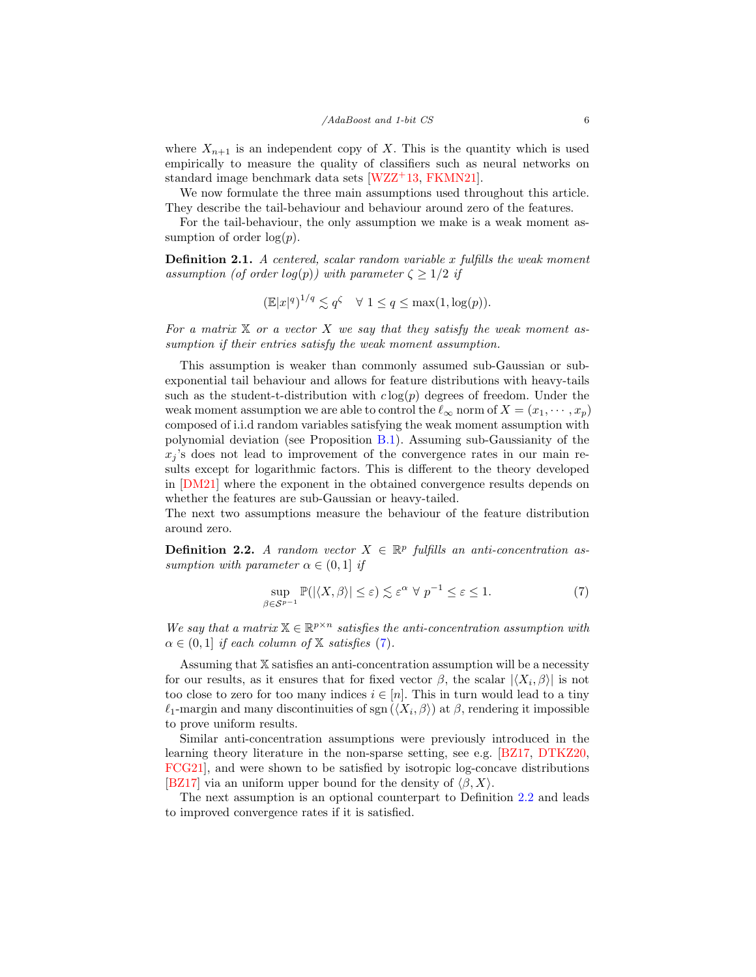where  $X_{n+1}$  is an independent copy of X. This is the quantity which is used empirically to measure the quality of classifiers such as neural networks on standard image benchmark data sets [\[WZZ](#page-34-9)+13, [FKMN21\]](#page-33-7).

We now formulate the three main assumptions used throughout this article. They describe the tail-behaviour and behaviour around zero of the features.

For the tail-behaviour, the only assumption we make is a weak moment assumption of order  $log(p)$ .

**Definition 2.1.** A centered, scalar random variable x fulfills the weak moment assumption (of order log(p)) with parameter  $\zeta \geq 1/2$  if

$$
(\mathbb{E}|x|^q)^{1/q} \lesssim q^{\zeta} \quad \forall \ 1 \le q \le \max(1, \log(p)).
$$

For a matrix  $X$  or a vector  $X$  we say that they satisfy the weak moment assumption if their entries satisfy the weak moment assumption.

This assumption is weaker than commonly assumed sub-Gaussian or subexponential tail behaviour and allows for feature distributions with heavy-tails such as the student-t-distribution with  $c \log(p)$  degrees of freedom. Under the weak moment assumption we are able to control the  $\ell_{\infty}$  norm of  $X = (x_1, \dots, x_p)$ composed of i.i.d random variables satisfying the weak moment assumption with polynomial deviation (see Proposition [B.1\)](#page-36-0). Assuming sub-Gaussianity of the  $x_j$ 's does not lead to improvement of the convergence rates in our main results except for logarithmic factors. This is different to the theory developed in [\[DM21\]](#page-32-10) where the exponent in the obtained convergence results depends on whether the features are sub-Gaussian or heavy-tailed.

The next two assumptions measure the behaviour of the feature distribution around zero.

<span id="page-5-1"></span>**Definition 2.2.** A random vector  $X \in \mathbb{R}^p$  fulfills an anti-concentration assumption with parameter  $\alpha \in (0,1]$  if

<span id="page-5-0"></span>
$$
\sup_{\beta \in \mathcal{S}^{p-1}} \mathbb{P}(|\langle X, \beta \rangle| \le \varepsilon) \lesssim \varepsilon^{\alpha} \ \forall \ p^{-1} \le \varepsilon \le 1. \tag{7}
$$

We say that a matrix  $X \in \mathbb{R}^{p \times n}$  satisfies the anti-concentration assumption with  $\alpha \in (0,1]$  if each column of X satisfies [\(7\)](#page-5-0).

Assuming that X satisfies an anti-concentration assumption will be a necessity for our results, as it ensures that for fixed vector  $\beta$ , the scalar  $|\langle X_i, \beta \rangle|$  is not too close to zero for too many indices  $i \in [n]$ . This in turn would lead to a tiny  $\ell_1$ -margin and many discontinuities of sgn  $(\langle X_i, \beta \rangle)$  at  $\beta$ , rendering it impossible to prove uniform results.

Similar anti-concentration assumptions were previously introduced in the learning theory literature in the non-sparse setting, see e.g. [\[BZ17,](#page-32-11) [DTKZ20,](#page-32-12) [FCG21\]](#page-32-13), and were shown to be satisfied by isotropic log-concave distributions [\[BZ17\]](#page-32-11) via an uniform upper bound for the density of  $\langle \beta, X \rangle$ .

The next assumption is an optional counterpart to Definition [2.2](#page-5-1) and leads to improved convergence rates if it is satisfied.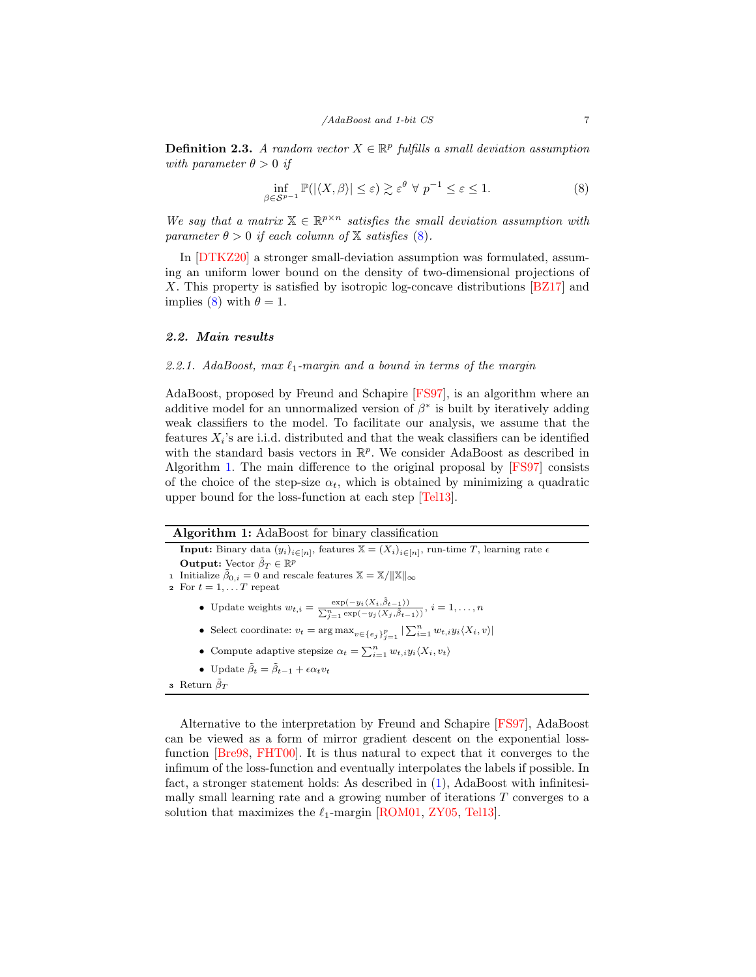<span id="page-6-2"></span>**Definition 2.3.** A random vector  $X \in \mathbb{R}^p$  fulfills a small deviation assumption with parameter  $\theta > 0$  if

<span id="page-6-1"></span>
$$
\inf_{\beta \in \mathcal{S}^{p-1}} \mathbb{P}(|\langle X, \beta \rangle| \le \varepsilon) \gtrsim \varepsilon^{\theta} \ \forall \ p^{-1} \le \varepsilon \le 1. \tag{8}
$$

We say that a matrix  $X \in \mathbb{R}^{p \times n}$  satisfies the small deviation assumption with parameter  $\theta > 0$  if each column of  $\mathbb{X}$  satisfies [\(8\)](#page-6-1).

In [\[DTKZ20\]](#page-32-12) a stronger small-deviation assumption was formulated, assuming an uniform lower bound on the density of two-dimensional projections of X. This property is satisfied by isotropic log-concave distributions [\[BZ17\]](#page-32-11) and implies [\(8\)](#page-6-1) with  $\theta = 1$ .

#### 2.2. Main results

## 2.2.1. AdaBoost, max  $\ell_1$ -margin and a bound in terms of the margin

AdaBoost, proposed by Freund and Schapire [\[FS97\]](#page-33-0), is an algorithm where an additive model for an unnormalized version of  $\beta^*$  is built by iteratively adding weak classifiers to the model. To facilitate our analysis, we assume that the features  $X_i$ 's are i.i.d. distributed and that the weak classifiers can be identified with the standard basis vectors in  $\mathbb{R}^p$ . We consider AdaBoost as described in Algorithm [1.](#page-6-0) The main difference to the original proposal by [\[FS97\]](#page-33-0) consists of the choice of the step-size  $\alpha_t$ , which is obtained by minimizing a quadratic upper bound for the loss-function at each step [\[Tel13\]](#page-34-4).

|  |  | Algorithm 1: AdaBoost for binary classification |  |  |
|--|--|-------------------------------------------------|--|--|
|--|--|-------------------------------------------------|--|--|

**Input:** Binary data  $(y_i)_{i \in [n]}$ , features  $\mathbb{X} = (X_i)_{i \in [n]}$ , run-time T, learning rate  $\epsilon$ Output: Vector  $\tilde{\beta}_T \in \mathbb{R}^p$ **1** Initialize  $\tilde{\beta}_{0,i} = 0$  and rescale features  $\mathbb{X} = \mathbb{X}/\|\mathbb{X}\|_{\infty}$ 

- 2 For  $t = 1, \ldots T$  repeat
	- Update weights  $w_{t,i} = \frac{\exp(-y_i \langle X_i, \tilde{\beta}_{t-1} \rangle)}{\sum_{j=1}^n \exp(-y_j \langle X_j, \tilde{\beta}_{t-1} \rangle)}, i = 1, \ldots, n$
	- Select coordinate:  $v_t = \arg \max_{v \in \{e_j\}_{j=1}^p} |\sum_{i=1}^n w_{t,i} y_i \langle X_i, v \rangle|$
	- Compute adaptive stepsize  $\alpha_t = \sum_{i=1}^n w_{t,i} y_i \langle X_i, v_t \rangle$
	- Update  $\tilde{\beta}_t = \tilde{\beta}_{t-1} + \epsilon \alpha_t v_t$

Alternative to the interpretation by Freund and Schapire [\[FS97\]](#page-33-0), AdaBoost can be viewed as a form of mirror gradient descent on the exponential lossfunction [\[Bre98,](#page-32-0) [FHT00\]](#page-32-1). It is thus natural to expect that it converges to the infimum of the loss-function and eventually interpolates the labels if possible. In fact, a stronger statement holds: As described in [\(1\)](#page-1-0), AdaBoost with infinitesimally small learning rate and a growing number of iterations T converges to a solution that maximizes the  $\ell_1$ -margin [\[ROM01,](#page-34-1) [ZY05,](#page-35-0) [Tel13\]](#page-34-4).

<span id="page-6-0"></span><sup>3</sup> Return  $\tilde{\beta}_T$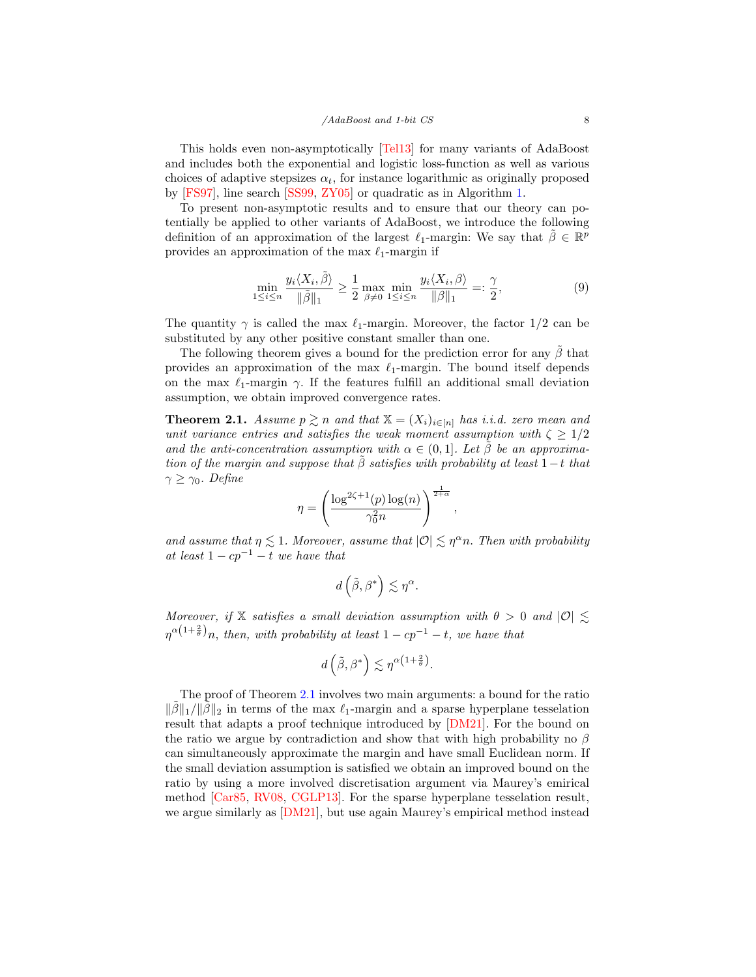This holds even non-asymptotically [\[Tel13\]](#page-34-4) for many variants of AdaBoost and includes both the exponential and logistic loss-function as well as various choices of adaptive stepsizes  $\alpha_t$ , for instance logarithmic as originally proposed by [\[FS97\]](#page-33-0), line search [\[SS99,](#page-34-0) [ZY05\]](#page-35-0) or quadratic as in Algorithm [1.](#page-6-0)

To present non-asymptotic results and to ensure that our theory can potentially be applied to other variants of AdaBoost, we introduce the following definition of an approximation of the largest  $\ell_1$ -margin: We say that  $\tilde{\beta} \in \mathbb{R}^p$ provides an approximation of the max  $\ell_1$ -margin if

$$
\min_{1 \le i \le n} \frac{y_i \langle X_i, \tilde{\beta} \rangle}{\|\tilde{\beta}\|_1} \ge \frac{1}{2} \max_{\beta \neq 0} \min_{1 \le i \le n} \frac{y_i \langle X_i, \beta \rangle}{\|\beta\|_1} =: \frac{\gamma}{2},\tag{9}
$$

,

The quantity  $\gamma$  is called the max  $\ell_1$ -margin. Moreover, the factor 1/2 can be substituted by any other positive constant smaller than one.

The following theorem gives a bound for the prediction error for any  $\tilde{\beta}$  that provides an approximation of the max  $\ell_1$ -margin. The bound itself depends on the max  $\ell_1$ -margin  $\gamma$ . If the features fulfill an additional small deviation assumption, we obtain improved convergence rates.

<span id="page-7-0"></span>**Theorem 2.1.** Assume  $p \ge n$  and that  $X = (X_i)_{i \in [n]}$  has i.i.d. zero mean and unit variance entries and satisfies the weak moment assumption with  $\zeta \geq 1/2$ and the anti-concentration assumption with  $\alpha \in (0,1]$ . Let  $\beta$  be an approximation of the margin and suppose that  $\tilde{\beta}$  satisfies with probability at least 1-t that  $\gamma \geq \gamma_0$ . Define

$$
\eta = \left(\frac{\log^{2\zeta + 1}(p) \log(n)}{\gamma_0^2 n}\right)^{\frac{1}{2+\alpha}}
$$

and assume that  $\eta \lesssim 1$ . Moreover, assume that  $|O| \lesssim \eta^{\alpha} n$ . Then with probability at least  $1 - cp^{-1} - t$  we have that

$$
d\left(\tilde{\beta},\beta^{*}\right)\lesssim \eta^{\alpha}.
$$

Moreover, if X satisfies a small deviation assumption with  $\theta > 0$  and  $|O| \lesssim$  $\eta^{\alpha(1+\frac{2}{\theta})}n$ , then, with probability at least  $1-cp^{-1}-t$ , we have that

$$
d\left(\tilde{\beta},\beta^*\right) \lesssim \eta^{\alpha\left(1+\frac{2}{\theta}\right)}.
$$

The proof of Theorem [2.1](#page-7-0) involves two main arguments: a bound for the ratio  $\|\tilde{\beta}\|_1/\|\tilde{\beta}\|_2$  in terms of the max  $\ell_1$ -margin and a sparse hyperplane tesselation result that adapts a proof technique introduced by [\[DM21\]](#page-32-10). For the bound on the ratio we argue by contradiction and show that with high probability no  $\beta$ can simultaneously approximate the margin and have small Euclidean norm. If the small deviation assumption is satisfied we obtain an improved bound on the ratio by using a more involved discretisation argument via Maurey's emirical method [\[Car85,](#page-32-14) [RV08,](#page-34-13) [CGLP13\]](#page-32-15). For the sparse hyperplane tesselation result, we argue similarly as  $[DM21]$ , but use again Maurey's empirical method instead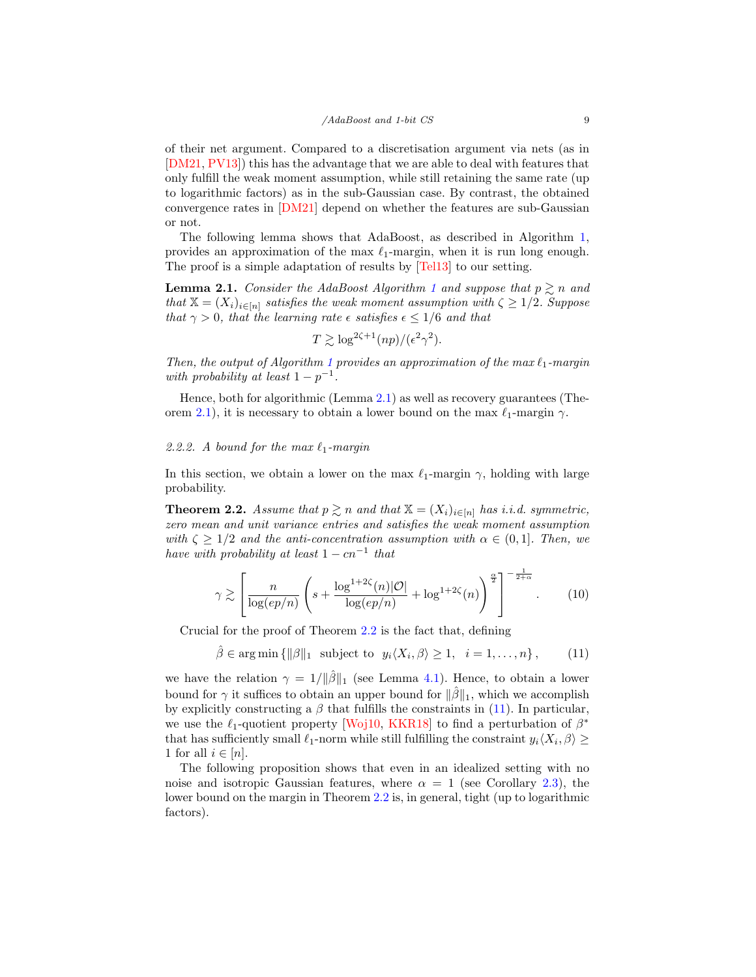of their net argument. Compared to a discretisation argument via nets (as in [\[DM21,](#page-32-10) [PV13\]](#page-34-12)) this has the advantage that we are able to deal with features that only fulfill the weak moment assumption, while still retaining the same rate (up to logarithmic factors) as in the sub-Gaussian case. By contrast, the obtained convergence rates in  $[DM21]$  depend on whether the features are sub-Gaussian or not.

The following lemma shows that AdaBoost, as described in Algorithm [1,](#page-6-0) provides an approximation of the max  $\ell_1$ -margin, when it is run long enough. The proof is a simple adaptation of results by [\[Tel13\]](#page-34-4) to our setting.

<span id="page-8-0"></span>**Lemma 2.[1](#page-6-0).** Consider the AdaBoost Algorithm 1 and suppose that  $p \ge n$  and that  $\mathbb{X} = (X_i)_{i \in [n]}$  satisfies the weak moment assumption with  $\zeta \geq 1/2$ . Suppose that  $\gamma > 0$ , that the learning rate  $\epsilon$  satisfies  $\epsilon \leq 1/6$  and that

$$
T \gtrsim \log^{2\zeta + 1}(np)/(\epsilon^2 \gamma^2).
$$

Then, the output of Algorithm [1](#page-6-0) provides an approximation of the max  $\ell_1$ -margin with probability at least  $1 - p^{-1}$ .

Hence, both for algorithmic (Lemma [2.1\)](#page-8-0) as well as recovery guarantees (The-orem [2.1\)](#page-7-0), it is necessary to obtain a lower bound on the max  $\ell_1$ -margin  $\gamma$ .

## 2.2.2. A bound for the max  $\ell_1$ -margin

In this section, we obtain a lower on the max  $\ell_1$ -margin  $\gamma$ , holding with large probability.

<span id="page-8-1"></span>**Theorem 2.2.** Assume that  $p \geq n$  and that  $X = (X_i)_{i \in [n]}$  has i.i.d. symmetric, zero mean and unit variance entries and satisfies the weak moment assumption with  $\zeta \geq 1/2$  and the anti-concentration assumption with  $\alpha \in (0,1]$ . Then, we have with probability at least  $1 - cn^{-1}$  that

$$
\gamma \gtrsim \left[ \frac{n}{\log(ep/n)} \left( s + \frac{\log^{1+2\zeta}(n)|\mathcal{O}|}{\log(ep/n)} + \log^{1+2\zeta}(n) \right)^{\frac{\alpha}{2}} \right]^{-\frac{1}{2+\alpha}}.
$$
 (10)

Crucial for the proof of Theorem [2.2](#page-8-1) is the fact that, defining

<span id="page-8-2"></span> $\hat{\beta} \in \arg \min \{ ||\beta||_1 \text{ subject to } y_i \langle X_i, \beta \rangle \ge 1, i = 1, ..., n \},$  (11)

we have the relation  $\gamma = 1/||\hat{\beta}||_1$  (see Lemma [4.1\)](#page-15-0). Hence, to obtain a lower bound for  $\gamma$  it suffices to obtain an upper bound for  $\|\hat{\beta}\|_1$ , which we accomplish by explicitly constructing a  $\beta$  that fulfills the constraints in [\(11\)](#page-8-2). In particular, we use the  $\ell_1$ -quotient property [\[Woj10,](#page-34-10) [KKR18\]](#page-33-9) to find a perturbation of  $\beta^*$ that has sufficiently small  $\ell_1$ -norm while still fulfilling the constraint  $y_i\langle X_i, \beta \rangle \ge$ 1 for all  $i \in [n]$ .

The following proposition shows that even in an idealized setting with no noise and isotropic Gaussian features, where  $\alpha = 1$  (see Corollary [2.3\)](#page-10-0), the lower bound on the margin in Theorem [2.2](#page-8-1) is, in general, tight (up to logarithmic factors).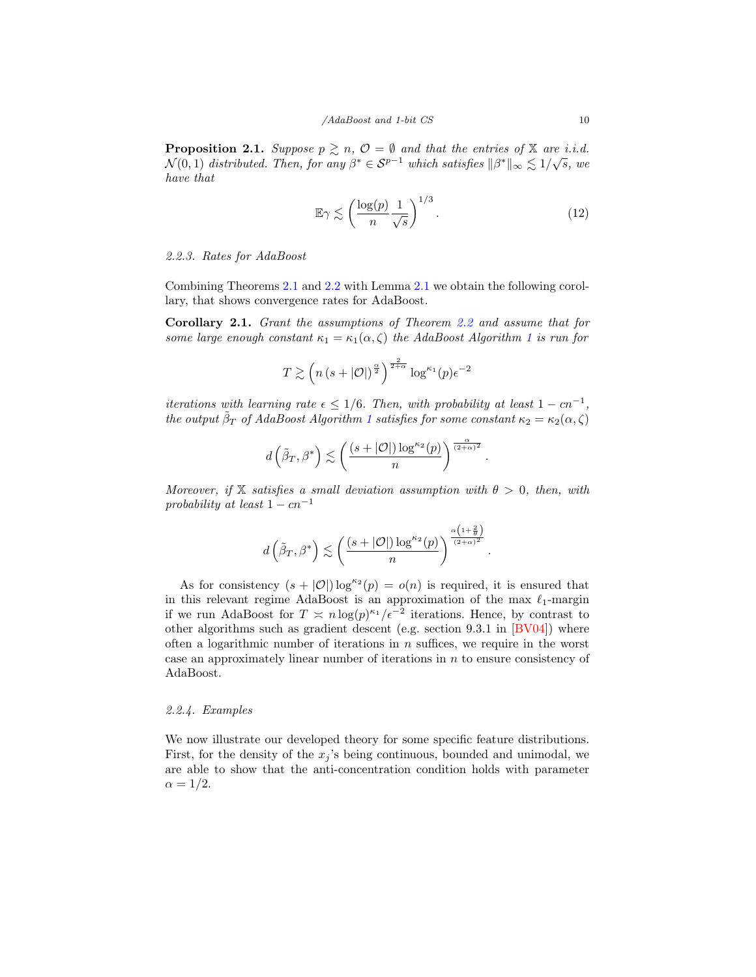<span id="page-9-0"></span>**Proposition 2.1.** Suppose  $p \geq n$ ,  $\mathcal{O} = \emptyset$  and that the entries of X are i.i.d. **Froposition 2.1.** Suppose  $p \leq n$ ,  $\mathcal{O} = \mathbf{v}$  and that the entries of  $\mathbf{A}$  are i.i.d.<br> $\mathcal{N}(0,1)$  distributed. Then, for any  $\beta^* \in \mathcal{S}^{p-1}$  which satisfies  $\|\beta^*\|_{\infty} \leq 1/\sqrt{s}$ , we have that

$$
\mathbb{E}\gamma \lesssim \left(\frac{\log(p)}{n} \frac{1}{\sqrt{s}}\right)^{1/3}.\tag{12}
$$

.

#### 2.2.3. Rates for AdaBoost

Combining Theorems [2.1](#page-7-0) and [2.2](#page-8-1) with Lemma [2.1](#page-8-0) we obtain the following corollary, that shows convergence rates for AdaBoost.

Corollary 2.1. Grant the assumptions of Theorem [2.2](#page-8-1) and assume that for some large enough constant  $\kappa_1 = \kappa_1(\alpha, \zeta)$  $\kappa_1 = \kappa_1(\alpha, \zeta)$  $\kappa_1 = \kappa_1(\alpha, \zeta)$  the AdaBoost Algorithm 1 is run for

$$
T \gtrsim \left( n \left( s + |\mathcal{O}| \right)^{\frac{\alpha}{2}} \right)^{\frac{2}{2+\alpha}} \log^{\kappa_1}(p) \epsilon^{-2}
$$

iterations with learning rate  $\epsilon \leq 1/6$ . Then, with probability at least  $1 - cn^{-1}$ , the output  $\tilde{\beta}_T$  of AdaBoost Algorithm [1](#page-6-0) satisfies for some constant  $\kappa_2 = \kappa_2(\alpha, \zeta)$ 

$$
d\left(\tilde{\beta}_T, \beta^*\right) \lesssim \left(\frac{(s + |\mathcal{O}|) \log^{\kappa_2}(p)}{n}\right)^{\frac{\alpha}{(2+\alpha)^2}}.
$$

Moreover, if X satisfies a small deviation assumption with  $\theta > 0$ , then, with probability at least  $1 - cn^{-1}$ 

$$
d\left(\tilde{\beta}_T, \beta^*\right) \lesssim \left(\frac{(s + |\mathcal{O}|) \log^{\kappa_2}(p)}{n}\right)^{\frac{\alpha\left(1 + \frac{2}{\theta}\right)}{(2 + \alpha)^2}}
$$

As for consistency  $(s + |O|) \log^{\kappa_2}(p) = o(n)$  is required, it is ensured that in this relevant regime AdaBoost is an approximation of the max  $\ell_1$ -margin if we run AdaBoost for  $T \n\approx n \log(p)^{\kappa_1}/\epsilon^{-2}$  iterations. Hence, by contrast to other algorithms such as gradient descent (e.g. section 9.3.1 in [\[BV04\]](#page-32-16)) where often a logarithmic number of iterations in  $n$  suffices, we require in the worst case an approximately linear number of iterations in  $n$  to ensure consistency of AdaBoost.

## 2.2.4. Examples

We now illustrate our developed theory for some specific feature distributions. First, for the density of the  $x_j$ 's being continuous, bounded and unimodal, we are able to show that the anti-concentration condition holds with parameter  $\alpha = 1/2.$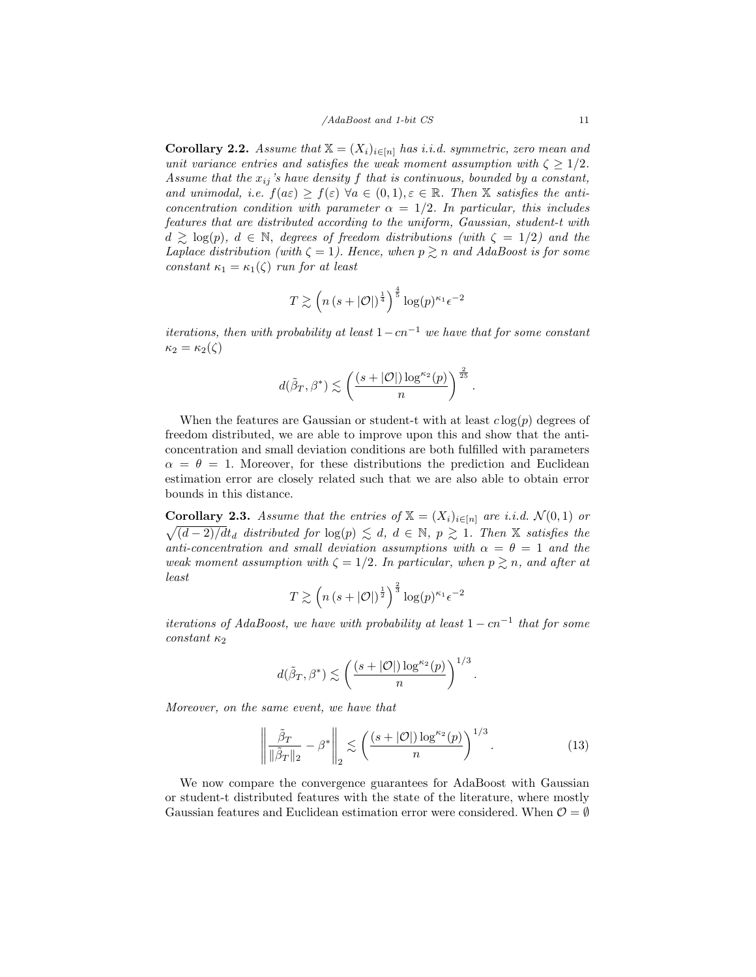<span id="page-10-2"></span>**Corollary 2.2.** Assume that  $X = (X_i)_{i \in [n]}$  has i.i.d. symmetric, zero mean and unit variance entries and satisfies the weak moment assumption with  $\zeta \geq 1/2$ . Assume that the  $x_{ij}$ 's have density f that is continuous, bounded by a constant, and unimodal, i.e.  $f(a\varepsilon) \geq f(\varepsilon)$   $\forall a \in (0,1), \varepsilon \in \mathbb{R}$ . Then X satisfies the anticoncentration condition with parameter  $\alpha = 1/2$ . In particular, this includes features that are distributed according to the uniform, Gaussian, student-t with  $d \geq \log(p)$ ,  $d \in \mathbb{N}$ , degrees of freedom distributions (with  $\zeta = 1/2$ ) and the Laplace distribution (with  $\zeta = 1$ ). Hence, when  $p \gtrsim n$  and AdaBoost is for some constant  $\kappa_1 = \kappa_1(\zeta)$  run for at least

$$
T \gtrsim \left( n \left( s + |\mathcal{O}| \right)^{\frac{1}{4}} \right)^{\frac{4}{5}} \log(p)^{\kappa_1} \epsilon^{-2}
$$

iterations, then with probability at least  $1-cn^{-1}$  we have that for some constant  $\kappa_2 = \kappa_2(\zeta)$ 

$$
d(\tilde{\beta}_T, \beta^*) \lesssim \left(\frac{(s+|\mathcal{O}|)\log^{\kappa_2}(p)}{n}\right)^{\frac{2}{25}}.
$$

When the features are Gaussian or student-t with at least  $c \log(p)$  degrees of freedom distributed, we are able to improve upon this and show that the anticoncentration and small deviation conditions are both fulfilled with parameters  $\alpha = \theta = 1$ . Moreover, for these distributions the prediction and Euclidean estimation error are closely related such that we are also able to obtain error bounds in this distance.

<span id="page-10-0"></span>**Corollary 2.3.** Assume that the entries of  $X = (X_i)_{i \in [n]}$  are i.i.d.  $\mathcal{N}(0,1)$  or  $\sqrt{(d-2)/dt_d}$  distributed for  $\log(p) \leq d, d \in \mathbb{N}, p \geq 1$ . Then X satisfies the anti-concentration and small deviation assumptions with  $\alpha = \theta = 1$  and the weak moment assumption with  $\zeta = 1/2$ . In particular, when  $p \geq n$ , and after at least

$$
T \gtrsim \left( n \left( s + |\mathcal{O}| \right)^{\frac{1}{2}} \right)^{\frac{2}{3}} \log(p)^{\kappa_1} \epsilon^{-2}
$$

iterations of AdaBoost, we have with probability at least  $1 - cn^{-1}$  that for some  $constant$   $\kappa_2$ 

<span id="page-10-1"></span>
$$
d(\tilde{\beta}_T, \beta^*) \lesssim \left(\frac{(s + |\mathcal{O}|) \log^{\kappa_2}(p)}{n}\right)^{1/3}.
$$

Moreover, on the same event, we have that

$$
\left\| \frac{\tilde{\beta}_T}{\|\tilde{\beta}_T\|_2} - \beta^* \right\|_2 \lesssim \left( \frac{(s + |\mathcal{O}|) \log^{\kappa_2}(p)}{n} \right)^{1/3}.
$$
 (13)

We now compare the convergence guarantees for AdaBoost with Gaussian or student-t distributed features with the state of the literature, where mostly Gaussian features and Euclidean estimation error were considered. When  $\mathcal{O} = \emptyset$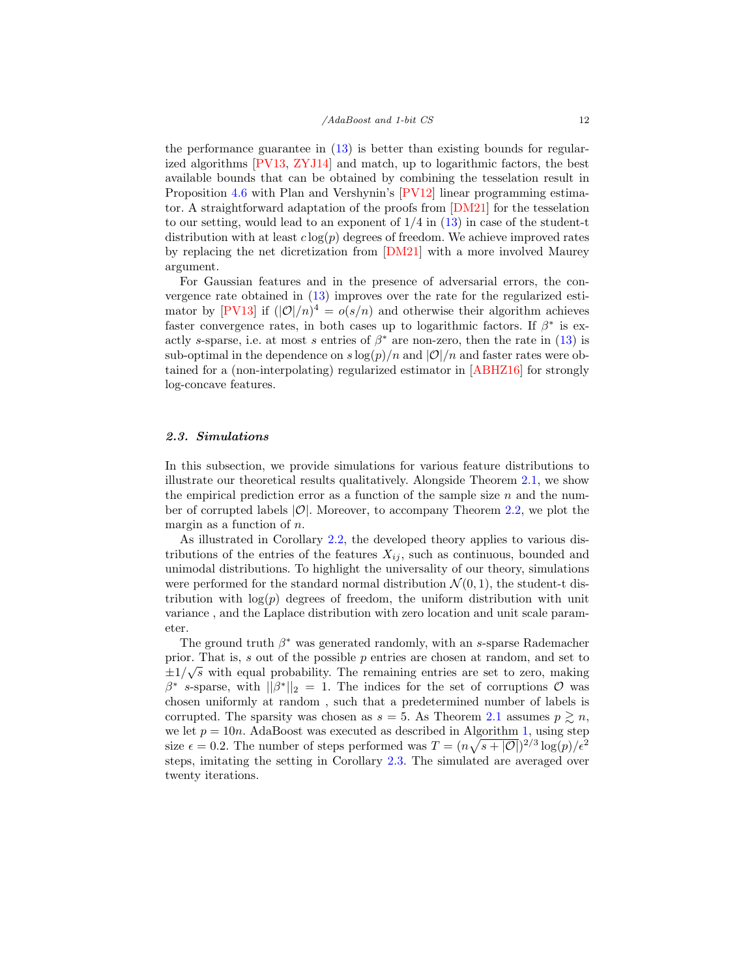the performance guarantee in [\(13\)](#page-10-1) is better than existing bounds for regularized algorithms [\[PV13,](#page-34-12) [ZYJ14\]](#page-35-1) and match, up to logarithmic factors, the best available bounds that can be obtained by combining the tesselation result in Proposition [4.6](#page-21-0) with Plan and Vershynin's [\[PV12\]](#page-34-11) linear programming estimator. A straightforward adaptation of the proofs from [\[DM21\]](#page-32-10) for the tesselation to our setting, would lead to an exponent of  $1/4$  in  $(13)$  in case of the student-t distribution with at least  $c \log(p)$  degrees of freedom. We achieve improved rates by replacing the net dicretization from [\[DM21\]](#page-32-10) with a more involved Maurey argument.

For Gaussian features and in the presence of adversarial errors, the convergence rate obtained in [\(13\)](#page-10-1) improves over the rate for the regularized esti-mator by [\[PV13\]](#page-34-12) if  $(|\mathcal{O}|/n)^4 = o(s/n)$  and otherwise their algorithm achieves faster convergence rates, in both cases up to logarithmic factors. If  $\beta^*$  is exactly s-sparse, i.e. at most s entries of  $\beta^*$  are non-zero, then the rate in [\(13\)](#page-10-1) is sub-optimal in the dependence on  $s \log(p)/n$  and  $|O|/n$  and faster rates were obtained for a (non-interpolating) regularized estimator in [\[ABHZ16\]](#page-31-2) for strongly log-concave features.

#### 2.3. Simulations

In this subsection, we provide simulations for various feature distributions to illustrate our theoretical results qualitatively. Alongside Theorem [2.1,](#page-7-0) we show the empirical prediction error as a function of the sample size  $n$  and the number of corrupted labels  $|\mathcal{O}|$ . Moreover, to accompany Theorem [2.2,](#page-8-1) we plot the margin as a function of  $n$ .

As illustrated in Corollary [2.2,](#page-10-2) the developed theory applies to various distributions of the entries of the features  $X_{ij}$ , such as continuous, bounded and unimodal distributions. To highlight the universality of our theory, simulations were performed for the standard normal distribution  $\mathcal{N}(0, 1)$ , the student-t distribution with  $log(p)$  degrees of freedom, the uniform distribution with unit variance , and the Laplace distribution with zero location and unit scale parameter.

The ground truth  $\beta^*$  was generated randomly, with an s-sparse Rademacher prior. That is, s out of the possible p entries are chosen at random, and set to  $\pm 1/\sqrt{s}$  with equal probability. The remaining entries are set to zero, making  $\beta^*$  s-sparse, with  $\|\beta^*\|_2 = 1$ . The indices for the set of corruptions  $\mathcal O$  was chosen uniformly at random , such that a predetermined number of labels is corrupted. The sparsity was chosen as  $s = 5$ . As Theorem [2.1](#page-7-0) assumes  $p \geq n$ , we let  $p = 10n$ . AdaBoost was executed as described in Algorithm [1,](#page-6-0) using step size  $\epsilon = 0.2$ . The number of steps performed was  $T = (n\sqrt{s+|O|})^{2/3} \log(p)/\epsilon^2$ steps, imitating the setting in Corollary [2.3.](#page-10-0) The simulated are averaged over twenty iterations.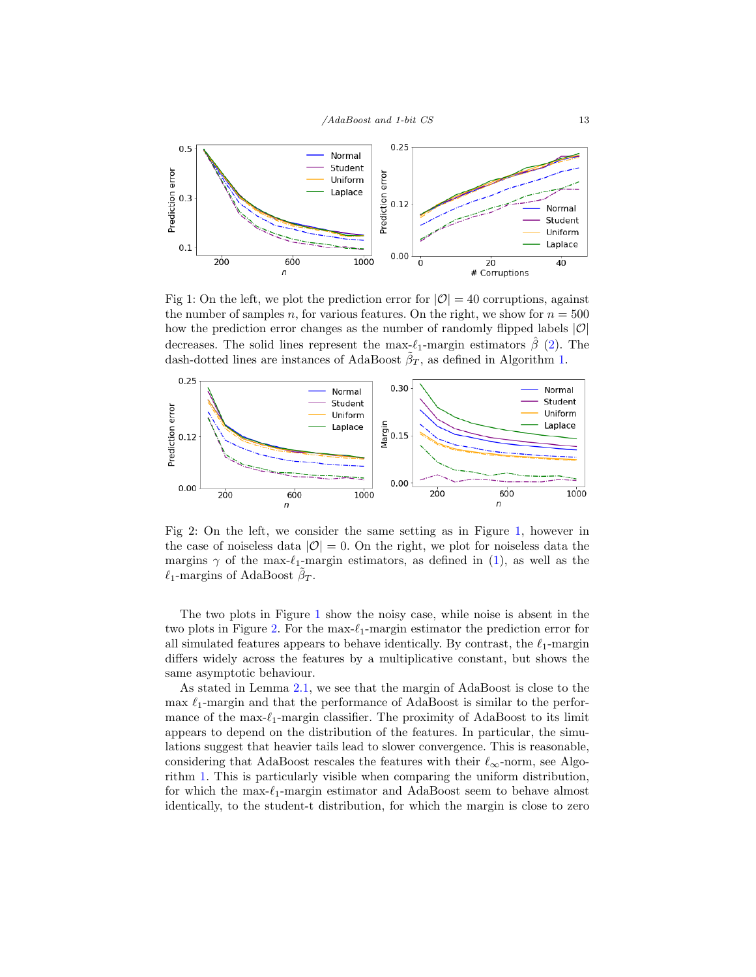<span id="page-12-0"></span>

Fig 1: On the left, we plot the prediction error for  $|O| = 40$  corruptions, against the number of samples n, for various features. On the right, we show for  $n = 500$ how the prediction error changes as the number of randomly flipped labels  $|O|$ decreases. The solid lines represent the max- $\ell_1$ -margin estimators  $\hat{\beta}$  [\(2\)](#page-1-1). The dash-dotted lines are instances of AdaBoost  $\tilde{\beta}_T$ , as defined in Algorithm [1.](#page-6-0)



Fig 2: On the left, we consider the same setting as in Figure [1,](#page-12-0) however in the case of noiseless data  $|O| = 0$ . On the right, we plot for noiseless data the margins  $\gamma$  of the max- $\ell_1$ -margin estimators, as defined in [\(1\)](#page-1-0), as well as the  $\ell_1$ -margins of AdaBoost  $\tilde{\beta}_T$ .

The two plots in Figure [1](#page-12-0) show the noisy case, while noise is absent in the two plots in Figure [2.](#page-12-0) For the max- $\ell_1$ -margin estimator the prediction error for all simulated features appears to behave identically. By contrast, the  $\ell_1$ -margin differs widely across the features by a multiplicative constant, but shows the same asymptotic behaviour.

As stated in Lemma [2.1,](#page-8-0) we see that the margin of AdaBoost is close to the max  $\ell_1$ -margin and that the performance of AdaBoost is similar to the performance of the max- $\ell_1$ -margin classifier. The proximity of AdaBoost to its limit appears to depend on the distribution of the features. In particular, the simulations suggest that heavier tails lead to slower convergence. This is reasonable, considering that AdaBoost rescales the features with their  $\ell_{\infty}$ -norm, see Algorithm [1.](#page-6-0) This is particularly visible when comparing the uniform distribution, for which the max- $\ell_1$ -margin estimator and AdaBoost seem to behave almost identically, to the student-t distribution, for which the margin is close to zero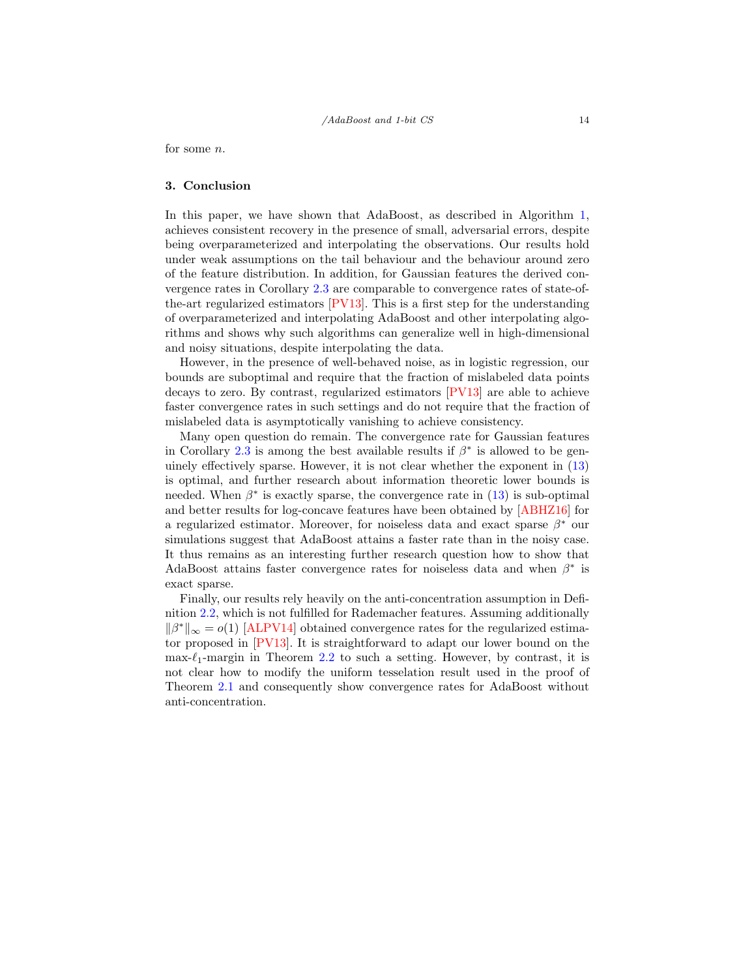for some n.

#### 3. Conclusion

In this paper, we have shown that AdaBoost, as described in Algorithm [1,](#page-6-0) achieves consistent recovery in the presence of small, adversarial errors, despite being overparameterized and interpolating the observations. Our results hold under weak assumptions on the tail behaviour and the behaviour around zero of the feature distribution. In addition, for Gaussian features the derived convergence rates in Corollary [2.3](#page-10-0) are comparable to convergence rates of state-ofthe-art regularized estimators [\[PV13\]](#page-34-12). This is a first step for the understanding of overparameterized and interpolating AdaBoost and other interpolating algorithms and shows why such algorithms can generalize well in high-dimensional and noisy situations, despite interpolating the data.

However, in the presence of well-behaved noise, as in logistic regression, our bounds are suboptimal and require that the fraction of mislabeled data points decays to zero. By contrast, regularized estimators [\[PV13\]](#page-34-12) are able to achieve faster convergence rates in such settings and do not require that the fraction of mislabeled data is asymptotically vanishing to achieve consistency.

Many open question do remain. The convergence rate for Gaussian features in Corollary [2.3](#page-10-0) is among the best available results if  $\beta^*$  is allowed to be genuinely effectively sparse. However, it is not clear whether the exponent in [\(13\)](#page-10-1) is optimal, and further research about information theoretic lower bounds is needed. When  $\beta^*$  is exactly sparse, the convergence rate in  $(13)$  is sub-optimal and better results for log-concave features have been obtained by [\[ABHZ16\]](#page-31-2) for a regularized estimator. Moreover, for noiseless data and exact sparse  $\beta^*$  our simulations suggest that AdaBoost attains a faster rate than in the noisy case. It thus remains as an interesting further research question how to show that AdaBoost attains faster convergence rates for noiseless data and when  $\beta^*$  is exact sparse.

Finally, our results rely heavily on the anti-concentration assumption in Definition [2.2,](#page-5-1) which is not fulfilled for Rademacher features. Assuming additionally  $\|\beta^*\|_{\infty} = o(1)$  [\[ALPV14\]](#page-31-3) obtained convergence rates for the regularized estimator proposed in [\[PV13\]](#page-34-12). It is straightforward to adapt our lower bound on the max- $\ell_1$ -margin in Theorem [2.2](#page-8-1) to such a setting. However, by contrast, it is not clear how to modify the uniform tesselation result used in the proof of Theorem [2.1](#page-7-0) and consequently show convergence rates for AdaBoost without anti-concentration.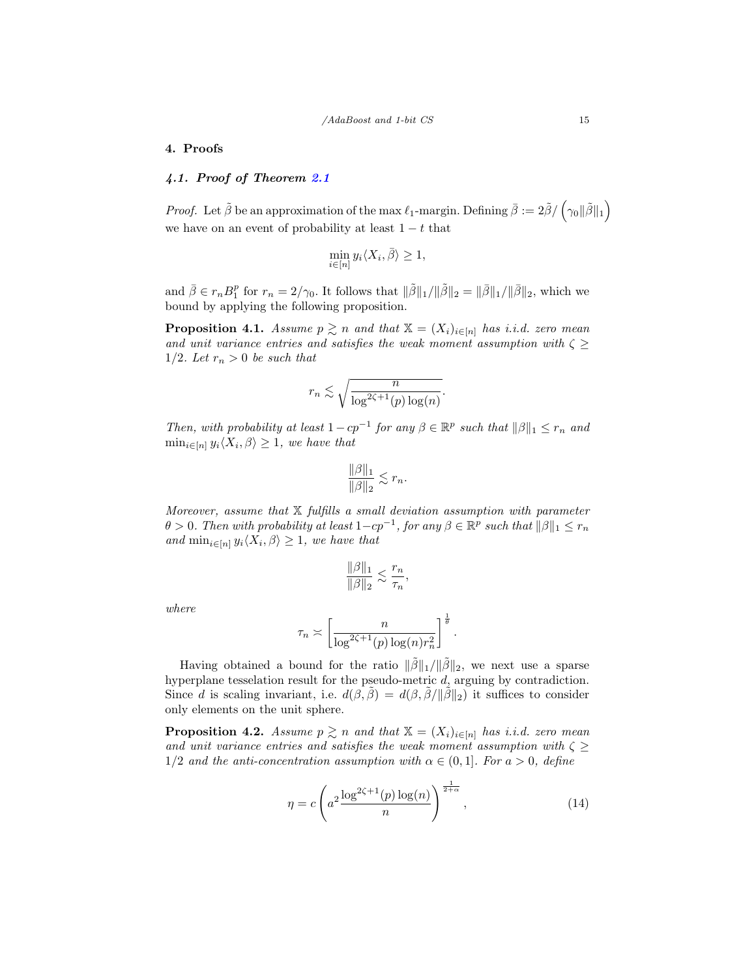#### 4. Proofs

## 4.1. Proof of Theorem [2.1](#page-7-0)

*Proof.* Let  $\tilde{\beta}$  be an approximation of the max  $\ell_1$ -margin. Defining  $\bar{\beta} := 2\tilde{\beta}/(\gamma_0||\tilde{\beta}||_1)$ we have on an event of probability at least  $1 - t$  that

$$
\min_{i \in [n]} y_i \langle X_i, \overline{\beta} \rangle \ge 1,
$$

and  $\bar{\beta} \in r_n B_1^p$  for  $r_n = 2/\gamma_0$ . It follows that  $\|\tilde{\beta}\|_1 / \|\tilde{\beta}\|_2 = \|\bar{\beta}\|_1 / \|\bar{\beta}\|_2$ , which we bound by applying the following proposition.

<span id="page-14-0"></span>**Proposition 4.1.** Assume  $p \geq n$  and that  $\mathbb{X} = (X_i)_{i \in [n]}$  has i.i.d. zero mean and unit variance entries and satisfies the weak moment assumption with  $\zeta \geq$ 1/2. Let  $r_n > 0$  be such that

$$
r_n \lesssim \sqrt{\frac{n}{\log^{2\zeta+1}(p)\log(n)}}.
$$

Then, with probability at least  $1 - cp^{-1}$  for any  $\beta \in \mathbb{R}^p$  such that  $\|\beta\|_1 \leq r_n$  and  $\min_{i \in [n]} y_i \langle X_i, \beta \rangle \geq 1$ , we have that

$$
\frac{\|\beta\|_1}{\|\beta\|_2} \lesssim r_n.
$$

Moreover, assume that  $X$  fulfills a small deviation assumption with parameter  $\theta > 0$ . Then with probability at least  $1 - cp^{-1}$ , for any  $\beta \in \mathbb{R}^p$  such that  $||\beta||_1 \leq r_n$ and  $\min_{i \in [n]} y_i \langle X_i, \beta \rangle \geq 1$ , we have that

$$
\frac{\|\beta\|_1}{\|\beta\|_2} \lesssim \frac{r_n}{\tau_n},
$$

where

$$
\tau_n \asymp \left[ \frac{n}{\log^{2\zeta + 1}(p) \log(n) r_n^2} \right]^{\frac{1}{\theta}}
$$

Having obtained a bound for the ratio  $\|\tilde{\beta}\|_1/\|\tilde{\beta}\|_2$ , we next use a sparse hyperplane tesselation result for the pseudo-metric d, arguing by contradiction. Since d is scaling invariant, i.e.  $d(\beta, \tilde{\beta}) = d(\beta, \tilde{\beta}/\|\tilde{\beta}\|_2)$  it suffices to consider only elements on the unit sphere.

**Proposition 4.2.** Assume  $p \geq n$  and that  $\mathbb{X} = (X_i)_{i \in [n]}$  has i.i.d. zero mean and unit variance entries and satisfies the weak moment assumption with  $\zeta \geq$ 1/2 and the anti-concentration assumption with  $\alpha \in (0,1]$ . For  $a > 0$ , define

$$
\eta = c \left( a^2 \frac{\log^{2\zeta + 1}(p) \log(n)}{n} \right)^{\frac{1}{2 + \alpha}}, \tag{14}
$$

.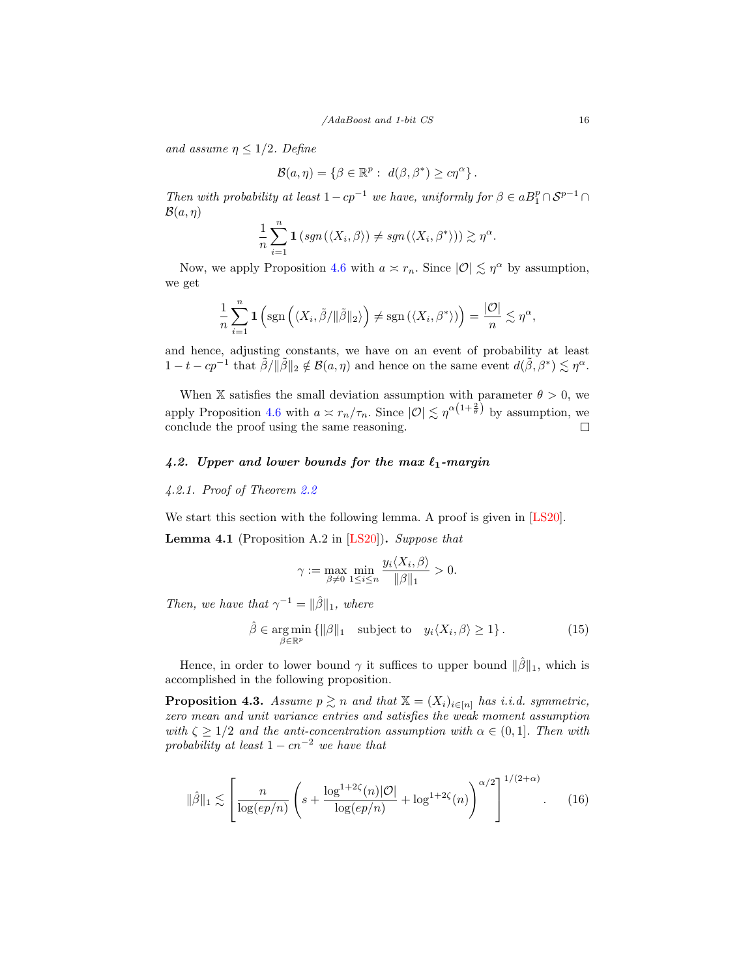and assume  $\eta \leq 1/2$ . Define

$$
\mathcal{B}(a,\eta) = \{ \beta \in \mathbb{R}^p : d(\beta, \beta^*) \geq c\eta^{\alpha} \}.
$$

Then with probability at least  $1-cp^{-1}$  we have, uniformly for  $\beta \in aB_1^p \cap S^{p-1} \cap$  $\mathcal{B}(a, \eta)$ 

$$
\frac{1}{n}\sum_{i=1}^n \mathbf{1}\left(\operatorname{sgn}\left(\langle X_i,\beta\rangle\right)\neq \operatorname{sgn}\left(\langle X_i,\beta^*\rangle\right)\right) \gtrsim \eta^{\alpha}.
$$

Now, we apply Proposition [4.6](#page-21-0) with  $a \asymp r_n$ . Since  $|O| \lesssim \eta^{\alpha}$  by assumption, we get

$$
\frac{1}{n}\sum_{i=1}^n \mathbf{1}\left(\text{sgn}\left(\langle X_i,\tilde{\beta}/\|\tilde{\beta}\|_2\rangle\right)\neq \text{sgn}\left(\langle X_i,\beta^*\rangle\right)\right) = \frac{|\mathcal{O}|}{n} \lesssim \eta^{\alpha},
$$

and hence, adjusting constants, we have on an event of probability at least  $1-t-cp^{-1}$  that  $\tilde{\beta}/\|\tilde{\beta}\|_2 \notin \mathcal{B}(a,\eta)$  and hence on the same event  $d(\tilde{\beta},\beta^*) \lesssim \eta^{\alpha}$ .

When X satisfies the small deviation assumption with parameter  $\theta > 0$ , we apply Proposition [4.6](#page-21-0) with  $a \n\t\asymp r_n/\tau_n$ . Since  $|\mathcal{O}| \n\t\lesssim \eta^{\alpha(1+\frac{2}{\theta})}$  by assumption, we conclude the proof using the same reasoning.  $\Box$ 

# 4.2. Upper and lower bounds for the max  $\ell_1$ -margin

#### 4.2.1. Proof of Theorem [2.2](#page-8-1)

We start this section with the following lemma. A proof is given in [\[LS20\]](#page-33-4).

<span id="page-15-0"></span>**Lemma 4.1** (Proposition A.2 in  $[LS20]$ ). Suppose that

$$
\gamma := \max_{\beta \neq 0} \min_{1 \le i \le n} \frac{y_i \langle X_i, \beta \rangle}{\|\beta\|_1} > 0.
$$

Then, we have that  $\gamma^{-1} = ||\hat{\beta}||_1$ , where

<span id="page-15-2"></span>
$$
\hat{\beta} \in \underset{\beta \in \mathbb{R}^p}{\text{arg min}} \left\{ \|\beta\|_1 \quad \text{subject to} \quad y_i \langle X_i, \beta \rangle \ge 1 \right\}. \tag{15}
$$

Hence, in order to lower bound  $\gamma$  it suffices to upper bound  $\|\hat{\beta}\|_1$ , which is accomplished in the following proposition.

<span id="page-15-1"></span>**Proposition 4.3.** Assume  $p \geq n$  and that  $X = (X_i)_{i \in [n]}$  has i.i.d. symmetric, zero mean and unit variance entries and satisfies the weak moment assumption with  $\zeta \geq 1/2$  and the anti-concentration assumption with  $\alpha \in (0,1]$ . Then with probability at least  $1 - cn^{-2}$  we have that

$$
\|\hat{\beta}\|_1 \lesssim \left[\frac{n}{\log(ep/n)} \left(s + \frac{\log^{1+2\zeta}(n)|\mathcal{O}|}{\log(ep/n)} + \log^{1+2\zeta}(n)\right)^{\alpha/2}\right]^{1/(2+\alpha)}.\tag{16}
$$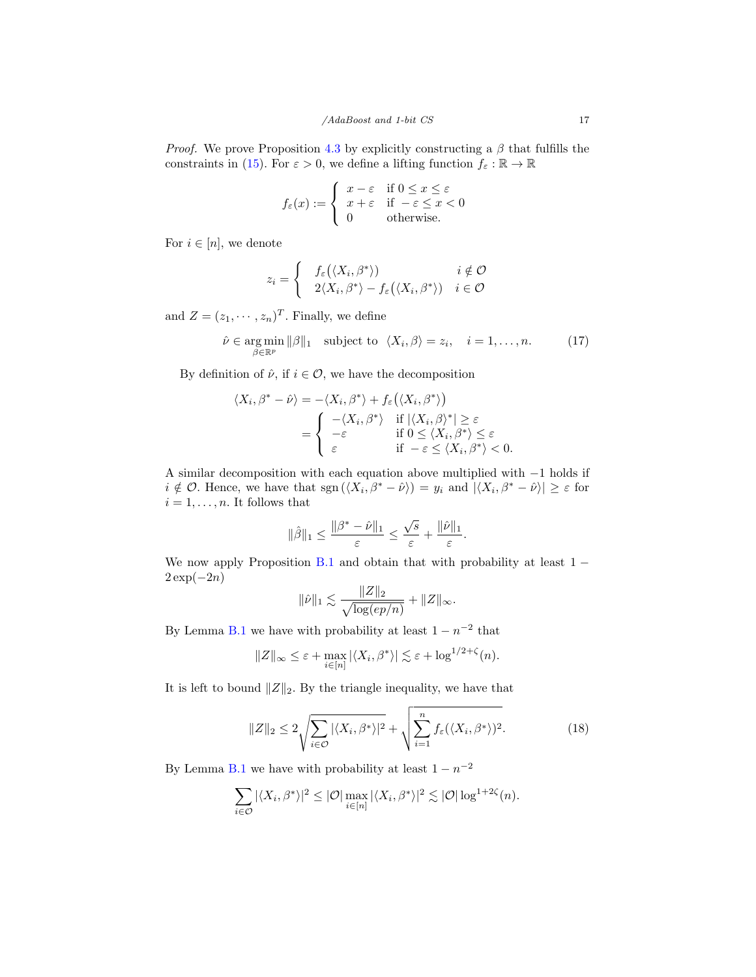*Proof.* We prove Proposition [4.3](#page-15-1) by explicitly constructing a  $\beta$  that fulfills the constraints in [\(15\)](#page-15-2). For  $\varepsilon > 0$ , we define a lifting function  $f_{\varepsilon} : \mathbb{R} \to \mathbb{R}$ 

$$
f_{\varepsilon}(x) := \begin{cases} x - \varepsilon & \text{if } 0 \le x \le \varepsilon \\ x + \varepsilon & \text{if } -\varepsilon \le x < 0 \\ 0 & \text{otherwise.} \end{cases}
$$

For  $i \in [n]$ , we denote

$$
z_i = \begin{cases} f_{\varepsilon}(\langle X_i, \beta^* \rangle) & i \notin \mathcal{O} \\ 2\langle X_i, \beta^* \rangle - f_{\varepsilon}(\langle X_i, \beta^* \rangle) & i \in \mathcal{O} \end{cases}
$$

and  $Z = (z_1, \dots, z_n)^T$ . Finally, we define

$$
\hat{\nu} \in \underset{\beta \in \mathbb{R}^p}{\arg \min} \|\beta\|_1 \quad \text{subject to} \quad \langle X_i, \beta \rangle = z_i, \quad i = 1, \dots, n. \tag{17}
$$

By definition of  $\hat{\nu}$ , if  $i \in \mathcal{O}$ , we have the decomposition

$$
\langle X_i, \beta^* - \hat{\nu} \rangle = -\langle X_i, \beta^* \rangle + f_{\varepsilon} (\langle X_i, \beta^* \rangle)
$$
  
= 
$$
\begin{cases} -\langle X_i, \beta^* \rangle & \text{if } |\langle X_i, \beta \rangle^*| \ge \varepsilon \\ -\varepsilon & \text{if } 0 \le \langle X_i, \beta^* \rangle \le \varepsilon \\ \varepsilon & \text{if } -\varepsilon \le \langle X_i, \beta^* \rangle < 0. \end{cases}
$$

A similar decomposition with each equation above multiplied with −1 holds if  $i \notin \mathcal{O}$ . Hence, we have that  $sgn(\langle X_i, \beta^* - \hat{\nu} \rangle) = y_i$  and  $|\langle X_i, \beta^* - \hat{\nu} \rangle| \geq \varepsilon$  for  $i = 1, \ldots, n$ . It follows that

$$
\|\hat{\beta}\|_1 \le \frac{\|\beta^* - \hat{\nu}\|_1}{\varepsilon} \le \frac{\sqrt{s}}{\varepsilon} + \frac{\|\hat{\nu}\|_1}{\varepsilon}.
$$

We now apply Proposition [B.1](#page-37-0) and obtain that with probability at least  $1 2 \exp(-2n)$ 

<span id="page-16-0"></span>
$$
\|\hat{\nu}\|_1 \lesssim \frac{\|Z\|_2}{\sqrt{\log(ep/n)}} + \|Z\|_{\infty}.
$$

By Lemma [B.1](#page-36-0) we have with probability at least  $1 - n^{-2}$  that

$$
||Z||_{\infty} \leq \varepsilon + \max_{i \in [n]} |\langle X_i, \beta^* \rangle| \lesssim \varepsilon + \log^{1/2+\zeta}(n).
$$

It is left to bound  $||Z||_2$ . By the triangle inequality, we have that

$$
||Z||_2 \le 2\sqrt{\sum_{i\in\mathcal{O}}|\langle X_i, \beta^*\rangle|^2} + \sqrt{\sum_{i=1}^n f_{\varepsilon}(\langle X_i, \beta^*\rangle)^2}.
$$
 (18)

By Lemma [B.1](#page-36-0) we have with probability at least  $1 - n^{-2}$ 

$$
\sum_{i\in\mathcal{O}}|\langle X_i,\beta^*\rangle|^2\leq |\mathcal{O}|\max_{i\in[n]}|\langle X_i,\beta^*\rangle|^2\lesssim |\mathcal{O}|\log^{1+2\zeta}(n).
$$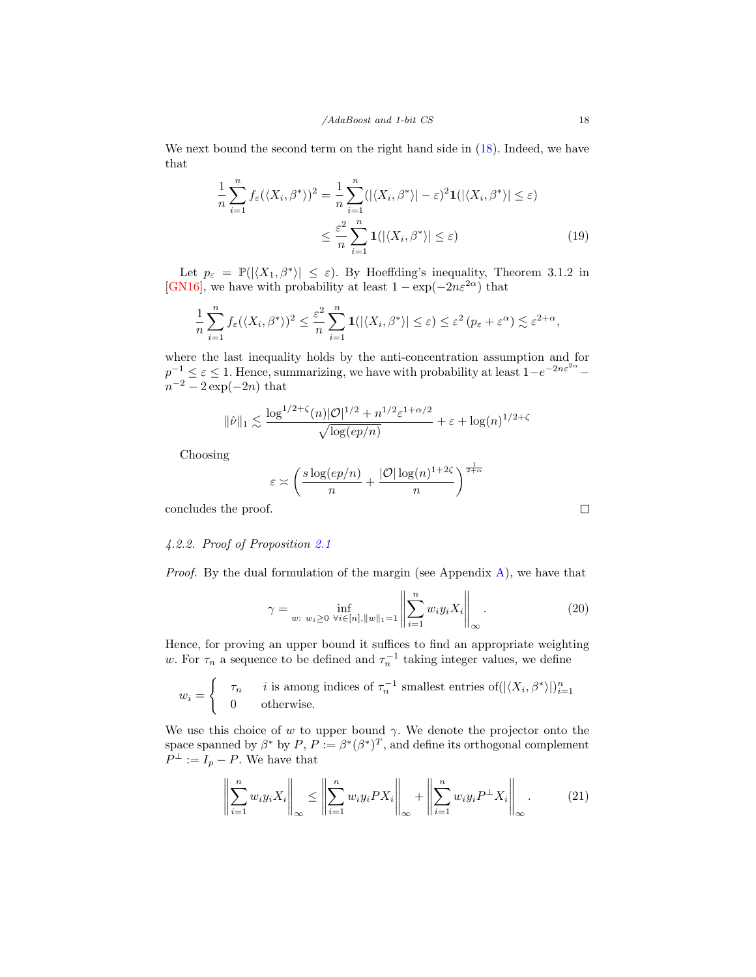We next bound the second term on the right hand side in  $(18)$ . Indeed, we have that

$$
\frac{1}{n}\sum_{i=1}^{n}f_{\varepsilon}(\langle X_{i},\beta^{*}\rangle)^{2} = \frac{1}{n}\sum_{i=1}^{n}(|\langle X_{i},\beta^{*}\rangle|-\varepsilon)^{2}\mathbf{1}(|\langle X_{i},\beta^{*}\rangle| \leq \varepsilon)
$$

$$
\leq \frac{\varepsilon^{2}}{n}\sum_{i=1}^{n}\mathbf{1}(|\langle X_{i},\beta^{*}\rangle| \leq \varepsilon)
$$
(19)

Let  $p_{\varepsilon} = \mathbb{P}(|\langle X_1, \beta^* \rangle| \leq \varepsilon)$ . By Hoeffding's inequality, Theorem 3.1.2 in [\[GN16\]](#page-33-12), we have with probability at least  $1 - \exp(-2n\varepsilon^{2\alpha})$  that

$$
\frac{1}{n}\sum_{i=1}^n f_{\varepsilon}(\langle X_i, \beta^* \rangle)^2 \leq \frac{\varepsilon^2}{n}\sum_{i=1}^n \mathbf{1}(|\langle X_i, \beta^* \rangle| \leq \varepsilon) \leq \varepsilon^2 (p_{\varepsilon} + \varepsilon^{\alpha}) \lesssim \varepsilon^{2+\alpha},
$$

where the last inequality holds by the anti-concentration assumption and for  $p^{-1} \leq \varepsilon \leq 1$ . Hence, summarizing, we have with probability at least  $1-e^{-2n\varepsilon^{2\alpha}}$  $n^{-2} - 2 \exp(-2n)$  that

$$
\|\hat{\nu}\|_1 \lesssim \frac{\log^{1/2+\zeta}(n)|\mathcal{O}|^{1/2} + n^{1/2}\varepsilon^{1+\alpha/2}}{\sqrt{\log(ep/n)}} + \varepsilon + \log(n)^{1/2+\zeta}
$$

Choosing

$$
\varepsilon \asymp \left(\frac{s\log(ep/n)}{n} + \frac{|\mathcal{O}|\log(n)^{1+2\zeta}}{n}\right)^{\frac{1}{2+\alpha}}
$$

concludes the proof.

# 4.2.2. Proof of Proposition [2.1](#page-9-0)

*Proof.* By the dual formulation of the margin (see Appendix  $\bf{A}$ ), we have that

$$
\gamma = \inf_{w: \ w_i \ge 0} \ \inf_{\forall i \in [n], ||w||_1 = 1} \left\| \sum_{i=1}^n w_i y_i X_i \right\|_{\infty} . \tag{20}
$$

Hence, for proving an upper bound it suffices to find an appropriate weighting w. For  $\tau_n$  a sequence to be defined and  $\tau_n^{-1}$  taking integer values, we define

$$
w_i = \begin{cases} \tau_n & i \text{ is among indices of } \tau_n^{-1} \text{ smallest entries of } (\langle X_i, \beta^* \rangle |)_{i=1}^n \\ 0 & \text{otherwise.} \end{cases}
$$

We use this choice of w to upper bound  $\gamma$ . We denote the projector onto the space spanned by  $\beta^*$  by  $P, P := \beta^* (\beta^*)^T$ , and define its orthogonal complement  $P^{\perp} := I_p - P$ . We have that

$$
\left\| \sum_{i=1}^{n} w_i y_i X_i \right\|_{\infty} \le \left\| \sum_{i=1}^{n} w_i y_i P X_i \right\|_{\infty} + \left\| \sum_{i=1}^{n} w_i y_i P^{\perp} X_i \right\|_{\infty}.
$$
 (21)

<span id="page-17-0"></span> $\Box$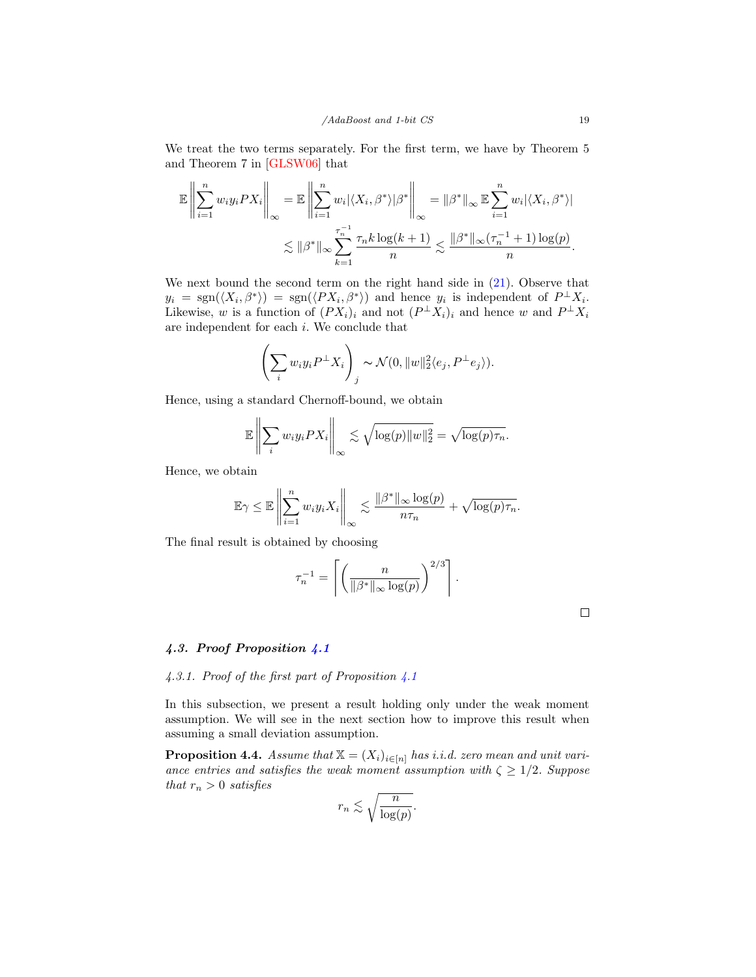We treat the two terms separately. For the first term, we have by Theorem 5 and Theorem 7 in [\[GLSW06\]](#page-33-13) that

$$
\mathbb{E}\left\|\sum_{i=1}^n w_i y_i P X_i\right\|_{\infty} = \mathbb{E}\left\|\sum_{i=1}^n w_i |\langle X_i, \beta^* \rangle| \beta^*\right\|_{\infty} = \|\beta^*\|_{\infty} \mathbb{E}\sum_{i=1}^n w_i |\langle X_i, \beta^* \rangle|
$$
  

$$
\lesssim \|\beta^*\|_{\infty} \sum_{k=1}^{\tau_n^{-1}} \frac{\tau_n k \log(k+1)}{n} \lesssim \frac{\|\beta^*\|_{\infty} (\tau_n^{-1} + 1) \log(p)}{n}.
$$

We next bound the second term on the right hand side in  $(21)$ . Observe that  $y_i = \text{sgn}(\langle X_i, \beta^* \rangle) = \text{sgn}(\langle PX_i, \beta^* \rangle)$  and hence  $y_i$  is independent of  $P^{\perp}X_i$ . Likewise, w is a function of  $(PX_i)_i$  and not  $(P^{\perp}X_i)_i$  and hence w and  $P^{\perp}X_i$ are independent for each i. We conclude that

$$
\left(\sum_i w_i y_i P^{\perp} X_i\right)_j \sim \mathcal{N}(0, \|w\|_2^2 \langle e_j, P^{\perp} e_j \rangle).
$$

Hence, using a standard Chernoff-bound, we obtain

$$
\mathbb{E}\left\|\sum_{i} w_i y_i PX_i\right\|_{\infty} \lesssim \sqrt{\log(p)\|w\|_2^2} = \sqrt{\log(p)\tau_n}.
$$

Hence, we obtain

$$
\mathbb{E}\gamma \leq \mathbb{E}\left\|\sum_{i=1}^n w_i y_i X_i\right\|_{\infty} \lesssim \frac{\|\beta^*\|_{\infty} \log(p)}{n\tau_n} + \sqrt{\log(p)\tau_n}.
$$

The final result is obtained by choosing

$$
\tau_n^{-1} = \left\lceil \left( \frac{n}{\|\beta^*\|_{\infty} \log(p)} \right)^{2/3} \right\rceil.
$$

#### 4.3. Proof Proposition [4.1](#page-14-0)

#### 4.3.1. Proof of the first part of Proposition  $\angle 4.1$  $\angle 4.1$

In this subsection, we present a result holding only under the weak moment assumption. We will see in the next section how to improve this result when assuming a small deviation assumption.

**Proposition 4.4.** Assume that  $X = (X_i)_{i \in [n]}$  has i.i.d. zero mean and unit variance entries and satisfies the weak moment assumption with  $\zeta \geq 1/2$ . Suppose that  $r_n > 0$  satisfies

$$
r_n \lesssim \sqrt{\frac{n}{\log(p)}}.
$$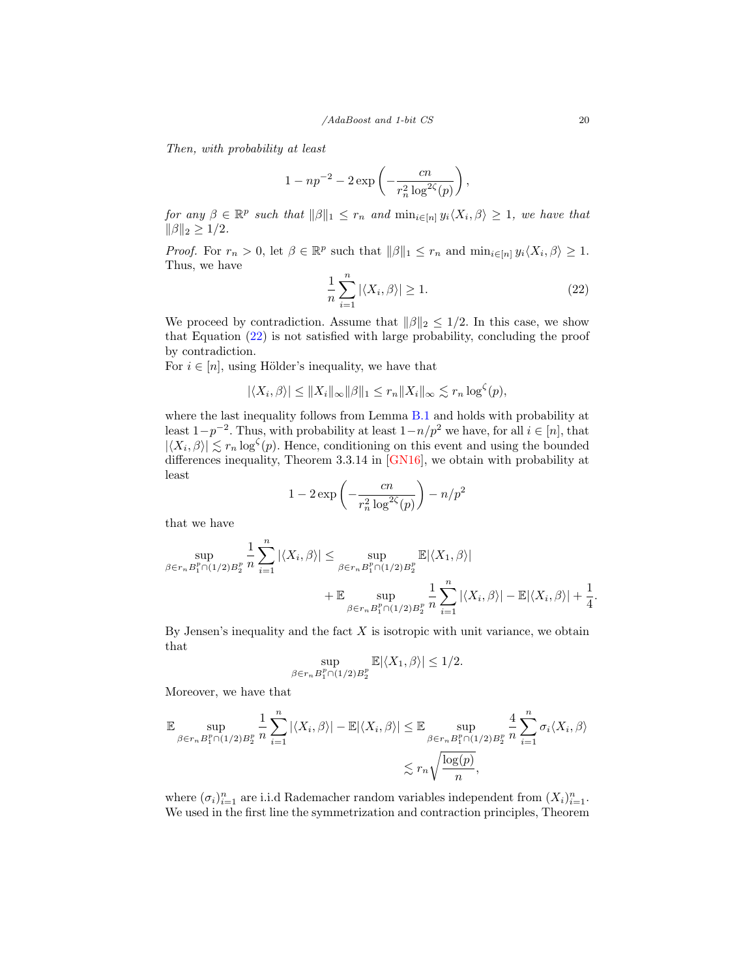Then, with probability at least

$$
1 - np^{-2} - 2 \exp\left(-\frac{cn}{r_n^2 \log^{2\zeta}(p)}\right),\,
$$

for any  $\beta \in \mathbb{R}^p$  such that  $\|\beta\|_1 \leq r_n$  and  $\min_{i \in [n]} y_i \langle X_i, \beta \rangle \geq 1$ , we have that  $\|\beta\|_2 \geq 1/2$ .

*Proof.* For  $r_n > 0$ , let  $\beta \in \mathbb{R}^p$  such that  $\|\beta\|_1 \leq r_n$  and  $\min_{i \in [n]} y_i \langle X_i, \beta \rangle \geq 1$ . Thus, we have

<span id="page-19-0"></span>
$$
\frac{1}{n}\sum_{i=1}^{n} |\langle X_i, \beta \rangle| \ge 1.
$$
\n(22)

We proceed by contradiction. Assume that  $\|\beta\|_2 \leq 1/2$ . In this case, we show that Equation [\(22\)](#page-19-0) is not satisfied with large probability, concluding the proof by contradiction.

For  $i \in [n]$ , using Hölder's inequality, we have that

$$
|\langle X_i, \beta \rangle| \le ||X_i||_{\infty} ||\beta||_1 \le r_n ||X_i||_{\infty} \lesssim r_n \log^{\zeta}(p),
$$

where the last inequality follows from Lemma [B.1](#page-36-0) and holds with probability at least  $1-p^{-2}$ . Thus, with probability at least  $1-n/p^2$  we have, for all  $i \in [n]$ , that  $|\langle X_i, \beta \rangle| \lesssim r_n \log^{\zeta}(p)$ . Hence, conditioning on this event and using the bounded differences inequality, Theorem 3.3.14 in [\[GN16\]](#page-33-12), we obtain with probability at least

$$
1 - 2\exp\left(-\frac{cn}{r_n^2 \log^{2\zeta}(p)}\right) - n/p^2
$$

that we have

$$
\sup_{\beta \in r_n B_1^p \cap (1/2) B_2^p} \frac{1}{n} \sum_{i=1}^n |\langle X_i, \beta \rangle| \le \sup_{\beta \in r_n B_1^p \cap (1/2) B_2^p} \mathbb{E} |\langle X_1, \beta \rangle|
$$
  
+ 
$$
\mathbb{E} \sup_{\beta \in r_n B_1^p \cap (1/2) B_2^p} \frac{1}{n} \sum_{i=1}^n |\langle X_i, \beta \rangle| - \mathbb{E} |\langle X_i, \beta \rangle| + \frac{1}{4}
$$

By Jensen's inequality and the fact  $X$  is isotropic with unit variance, we obtain that

$$
\sup_{\beta \in r_n B_1^p \cap (1/2)B_2^p} \mathbb{E} |\langle X_1, \beta \rangle| \le 1/2.
$$

Moreover, we have that

$$
\mathbb{E} \sup_{\beta \in r_n B_1^p \cap (1/2) B_2^p} \frac{1}{n} \sum_{i=1}^n |\langle X_i, \beta \rangle| - \mathbb{E} |\langle X_i, \beta \rangle| \leq \mathbb{E} \sup_{\beta \in r_n B_1^p \cap (1/2) B_2^p} \frac{4}{n} \sum_{i=1}^n \sigma_i \langle X_i, \beta \rangle
$$
  

$$
\lesssim r_n \sqrt{\frac{\log(p)}{n}},
$$

where  $(\sigma_i)_{i=1}^n$  are i.i.d Rademacher random variables independent from  $(X_i)_{i=1}^n$ . We used in the first line the symmetrization and contraction principles, Theorem

.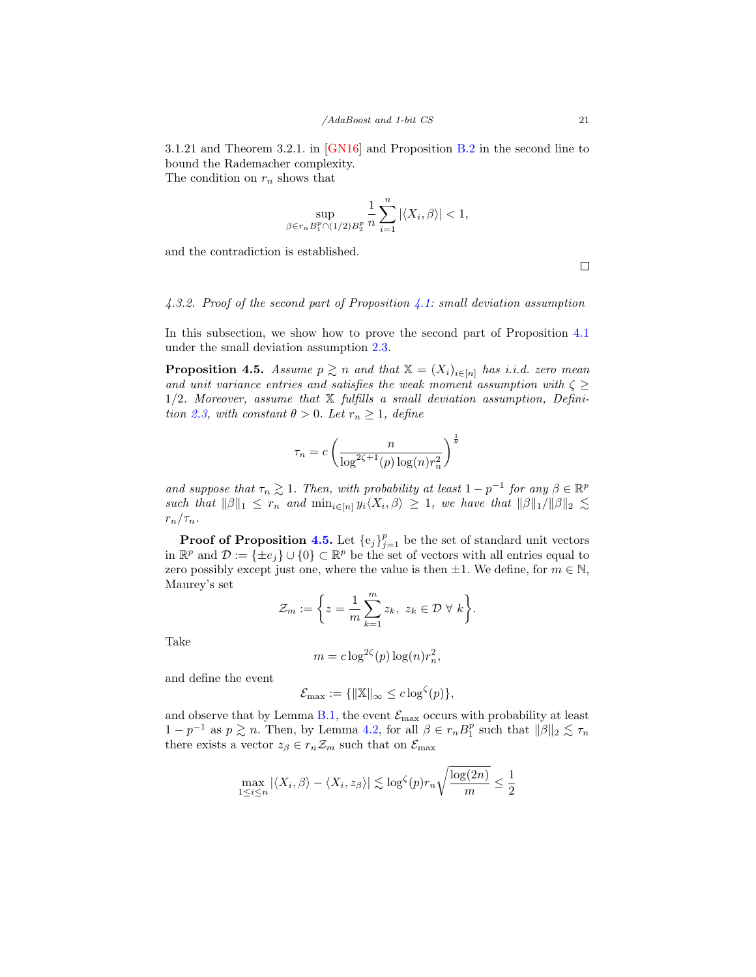3.1.21 and Theorem 3.2.1. in [\[GN16\]](#page-33-12) and Proposition [B.2](#page-37-1) in the second line to bound the Rademacher complexity. The condition on  $r_n$  shows that

$$
\sup_{\beta \in r_n B_1^p \cap (1/2) B_2^p} \frac{1}{n} \sum_{i=1}^n |\langle X_i, \beta \rangle| < 1,
$$

and the contradiction is established.

 $\Box$ 

# 4.3.2. Proof of the second part of Proposition [4.1:](#page-14-0) small deviation assumption

In this subsection, we show how to prove the second part of Proposition [4.1](#page-14-0) under the small deviation assumption [2.3.](#page-6-2)

<span id="page-20-0"></span>**Proposition 4.5.** Assume  $p \geq n$  and that  $\mathbb{X} = (X_i)_{i \in [n]}$  has i.i.d. zero mean and unit variance entries and satisfies the weak moment assumption with  $\zeta \geq$  $1/2$ . Moreover, assume that  $X$  fulfills a small deviation assumption, Defini-tion [2.3,](#page-6-2) with constant  $\theta > 0$ . Let  $r_n \geq 1$ , define

$$
\tau_n = c \left( \frac{n}{\log^{2\zeta + 1}(p) \log(n) r_n^2} \right)^{\frac{1}{\theta}}
$$

and suppose that  $\tau_n \gtrsim 1$ . Then, with probability at least  $1 - p^{-1}$  for any  $\beta \in \mathbb{R}^p$ such that  $\|\beta\|_1 \leq r_n$  and  $\min_{i \in [n]} y_i \langle X_i, \beta \rangle \geq 1$ , we have that  $\|\beta\|_1 / \|\beta\|_2 \lesssim$  $r_n/\tau_n$ .

**Proof of Proposition [4.5.](#page-20-0)** Let  $\{e_j\}_{j=1}^p$  be the set of standard unit vectors in  $\mathbb{R}^p$  and  $\mathcal{D} := {\pm e_j} \cup \{0\} \subset \mathbb{R}^p$  be the set of vectors with all entries equal to zero possibly except just one, where the value is then  $\pm 1$ . We define, for  $m \in \mathbb{N}$ , Maurey's set

$$
\mathcal{Z}_m := \bigg\{ z = \frac{1}{m} \sum_{k=1}^m z_k, \ z_k \in \mathcal{D} \ \forall \ k \bigg\}.
$$

Take

$$
m = c \log^{2\zeta}(p) \log(n) r_n^2,
$$

and define the event

$$
\mathcal{E}_{\max} := \{ ||\mathbb{X}||_{\infty} \leq c \log^{\zeta}(p) \},
$$

and observe that by Lemma [B.1,](#page-36-0) the event  $\mathcal{E}_{\text{max}}$  occurs with probability at least  $1-p^{-1}$  as  $p \gtrsim n$ . Then, by Lemma [4.2,](#page-24-0) for all  $\beta \in r_n B_1^p$  such that  $\|\beta\|_2 \lesssim \tau_n$ there exists a vector  $z_{\beta} \in r_n \mathcal{Z}_m$  such that on  $\mathcal{E}_{\text{max}}$ 

$$
\max_{1 \le i \le n} |\langle X_i, \beta \rangle - \langle X_i, z_{\beta} \rangle| \lesssim \log^{\zeta}(p) r_n \sqrt{\frac{\log(2n)}{m}} \le \frac{1}{2}
$$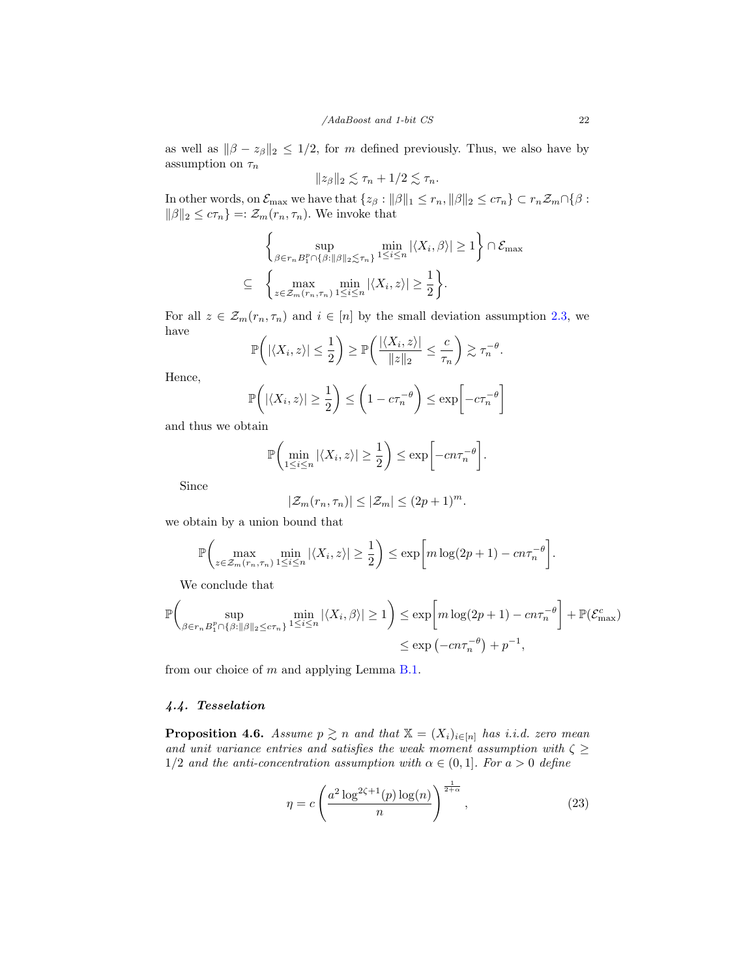as well as  $\|\beta - z_{\beta}\|_2 \leq 1/2$ , for m defined previously. Thus, we also have by assumption on  $\tau_n$ 

$$
||z_{\beta}||_2 \lesssim \tau_n + 1/2 \lesssim \tau_n.
$$

In other words, on  $\mathcal{E}_{\text{max}}$  we have that  $\{z_{\beta}: ||\beta||_1 \leq r_n, ||\beta||_2 \leq c\tau_n\} \subset r_n\mathcal{Z}_m \cap \{\beta:$  $\|\beta\|_2 \leq c\tau_n$ } =:  $\mathcal{Z}_m(r_n, \tau_n)$ . We invoke that

$$
\left\{\sup_{\beta \in r_n B_1^p \cap \{\beta:\|\beta\|_2 \le \tau_n\}} \min_{1 \le i \le n} |\langle X_i, \beta \rangle| \ge 1 \right\} \cap \mathcal{E}_{\max}
$$
  

$$
\subseteq \left\{\max_{z \in \mathcal{Z}_m(r_n, \tau_n)} \min_{1 \le i \le n} |\langle X_i, z \rangle| \ge \frac{1}{2} \right\}.
$$

For all  $z \in \mathcal{Z}_m(r_n, \tau_n)$  and  $i \in [n]$  by the small deviation assumption [2.3,](#page-6-2) we have  $\mathbf{A}$ 

$$
\mathbb{P}\bigg( |\langle X_i, z \rangle| \leq \frac{1}{2} \bigg) \geq \mathbb{P}\bigg( \frac{|\langle X_i, z \rangle|}{\|z\|_2} \leq \frac{c}{\tau_n} \bigg) \gtrsim \tau_n^{-\theta}.
$$

Hence,

$$
\mathbb{P}\left(|\langle X_i, z \rangle| \ge \frac{1}{2}\right) \le \left(1 - c\tau_n^{-\theta}\right) \le \exp\left[-c\tau_n^{-\theta}\right]
$$

and thus we obtain

$$
\mathbb{P}\bigg(\min_{1\leq i\leq n}|\langle X_i,z\rangle|\geq\frac{1}{2}\bigg)\leq \exp\bigg[-cn\tau_n^{-\theta}\bigg].
$$

Since

$$
|\mathcal{Z}_m(r_n,\tau_n)| \leq |\mathcal{Z}_m| \leq (2p+1)^m.
$$

we obtain by a union bound that

$$
\mathbb{P}\bigg(\max_{z\in\mathcal{Z}_m(r_n,\tau_n)}\min_{1\leq i\leq n}|\langle X_i,z\rangle|\geq\frac{1}{2}\bigg)\leq \exp\bigg[m\log(2p+1)-cn\tau_n^{-\theta}\bigg].
$$

We conclude that

$$
\mathbb{P}\left(\sup_{\beta \in r_n B_1^p \cap \{\beta : \|\beta\|_2 \le c\tau_n\}} \min_{1 \le i \le n} |\langle X_i, \beta \rangle| \ge 1\right) \le \exp\left[m \log(2p + 1) - cn\tau_n^{-\theta}\right] + \mathbb{P}(\mathcal{E}_{\max}^c)
$$

$$
\le \exp\left(-cn\tau_n^{-\theta}\right) + p^{-1},
$$

from our choice of m and applying Lemma [B.1.](#page-36-0)

# 4.4. Tesselation

<span id="page-21-0"></span>**Proposition 4.6.** Assume  $p \geq n$  and that  $\mathbb{X} = (X_i)_{i \in [n]}$  has i.i.d. zero mean and unit variance entries and satisfies the weak moment assumption with  $\zeta \geq$ 1/2 and the anti-concentration assumption with  $\alpha \in (0,1]$ . For  $a > 0$  define

<span id="page-21-1"></span>
$$
\eta = c \left( \frac{a^2 \log^{2\zeta + 1}(p) \log(n)}{n} \right)^{\frac{1}{2 + \alpha}}, \tag{23}
$$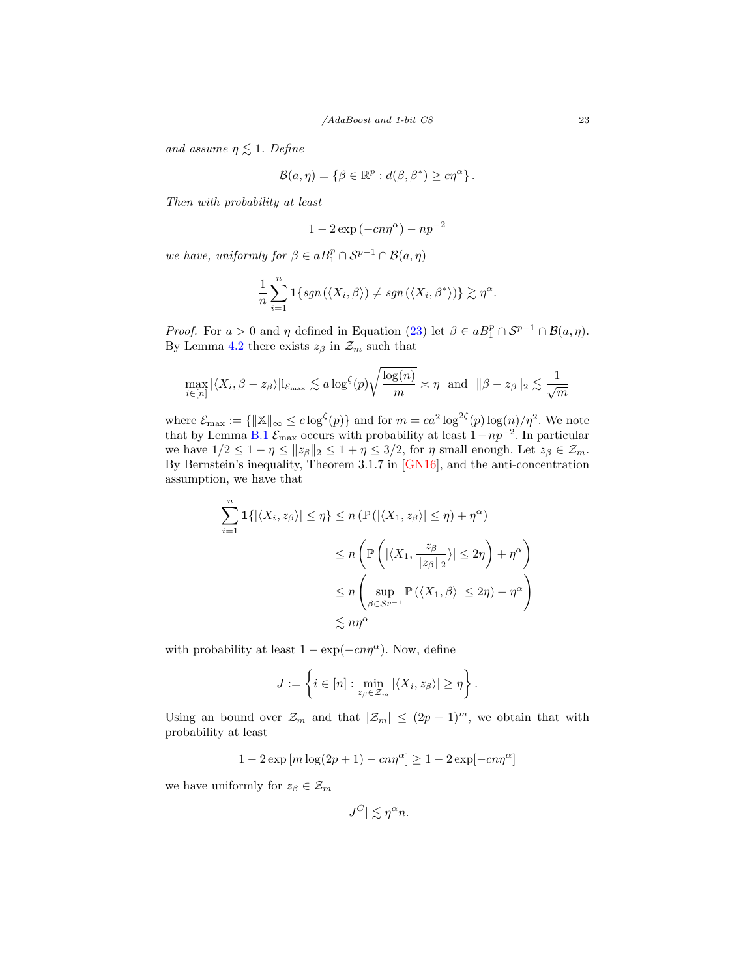and assume  $\eta \lesssim 1$ . Define

$$
\mathcal{B}(a,\eta) = \{ \beta \in \mathbb{R}^p : d(\beta, \beta^*) \geq c\eta^{\alpha} \}.
$$

Then with probability at least

$$
1 - 2\exp(-cn\eta^{\alpha}) - np^{-2}
$$

we have, uniformly for  $\beta \in aB_1^p \cap \mathcal{S}^{p-1} \cap \mathcal{B}(a, \eta)$ 

$$
\frac{1}{n}\sum_{i=1}^n \mathbf{1}\{sgn(\langle X_i,\beta\rangle) \neq sgn(\langle X_i,\beta^*\rangle)\}\gtrsim \eta^{\alpha}.
$$

*Proof.* For  $a > 0$  and  $\eta$  defined in Equation [\(23\)](#page-21-1) let  $\beta \in aB_1^p \cap S^{p-1} \cap B(a, \eta)$ . By Lemma [4.2](#page-24-0) there exists  $z_{\beta}$  in  $\mathcal{Z}_m$  such that

$$
\max_{i \in [n]} |\langle X_i, \beta - z_{\beta} \rangle| \mathbb{I}_{\mathcal{E}_{\max}} \lesssim a \log^{\zeta}(p) \sqrt{\frac{\log(n)}{m}} \asymp \eta \text{ and } ||\beta - z_{\beta}||_2 \lesssim \frac{1}{\sqrt{m}}
$$

where  $\mathcal{E}_{\text{max}} := \{ ||\mathbb{X}||_{\infty} \leq c \log^{c}(p) \}$  and for  $m = ca^2 \log^{2c}(p) \log(n)/\eta^2$ . We note that by Lemma [B.1](#page-36-0)  $\mathcal{E}_{\text{max}}$  occurs with probability at least  $1 - np^{-2}$ . In particular we have  $1/2 \leq 1 - \eta \leq ||z_{\beta}||_2 \leq 1 + \eta \leq 3/2$ , for  $\eta$  small enough. Let  $z_{\beta} \in \mathcal{Z}_m$ . By Bernstein's inequality, Theorem 3.1.7 in [\[GN16\]](#page-33-12), and the anti-concentration assumption, we have that

$$
\sum_{i=1}^{n} \mathbf{1}\{|\langle X_i, z_{\beta}\rangle| \leq \eta\} \leq n \left(\mathbb{P}\left(|\langle X_1, z_{\beta}\rangle| \leq \eta\right) + \eta^{\alpha}\right)
$$
  

$$
\leq n \left(\mathbb{P}\left(|\langle X_1, \frac{z_{\beta}}{\|z_{\beta}\|_2}\rangle| \leq 2\eta\right) + \eta^{\alpha}\right)
$$
  

$$
\leq n \left(\sup_{\beta \in S^{p-1}} \mathbb{P}\left(\langle X_1, \beta \rangle| \leq 2\eta\right) + \eta^{\alpha}\right)
$$
  

$$
\lesssim n\eta^{\alpha}
$$

with probability at least  $1 - \exp(-cn\eta^{\alpha})$ . Now, define

$$
J := \left\{ i \in [n] : \min_{z_{\beta} \in \mathcal{Z}_m} |\langle X_i, z_{\beta} \rangle| \geq \eta \right\}.
$$

Using an bound over  $\mathcal{Z}_m$  and that  $|\mathcal{Z}_m| \leq (2p+1)^m$ , we obtain that with probability at least

$$
1-2\exp\left[m\log(2p+1)-c n\eta^\alpha\right]\geq 1-2\exp[-c n\eta^\alpha]
$$

we have uniformly for  $z_{\beta} \in \mathcal{Z}_m$ 

$$
|J^C| \lesssim \eta^{\alpha} n.
$$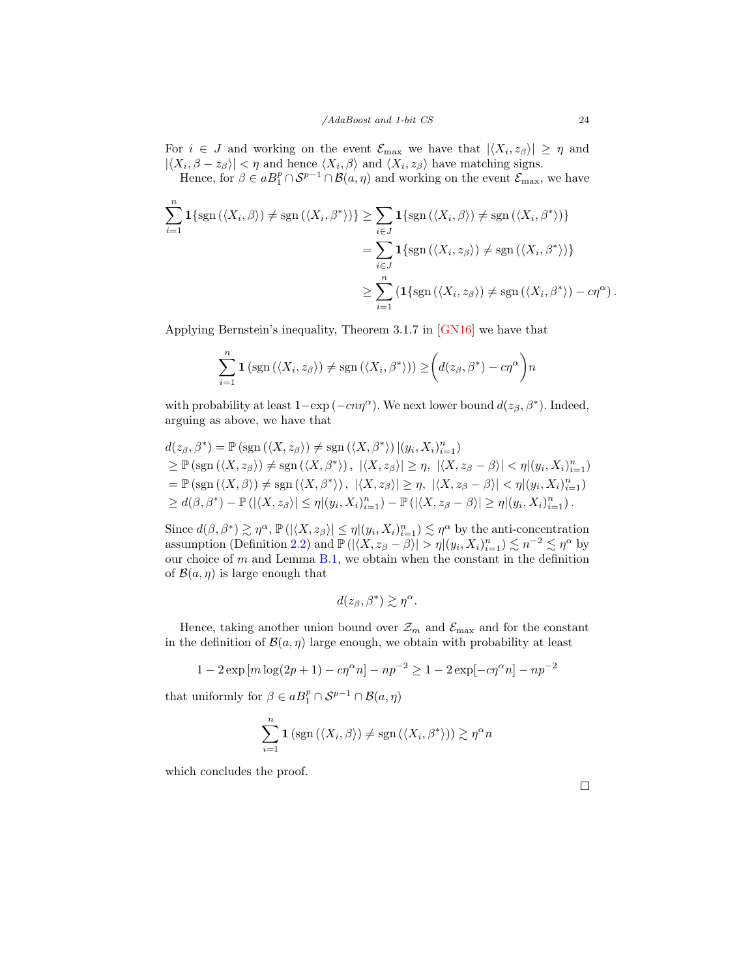For  $i \in J$  and working on the event  $\mathcal{E}_{\text{max}}$  we have that  $|\langle X_i, z_{\beta} \rangle| \geq \eta$  and  $|\langle X_i, \beta - z_\beta \rangle| < \eta$  and hence  $\langle X_i, \beta \rangle$  and  $\langle X_i, z_\beta \rangle$  have matching signs.

Hence, for  $\beta \in aB_1^p \cap S^{p-1} \cap B(a, \eta)$  and working on the event  $\mathcal{E}_{\text{max}}$ , we have

$$
\sum_{i=1}^{n} \mathbf{1} \{ \text{sgn}(\langle X_i, \beta \rangle) \neq \text{sgn}(\langle X_i, \beta^* \rangle) \} \geq \sum_{i \in J} \mathbf{1} \{ \text{sgn}(\langle X_i, \beta \rangle) \neq \text{sgn}(\langle X_i, \beta^* \rangle) \}
$$

$$
= \sum_{i \in J} \mathbf{1} \{ \text{sgn}(\langle X_i, z_{\beta} \rangle) \neq \text{sgn}(\langle X_i, \beta^* \rangle) \}
$$

$$
\geq \sum_{i=1}^{n} \left( \mathbf{1} \{ \text{sgn}(\langle X_i, z_{\beta} \rangle) \neq \text{sgn}(\langle X_i, \beta^* \rangle) - c\eta^{\alpha} \right).
$$

Applying Bernstein's inequality, Theorem 3.1.7 in [\[GN16\]](#page-33-12) we have that

$$
\sum_{i=1}^{n} \mathbf{1} \left( \text{sgn} \left( \langle X_i, z_{\beta} \rangle \right) \neq \text{sgn} \left( \langle X_i, \beta^* \rangle \right) \right) \geq \left( d(z_{\beta}, \beta^*) - c \eta^{\alpha} \right) n
$$

with probability at least  $1-\exp(-cn\eta^{\alpha})$ . We next lower bound  $d(z_{\beta}, \beta^*)$ . Indeed, arguing as above, we have that

$$
d(z_{\beta}, \beta^*) = \mathbb{P}\left(\text{sgn}\left(\langle X, z_{\beta}\rangle\right) \neq \text{sgn}\left(\langle X, \beta^*\rangle\right) | (y_i, X_i)_{i=1}^n\right)
$$
  
\n
$$
\geq \mathbb{P}\left(\text{sgn}\left(\langle X, z_{\beta}\rangle\right) \neq \text{sgn}\left(\langle X, \beta^*\rangle\right), \ |\langle X, z_{\beta}\rangle| \geq \eta, \ |\langle X, z_{\beta} - \beta \rangle| < \eta | (y_i, X_i)_{i=1}^n\right)
$$
  
\n
$$
= \mathbb{P}\left(\text{sgn}\left(\langle X, \beta \rangle\right) \neq \text{sgn}\left(\langle X, \beta^*\rangle\right), \ |\langle X, z_{\beta}\rangle| \geq \eta, \ |\langle X, z_{\beta} - \beta \rangle| < \eta | (y_i, X_i)_{i=1}^n\right)
$$
  
\n
$$
\geq d(\beta, \beta^*) - \mathbb{P}\left(\left|\langle X, z_{\beta}\rangle\right| \leq \eta | (y_i, X_i)_{i=1}^n\right) - \mathbb{P}\left(\left|\langle X, z_{\beta} - \beta \rangle\right| \geq \eta | (y_i, X_i)_{i=1}^n\right).
$$

Since  $d(\beta, \beta^*) \gtrsim \eta^{\alpha}$ ,  $\mathbb{P}(|\langle X, z_{\beta} \rangle| \leq \eta |(y_i, X_i)_{i=1}^n) \lesssim \eta^{\alpha}$  by the anti-concentration assumption (Definition [2.2\)](#page-5-1) and  $\mathbb{P}(|\langle X, z_{\beta}-\beta \rangle| > \eta |(y_i, X_i)_{i=1}^n) \lesssim n^{-2} \lesssim \eta^{\alpha}$  by our choice of  $m$  and Lemma [B.1,](#page-36-0) we obtain when the constant in the definition of  $\mathcal{B}(a, \eta)$  is large enough that

$$
d(z_{\beta}, \beta^*) \gtrsim \eta^{\alpha}.
$$

Hence, taking another union bound over  $\mathcal{Z}_m$  and  $\mathcal{E}_{\text{max}}$  and for the constant in the definition of  $\mathcal{B}(a, \eta)$  large enough, we obtain with probability at least

 $1 - 2 \exp[m \log(2p + 1) - c\eta^{\alpha}n] - np^{-2} \ge 1 - 2 \exp[-c\eta^{\alpha}n] - np^{-2}$ 

that uniformly for  $\beta \in aB_1^p \cap \mathcal{S}^{p-1} \cap \mathcal{B}(a, \eta)$ 

$$
\sum_{i=1}^{n} \mathbf{1} \left( \text{sgn} \left( \langle X_i, \beta \rangle \right) \neq \text{sgn} \left( \langle X_i, \beta^* \rangle \right) \right) \gtrsim \eta^{\alpha} n
$$

which concludes the proof.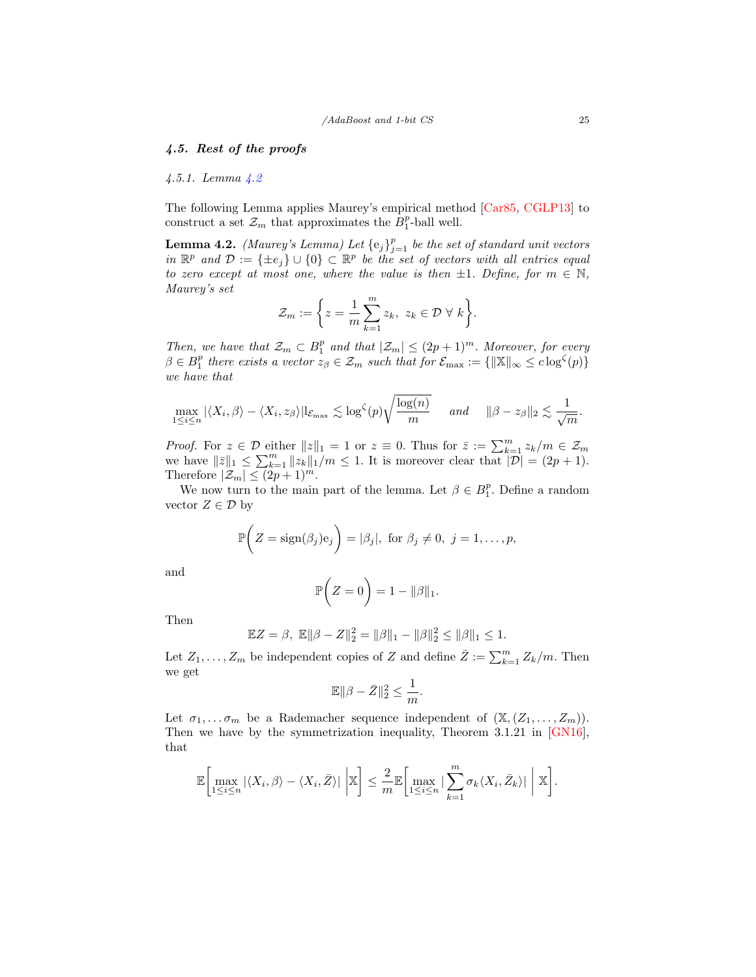## 4.5. Rest of the proofs

#### 4.5.1. Lemma [4.2](#page-24-0)

The following Lemma applies Maurey's empirical method [\[Car85,](#page-32-14) [CGLP13\]](#page-32-15) to construct a set  $\mathcal{Z}_m$  that approximates the  $B_1^p$ -ball well.

<span id="page-24-0"></span>**Lemma 4.2.** (Maurey's Lemma) Let  $\{e_j\}_{j=1}^p$  be the set of standard unit vectors in  $\mathbb{R}^p$  and  $\mathcal{D} := \{\pm e_j\} \cup \{0\} \subset \mathbb{R}^p$  be the set of vectors with all entries equal to zero except at most one, where the value is then  $\pm 1$ . Define, for  $m \in \mathbb{N}$ , Maurey's set

$$
\mathcal{Z}_m := \bigg\{ z = \frac{1}{m} \sum_{k=1}^m z_k, \ z_k \in \mathcal{D} \ \forall \ k \bigg\}.
$$

Then, we have that  $\mathcal{Z}_m \subset B_1^p$  and that  $|\mathcal{Z}_m| \leq (2p+1)^m$ . Moreover, for every  $\beta \in B_1^p$  there exists a vector  $z_{\beta} \in \mathcal{Z}_m$  such that for  $\mathcal{E}_{\text{max}} := \{ ||\mathbb{X}||_{\infty} \leq c \log^{\zeta}(p) \}$ we have that

$$
\max_{1 \leq i \leq n} |\langle X_i, \beta \rangle - \langle X_i, z_{\beta} \rangle| \mathbb{I}_{\mathcal{E}_{\text{max}}} \lesssim \log^{\zeta}(p) \sqrt{\frac{\log(n)}{m}} \quad \text{and} \quad \|\beta - z_{\beta}\|_2 \lesssim \frac{1}{\sqrt{m}}.
$$

*Proof.* For  $z \in \mathcal{D}$  either  $||z||_1 = 1$  or  $z \equiv 0$ . Thus for  $\overline{z} := \sum_{k=1}^m z_k/m \in \mathcal{Z}_m$ we have  $||\bar{z}||_1 \leq \sum_{k=1}^m ||\ddot{z_k}||_1/m \leq 1$ . It is moreover clear that  $|\mathcal{D}| = (2p + 1)$ . Therefore  $|\mathcal{Z}_m| \leq (2p+1)^m$ .

We now turn to the main part of the lemma. Let  $\beta \in B_1^p$ . Define a random vector  $Z \in \mathcal{D}$  by

$$
\mathbb{P}\bigg(Z=\text{sign}(\beta_j)\mathbf{e}_j\bigg)=|\beta_j|, \text{ for }\beta_j\neq 0, j=1,\ldots,p,
$$

and

$$
\mathbb{P}\bigg(Z=0\bigg)=1-\|\beta\|_1.
$$

Then

$$
\mathbb{E}Z = \beta, \ \mathbb{E}||\beta - Z||_2^2 = ||\beta||_1 - ||\beta||_2^2 \le ||\beta||_1 \le 1.
$$

Let  $Z_1, \ldots, Z_m$  be independent copies of Z and define  $\overline{Z} := \sum_{k=1}^m Z_k/m$ . Then we get

$$
\mathbb{E}\|\beta-\bar{Z}\|_2^2 \le \frac{1}{m}.
$$

Let  $\sigma_1, \ldots, \sigma_m$  be a Rademacher sequence independent of  $(\mathbb{X}, (Z_1, \ldots, Z_m))$ . Then we have by the symmetrization inequality, Theorem 3.1.21 in [\[GN16\]](#page-33-12), that

$$
\mathbb{E}\bigg[\max_{1\leq i\leq n}|\langle X_i,\beta\rangle-\langle X_i,\bar{Z}\rangle|\,\bigg|\mathbb{X}\bigg]\leq \frac{2}{m}\mathbb{E}\bigg[\max_{1\leq i\leq n}|\sum_{k=1}^m\sigma_k\langle X_i,\bar{Z}_k\rangle|\,\bigg|\,\mathbb{X}\bigg].
$$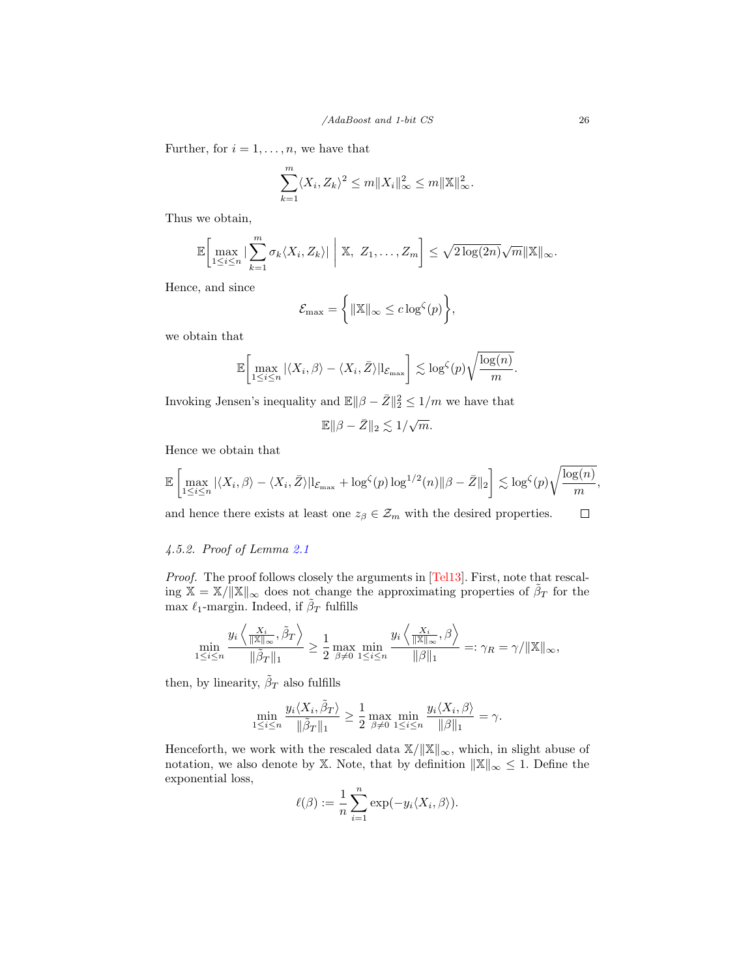Further, for  $i = 1, \ldots, n$ , we have that

$$
\sum_{k=1}^{m} \langle X_i, Z_k \rangle^2 \le m \|X_i\|_{\infty}^2 \le m \|\mathbb{X}\|_{\infty}^2.
$$

Thus we obtain,

$$
\mathbb{E}\bigg[\max_{1\leq i\leq n}|\sum_{k=1}^m\sigma_k\langle X_i,Z_k\rangle|\bigg|\mathbb{X},\ Z_1,\ldots,Z_m\bigg]\leq \sqrt{2\log(2n)}\sqrt{m}\|\mathbb{X}\|_{\infty}.
$$

Hence, and since

$$
\mathcal{E}_{\max} = \left\{ \|\mathbb{X}\|_{\infty} \leq c \log^{\zeta}(p) \right\},\
$$

we obtain that

$$
\mathbb{E}\bigg[\max_{1\leq i\leq n} |\langle X_i, \beta \rangle - \langle X_i, \bar{Z} \rangle| \mathbb{I}_{\mathcal{E}_{\text{max}}}\bigg] \lesssim \log^{\zeta}(p) \sqrt{\frac{\log(n)}{m}}
$$

Invoking Jensen's inequality and  $\mathbb{E} \|\beta - \bar{Z}\|_2^2 \leq 1/m$  we have that

$$
\mathbb{E}\|\beta-\bar{Z}\|_2\lesssim 1/\sqrt{m}.
$$

Hence we obtain that

$$
\mathbb{E}\left[\max_{1\leq i\leq n}|\langle X_i,\beta\rangle-\langle X_i,\bar{Z}\rangle|{\mathbf{1}}_{\mathcal{E}_{\max}}+\log^{\zeta}(p)\log^{1/2}(n)\|\beta-\bar{Z}\|_2\right]\lesssim \log^{\zeta}(p)\sqrt{\frac{\log(n)}{m}},
$$

and hence there exists at least one  $z_\beta\in \mathcal{Z}_m$  with the desired properties.  $\Box$ 

# 4.5.2. Proof of Lemma [2.1](#page-8-0)

Proof. The proof follows closely the arguments in [\[Tel13\]](#page-34-4). First, note that rescaling  $X = X/\Vert X \Vert_{\infty}$  does not change the approximating properties of  $\tilde{\beta}_T$  for the max  $\ell_1$ -margin. Indeed, if  $\tilde{\beta}_T$  fulfills

$$
\min_{1 \leq i \leq n} \frac{y_i \left\langle \frac{X_i}{\|\mathbb{X}\|_{\infty}}, \tilde{\beta}_T \right\rangle}{\|\tilde{\beta}_T\|_1} \geq \frac{1}{2} \max_{\beta \neq 0} \min_{1 \leq i \leq n} \frac{y_i \left\langle \frac{X_i}{\|\mathbb{X}\|_{\infty}}, \beta \right\rangle}{\|\beta\|_1} =: \gamma_R = \gamma / \|\mathbb{X}\|_{\infty},
$$

then, by linearity,  $\tilde{\beta}_T$  also fulfills

$$
\min_{1 \le i \le n} \frac{y_i \langle X_i, \tilde{\beta}_T \rangle}{\|\tilde{\beta}_T\|_1} \ge \frac{1}{2} \max_{\beta \neq 0} \min_{1 \le i \le n} \frac{y_i \langle X_i, \beta \rangle}{\|\beta\|_1} = \gamma.
$$

Henceforth, we work with the rescaled data  $\mathbb{X}/\|\mathbb{X}\|_{\infty}$ , which, in slight abuse of notation, we also denote by X. Note, that by definition  $\|\mathbb{X}\|_{\infty} \leq 1$ . Define the exponential loss,

$$
\ell(\beta) := \frac{1}{n} \sum_{i=1}^{n} \exp(-y_i \langle X_i, \beta \rangle).
$$

.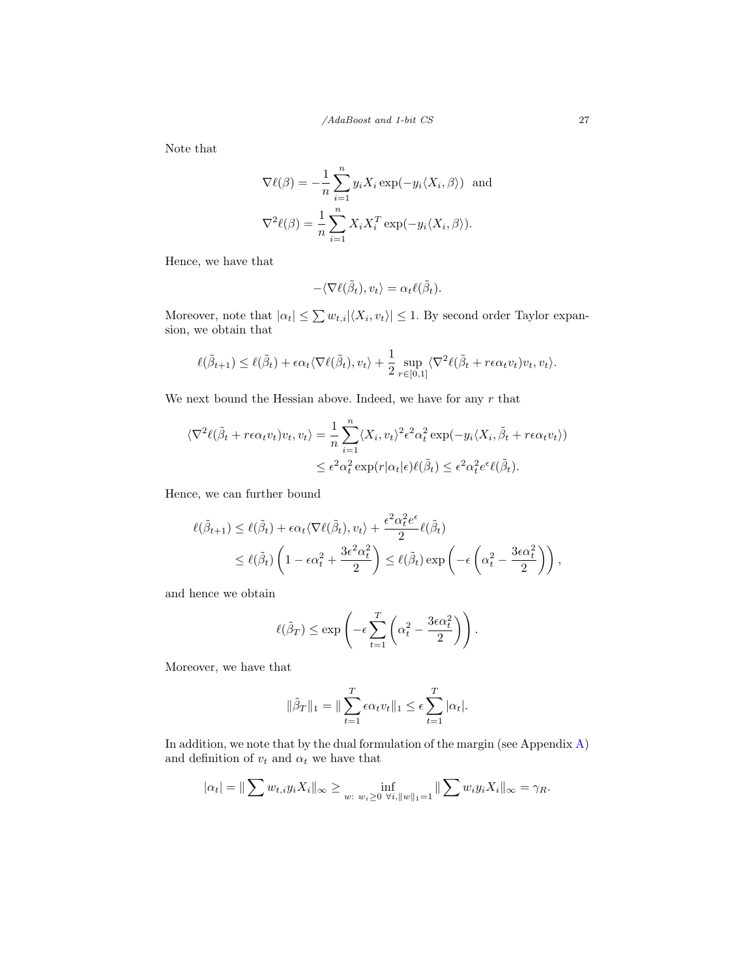Note that

$$
\nabla \ell(\beta) = -\frac{1}{n} \sum_{i=1}^{n} y_i X_i \exp(-y_i \langle X_i, \beta \rangle) \text{ and}
$$

$$
\nabla^2 \ell(\beta) = \frac{1}{n} \sum_{i=1}^{n} X_i X_i^T \exp(-y_i \langle X_i, \beta \rangle).
$$

Hence, we have that

$$
-\langle \nabla \ell(\tilde{\beta}_t), v_t \rangle = \alpha_t \ell(\tilde{\beta}_t).
$$

Moreover, note that  $|\alpha_t| \leq \sum w_{t,i} |\langle X_i, v_t \rangle| \leq 1$ . By second order Taylor expansion, we obtain that

$$
\ell(\tilde{\beta}_{t+1}) \leq \ell(\tilde{\beta}_{t}) + \epsilon \alpha_{t} \langle \nabla \ell(\tilde{\beta}_{t}), v_{t} \rangle + \frac{1}{2} \sup_{r \in [0,1]} \langle \nabla^{2} \ell(\tilde{\beta}_{t} + r\epsilon \alpha_{t} v_{t}) v_{t}, v_{t} \rangle.
$$

We next bound the Hessian above. Indeed, we have for any  $r$  that

$$
\langle \nabla^2 \ell(\tilde{\beta}_t + r\epsilon \alpha_t v_t) v_t, v_t \rangle = \frac{1}{n} \sum_{i=1}^n \langle X_i, v_t \rangle^2 \epsilon^2 \alpha_t^2 \exp(-y_i \langle X_i, \tilde{\beta}_t + r\epsilon \alpha_t v_t \rangle)
$$
  

$$
\leq \epsilon^2 \alpha_t^2 \exp(r|\alpha_t|\epsilon) \ell(\tilde{\beta}_t) \leq \epsilon^2 \alpha_t^2 \epsilon^{\epsilon} \ell(\tilde{\beta}_t).
$$

Hence, we can further bound

$$
\ell(\tilde{\beta}_{t+1}) \leq \ell(\tilde{\beta}_{t}) + \epsilon \alpha_{t} \langle \nabla \ell(\tilde{\beta}_{t}), v_{t} \rangle + \frac{\epsilon^{2} \alpha_{t}^{2} e^{\epsilon}}{2} \ell(\tilde{\beta}_{t})
$$
  

$$
\leq \ell(\tilde{\beta}_{t}) \left( 1 - \epsilon \alpha_{t}^{2} + \frac{3 \epsilon^{2} \alpha_{t}^{2}}{2} \right) \leq \ell(\tilde{\beta}_{t}) \exp \left( -\epsilon \left( \alpha_{t}^{2} - \frac{3 \epsilon \alpha_{t}^{2}}{2} \right) \right),
$$

and hence we obtain

$$
\ell(\tilde{\beta}_T) \le \exp\left(-\epsilon \sum_{t=1}^T \left(\alpha_t^2 - \frac{3\epsilon \alpha_t^2}{2}\right)\right).
$$

Moreover, we have that

$$
\|\tilde{\beta}_T\|_1 = \|\sum_{t=1}^T \epsilon \alpha_t v_t\|_1 \le \epsilon \sum_{t=1}^T |\alpha_t|.
$$

In addition, we note that by the dual formulation of the margin (see Appendix [A\)](#page-35-5) and definition of  $v_t$  and  $\alpha_t$  we have that

$$
|\alpha_t| = ||\sum w_{t,i} y_i X_i||_{\infty} \ge \inf_{w: w_i \ge 0} \inf_{\forall i, ||w||_1 = 1} ||\sum w_i y_i X_i||_{\infty} = \gamma_R.
$$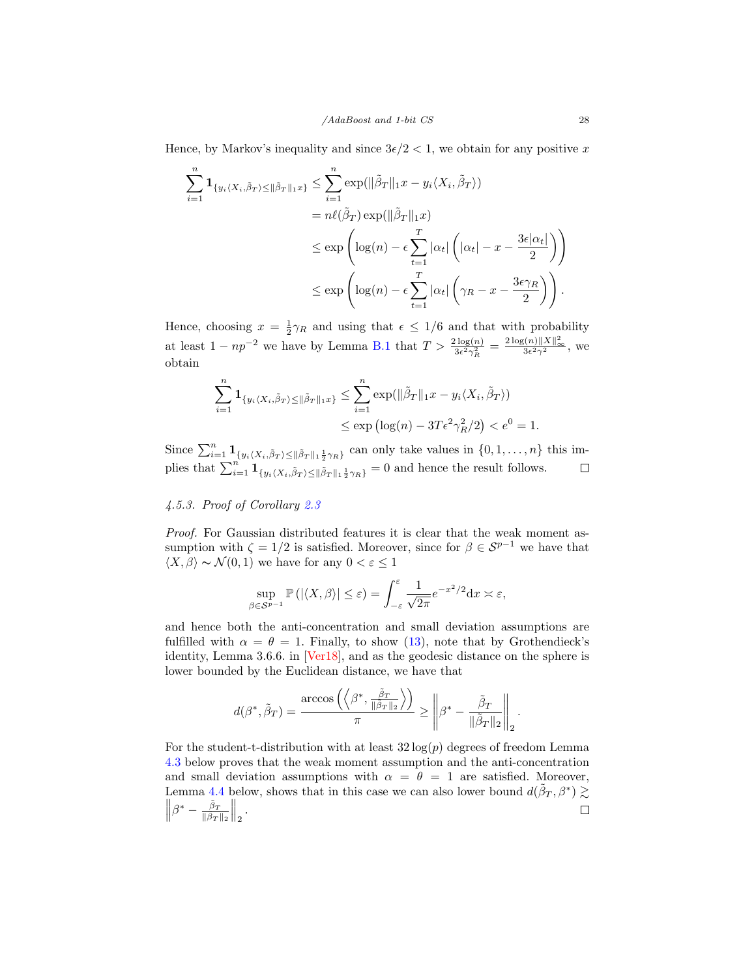Hence, by Markov's inequality and since  $3\epsilon/2 < 1$ , we obtain for any positive x

$$
\sum_{i=1}^{n} \mathbf{1}_{\{y_i \langle X_i, \tilde{\beta}_T \rangle \le \|\tilde{\beta}_T\|_1 x\}} \le \sum_{i=1}^{n} \exp(\|\tilde{\beta}_T\|_1 x - y_i \langle X_i, \tilde{\beta}_T \rangle)
$$
  
\n
$$
= n\ell(\tilde{\beta}_T) \exp(\|\tilde{\beta}_T\|_1 x)
$$
  
\n
$$
\le \exp\left(\log(n) - \epsilon \sum_{t=1}^{T} |\alpha_t| \left(|\alpha_t| - x - \frac{3\epsilon |\alpha_t|}{2}\right)\right)
$$
  
\n
$$
\le \exp\left(\log(n) - \epsilon \sum_{t=1}^{T} |\alpha_t| \left(\gamma_R - x - \frac{3\epsilon \gamma_R}{2}\right)\right).
$$

Hence, choosing  $x = \frac{1}{2}\gamma_R$  and using that  $\epsilon \leq 1/6$  and that with probability at least  $1 - np^{-2}$  we have by Lemma [B.1](#page-36-0) that  $T > \frac{2 \log(n)}{3\epsilon^2 \gamma_R^2} = \frac{2 \log(n) ||X||_{\infty}^2}{3\epsilon^2 \gamma^2}$ , we obtain

$$
\sum_{i=1}^{n} \mathbf{1}_{\{y_i \langle X_i, \tilde{\beta}_T \rangle \le \|\tilde{\beta}_T\|_1 x\}} \le \sum_{i=1}^{n} \exp(\|\tilde{\beta}_T\|_1 x - y_i \langle X_i, \tilde{\beta}_T \rangle)
$$
  

$$
\le \exp(\log(n) - 3T \epsilon^2 \gamma_R^2/2) < e^0 = 1.
$$

Since  $\sum_{i=1}^n \mathbf{1}_{\{y_i\langle X_i, \tilde{\beta}_T\rangle \leq ||\tilde{\beta}_T||_1\frac{1}{2}\gamma_R\}}$  can only take values in  $\{0, 1, \ldots, n\}$  this implies that  $\sum_{i=1}^{n} \mathbf{1}_{\{y_i \langle X_i, \tilde{\beta}_T \rangle \leq ||\tilde{\beta}_T||_1 \frac{1}{2} \gamma_R\}} = 0$  and hence the result follows.

#### 4.5.3. Proof of Corollary [2.3](#page-10-0)

Proof. For Gaussian distributed features it is clear that the weak moment assumption with  $\zeta = 1/2$  is satisfied. Moreover, since for  $\beta \in \mathcal{S}^{p-1}$  we have that  $\langle X, \beta \rangle \sim \mathcal{N}(0, 1)$  we have for any  $0 < \varepsilon \leq 1$ 

$$
\sup_{\beta \in \mathcal{S}^{p-1}} \mathbb{P}\left( |\langle X, \beta \rangle| \le \varepsilon \right) = \int_{-\varepsilon}^{\varepsilon} \frac{1}{\sqrt{2\pi}} e^{-x^2/2} dx \asymp \varepsilon,
$$

and hence both the anti-concentration and small deviation assumptions are fulfilled with  $\alpha = \theta = 1$ . Finally, to show [\(13\)](#page-10-1), note that by Grothendieck's identity, Lemma 3.6.6. in [\[Ver18\]](#page-34-14), and as the geodesic distance on the sphere is lower bounded by the Euclidean distance, we have that

$$
d(\beta^*, \tilde{\beta}_T) = \frac{\arccos\left(\left\langle \beta^*, \frac{\tilde{\beta}_T}{\|\tilde{\beta}_T\|_2} \right\rangle\right)}{\pi} \ge \left\| \beta^* - \frac{\tilde{\beta}_T}{\|\tilde{\beta}_T\|_2} \right\|_2
$$

.

For the student-t-distribution with at least  $32 \log(p)$  degrees of freedom Lemma [4.3](#page-28-0) below proves that the weak moment assumption and the anti-concentration and small deviation assumptions with  $\alpha = \theta = 1$  are satisfied. Moreover, Lemma [4.4](#page-29-0) below, shows that in this case we can also lower bound  $d(\tilde{\beta}_T, \beta^*) \gtrsim$  $\left\|\beta^* - \frac{\tilde{\beta}_T}{\|\tilde{\beta}_T\|} \right\|$  $\Big\|_2$  .  $\Box$  $\|\tilde{\beta}_T\|_2$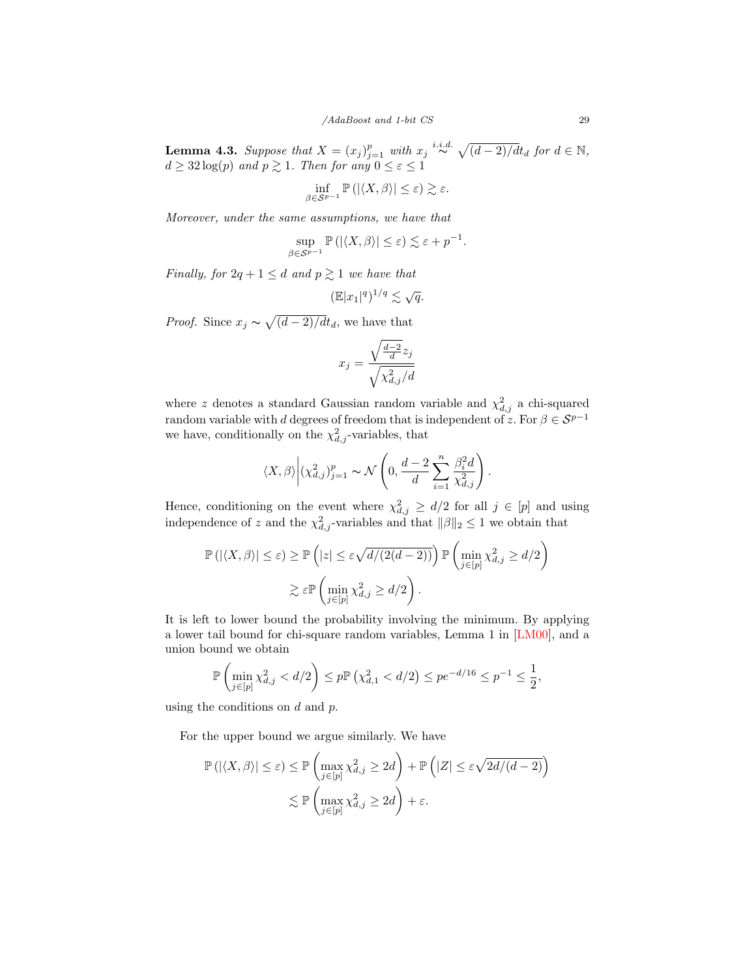<span id="page-28-0"></span>**Lemma 4.3.** Suppose that  $X = (x_j)_{j=1}^p$  with  $x_j \stackrel{i.i.d.}{\sim} \sqrt{(d-2)/dt_d}$  for  $d \in \mathbb{N}$ ,  $d \geq 32 \log(p)$  and  $p \geq 1$ . Then for any  $0 \leq \varepsilon \leq 1$ 

$$
\inf_{\beta \in \mathcal{S}^{p-1}} \mathbb{P}\left( |\langle X, \beta \rangle| \le \varepsilon \right) \gtrsim \varepsilon.
$$

Moreover, under the same assumptions, we have that

$$
\sup_{\beta \in \mathcal{S}^{p-1}} \mathbb{P}\left( |\langle X, \beta \rangle| \leq \varepsilon \right) \lesssim \varepsilon + p^{-1}.
$$

Finally, for  $2q + 1 \leq d$  and  $p \geq 1$  we have that

$$
(\mathbb{E}|x_1|^q)^{1/q} \lesssim \sqrt{q}.
$$

*Proof.* Since  $x_j \sim \sqrt{\frac{d-2}{dt_d}}$ , we have that

$$
x_j = \frac{\sqrt{\frac{d-2}{d}}z_j}{\sqrt{\chi^2_{d,j}/d}}
$$

where z denotes a standard Gaussian random variable and  $\chi^2_{d,j}$  a chi-squared random variable with d degrees of freedom that is independent of z. For  $\beta \in \mathcal{S}^{p-1}$ we have, conditionally on the  $\chi^2_{d,j}$ -variables, that

$$
\langle X, \beta \rangle \Big| (\chi_{d,j}^2)_{j=1}^p \sim \mathcal{N} \left( 0, \frac{d-2}{d} \sum_{i=1}^n \frac{\beta_i^2 d}{\chi_{d,j}^2} \right).
$$

Hence, conditioning on the event where  $\chi^2_{d,j} \geq d/2$  for all  $j \in [p]$  and using independence of z and the  $\chi^2_{d,j}$ -variables and that  $\|\beta\|_2 \leq 1$  we obtain that

$$
\mathbb{P}\left(|\langle X,\beta\rangle| \leq \varepsilon\right) \geq \mathbb{P}\left(|z| \leq \varepsilon\sqrt{d/(2(d-2))}\right) \mathbb{P}\left(\min_{j\in[p]} \chi_{d,j}^2 \geq d/2\right)
$$

$$
\gtrsim \varepsilon \mathbb{P}\left(\min_{j\in[p]} \chi_{d,j}^2 \geq d/2\right).
$$

It is left to lower bound the probability involving the minimum. By applying a lower tail bound for chi-square random variables, Lemma 1 in [\[LM00\]](#page-33-14), and a union bound we obtain

$$
\mathbb{P}\left(\min_{j\in[p]}\chi_{d,j}^2 < d/2\right) \le p \mathbb{P}\left(\chi_{d,1}^2 < d/2\right) \le p e^{-d/16} \le p^{-1} \le \frac{1}{2},
$$

using the conditions on  $d$  and  $p$ .

For the upper bound we argue similarly. We have

$$
\mathbb{P}\left(|\langle X,\beta\rangle|\leq\varepsilon\right)\leq \mathbb{P}\left(\max_{j\in[p]}\chi_{d,j}^2\geq 2d\right)+\mathbb{P}\left(|Z|\leq\varepsilon\sqrt{2d/(d-2)}\right)
$$

$$
\lesssim \mathbb{P}\left(\max_{j\in[p]}\chi_{d,j}^2\geq 2d\right)+\varepsilon.
$$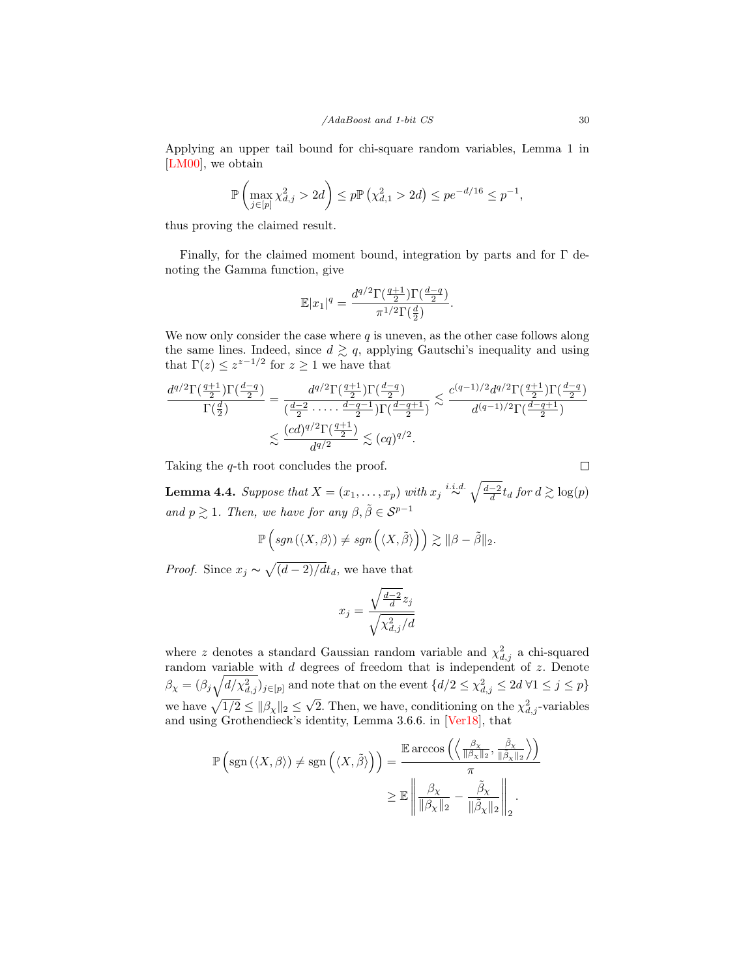Applying an upper tail bound for chi-square random variables, Lemma 1 in [\[LM00\]](#page-33-14), we obtain

$$
\mathbb{P}\left(\max_{j\in[p]} \chi_{d,j}^2 > 2d\right) \le p \mathbb{P}\left(\chi_{d,1}^2 > 2d\right) \le p e^{-d/16} \le p^{-1},
$$

thus proving the claimed result.

Finally, for the claimed moment bound, integration by parts and for  $\Gamma$  denoting the Gamma function, give

$$
\mathbb{E}|x_1|^q = \frac{d^{q/2}\Gamma(\frac{q+1}{2})\Gamma(\frac{d-q}{2})}{\pi^{1/2}\Gamma(\frac{d}{2})}.
$$

We now only consider the case where  $q$  is uneven, as the other case follows along the same lines. Indeed, since  $d \geq q$ , applying Gautschi's inequality and using that  $\Gamma(z) \leq z^{z-1/2}$  for  $z \geq 1$  we have that

$$
\frac{d^{q/2}\Gamma(\frac{q+1}{2})\Gamma(\frac{d-q}{2})}{\Gamma(\frac{d}{2})} = \frac{d^{q/2}\Gamma(\frac{q+1}{2})\Gamma(\frac{d-q}{2})}{(\frac{d-2}{2}\cdots\cdot\frac{d-q-1}{2})\Gamma(\frac{d-q+1}{2})} \lesssim \frac{c^{(q-1)/2}d^{q/2}\Gamma(\frac{q+1}{2})\Gamma(\frac{d-q}{2})}{d^{(q-1)/2}\Gamma(\frac{d-q+1}{2})}
$$
  

$$
\lesssim \frac{(cd)^{q/2}\Gamma(\frac{q+1}{2})}{d^{q/2}} \lesssim (cq)^{q/2}.
$$

Taking the q-th root concludes the proof.

<span id="page-29-0"></span>**Lemma 4.4.** Suppose that  $X = (x_1, \ldots, x_p)$  with  $x_j \stackrel{i.i.d.}{\sim} \sqrt{\frac{d-2}{d}} t_d$  for  $d \gtrsim \log(p)$ and  $p \gtrsim 1$ . Then, we have for any  $\beta, \tilde{\beta} \in \mathcal{S}^{p-1}$ 

$$
\mathbb{P}\left(sgn(\langle X,\beta\rangle)\neq sgn\left(\langle X,\tilde{\beta}\rangle\right)\right)\gtrsim \|\beta-\tilde{\beta}\|_2.
$$

*Proof.* Since  $x_j \sim \sqrt{\frac{d-2}{dt_d}}$ , we have that

$$
x_j = \frac{\sqrt{\frac{d-2}{d}}z_j}{\sqrt{\chi^2_{d,j}/d}}
$$

where z denotes a standard Gaussian random variable and  $\chi^2_{d,j}$  a chi-squared random variable with d degrees of freedom that is independent of z. Denote  $\beta_{\chi} = (\beta_j \sqrt{d/\chi_{d,j}^2})_{j \in [p]}$  and note that on the event  $\{d/2 \leq \chi_{d,j}^2 \leq 2d \forall 1 \leq j \leq p\}$ we have  $\sqrt{1/2} \le ||\beta_{\chi}||_2 \le \sqrt{2}$ . Then, we have, conditioning on the  $\chi^2_{d,j}$ -variables and using Grothendieck's identity, Lemma 3.6.6. in [\[Ver18\]](#page-34-14), that

$$
\mathbb{P}\left(\text{sgn}\left(\langle X,\beta\rangle\right)\neq \text{sgn}\left(\langle X,\tilde{\beta}\rangle\right)\right) = \frac{\mathbb{E}\arccos\left(\left\langle \frac{\beta_{\chi}}{\|\beta_{\chi}\|_{2}},\frac{\tilde{\beta}_{\chi}}{\|\tilde{\beta}_{\chi}\|_{2}}\right\rangle\right)}{\pi} \geq \mathbb{E}\left\|\frac{\beta_{\chi}}{\|\beta_{\chi}\|_{2}} - \frac{\tilde{\beta}_{\chi}}{\|\tilde{\beta}_{\chi}\|_{2}}\right\|_{2}.
$$

 $\Box$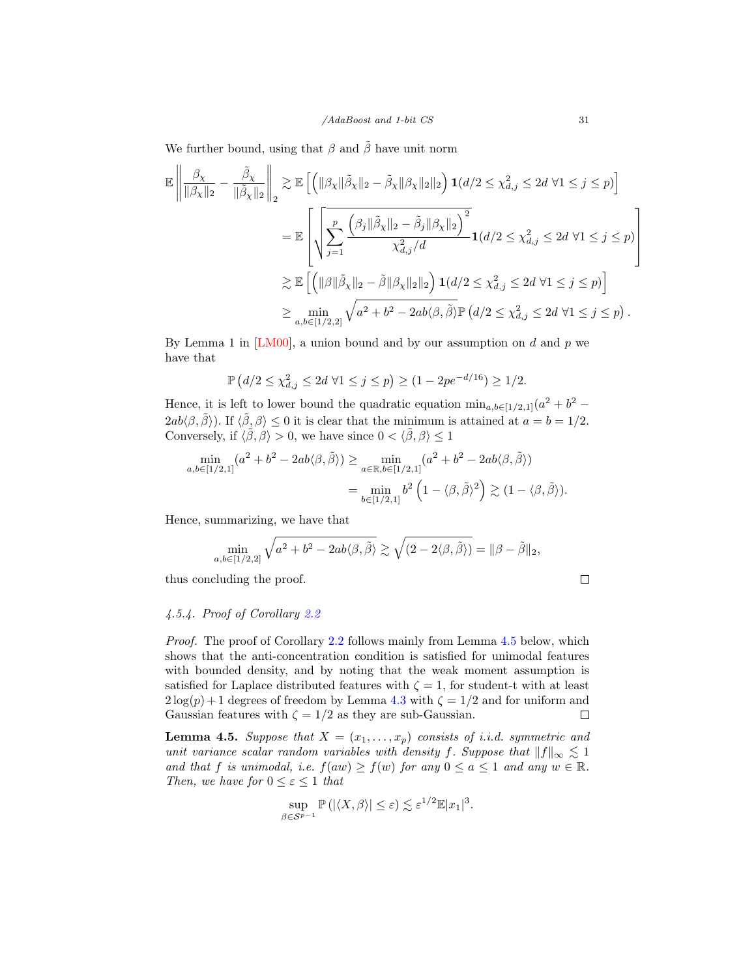We further bound, using that  $\beta$  and  $\tilde{\beta}$  have unit norm

$$
\mathbb{E}\left\|\frac{\beta_{\chi}}{\|\beta_{\chi}\|_2} - \frac{\tilde{\beta}_{\chi}}{\|\tilde{\beta}_{\chi}\|_2}\right\|_2 \geq \mathbb{E}\left[\left(\|\beta_{\chi}\|\tilde{\beta}_{\chi}\|_2 - \tilde{\beta}_{\chi}\|\beta_{\chi}\|_2\|\right)1(d/2 \leq \chi_{d,j}^2 \leq 2d \,\forall 1 \leq j \leq p)\right]
$$
\n
$$
= \mathbb{E}\left[\sqrt{\sum_{j=1}^p \frac{\left(\beta_j\|\tilde{\beta}_{\chi}\|_2 - \tilde{\beta}_j\|\beta_{\chi}\|_2\right)^2}{\chi_{d,j}^2/d}}1(d/2 \leq \chi_{d,j}^2 \leq 2d \,\forall 1 \leq j \leq p)\right]
$$
\n
$$
\geq \mathbb{E}\left[\left(\|\beta\|\tilde{\beta}_{\chi}\|_2 - \tilde{\beta}\|\beta_{\chi}\|_2\|\right)1(d/2 \leq \chi_{d,j}^2 \leq 2d \,\forall 1 \leq j \leq p)\right]
$$
\n
$$
\geq \min_{a,b \in [1/2,2]} \sqrt{a^2 + b^2 - 2ab\langle\beta,\tilde{\beta}\rangle} \mathbb{P}\left(d/2 \leq \chi_{d,j}^2 \leq 2d \,\forall 1 \leq j \leq p\right).
$$

By Lemma 1 in  $[LM00]$ , a union bound and by our assumption on d and p we have that

$$
\mathbb{P}\left(d/2 \le \chi_{d,j}^2 \le 2d \; \forall 1 \le j \le p\right) \ge (1 - 2pe^{-d/16}) \ge 1/2.
$$

Hence, it is left to lower bound the quadratic equation  $\min_{a,b\in[1/2,1]}(a^2+b^2 2ab\langle \beta, \tilde{\beta} \rangle$ ). If  $\langle \tilde{\beta}, \beta \rangle \leq 0$  it is clear that the minimum is attained at  $a = b = 1/2$ . Conversely, if  $\langle \tilde{\beta}, \beta \rangle > 0$ , we have since  $0 < \langle \tilde{\beta}, \beta \rangle \le 1$ 

$$
\min_{a,b\in[1/2,1]} (a^2+b^2-2ab\langle\beta,\tilde{\beta}\rangle) \ge \min_{a\in\mathbb{R},b\in[1/2,1]} (a^2+b^2-2ab\langle\beta,\tilde{\beta}\rangle)
$$

$$
=\min_{b\in[1/2,1]} b^2 \left(1-\langle\beta,\tilde{\beta}\rangle^2\right) \gtrsim (1-\langle\beta,\tilde{\beta}\rangle).
$$

Hence, summarizing, we have that

$$
\min_{a,b \in [1/2,2]} \sqrt{a^2 + b^2 - 2ab \langle \beta, \tilde{\beta} \rangle} \gtrsim \sqrt{(2 - 2 \langle \beta, \tilde{\beta} \rangle)} = ||\beta - \tilde{\beta}||_2,
$$

thus concluding the proof.

$$
\qquad \qquad \Box
$$

#### 4.5.4. Proof of Corollary [2.2](#page-10-2)

Proof. The proof of Corollary [2.2](#page-10-2) follows mainly from Lemma [4.5](#page-30-0) below, which shows that the anti-concentration condition is satisfied for unimodal features with bounded density, and by noting that the weak moment assumption is satisfied for Laplace distributed features with  $\zeta = 1$ , for student-t with at least  $2\log(p) + 1$  degrees of freedom by Lemma [4.3](#page-28-0) with  $\zeta = 1/2$  and for uniform and Gaussian features with  $\zeta = 1/2$  as they are sub-Gaussian.  $\Box$ 

<span id="page-30-0"></span>**Lemma 4.5.** Suppose that  $X = (x_1, \ldots, x_p)$  consists of i.i.d. symmetric and unit variance scalar random variables with density f. Suppose that  $||f||_{\infty} \lesssim 1$ and that f is unimodal, i.e.  $f(aw) \ge f(w)$  for any  $0 \le a \le 1$  and any  $w \in \mathbb{R}$ . Then, we have for  $0 \leq \varepsilon \leq 1$  that

$$
\sup_{\beta \in \mathcal{S}^{p-1}} \mathbb{P} \left( |\langle X, \beta \rangle| \le \varepsilon \right) \lesssim \varepsilon^{1/2} \mathbb{E} |x_1|^3.
$$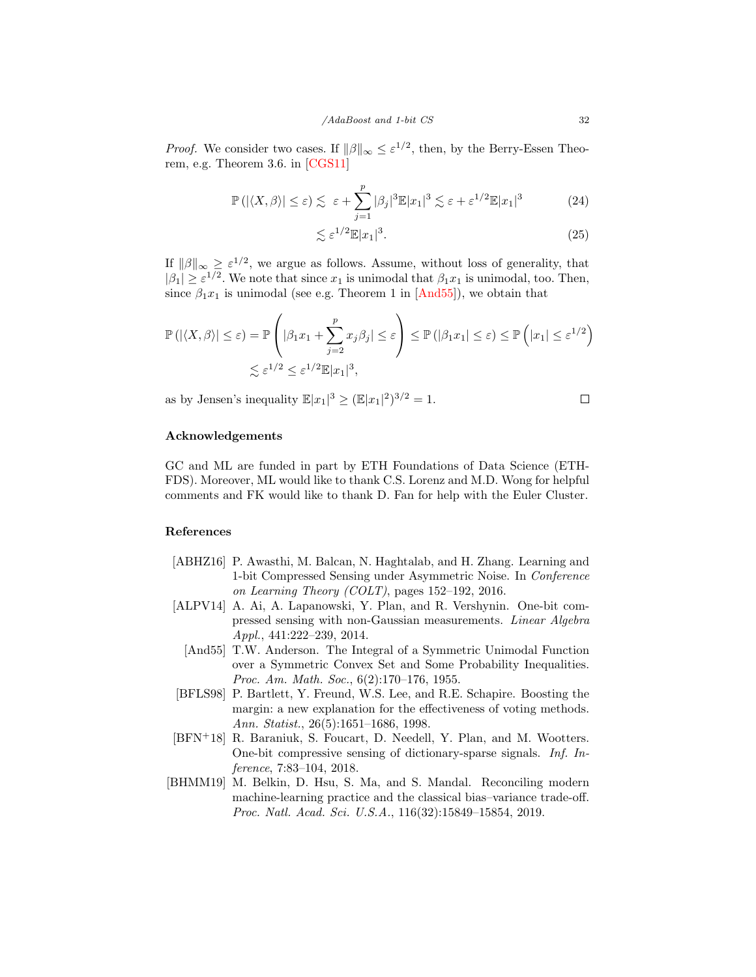*Proof.* We consider two cases. If  $\|\beta\|_{\infty} \leq \varepsilon^{1/2}$ , then, by the Berry-Essen Theorem, e.g. Theorem 3.6. in [\[CGS11\]](#page-32-17)

$$
\mathbb{P}\left(\left|\langle X,\beta\rangle\right|\leq\varepsilon\right)\lesssim\varepsilon+\sum_{j=1}^p|\beta_j|^3\mathbb{E}|x_1|^3\lesssim\varepsilon+\varepsilon^{1/2}\mathbb{E}|x_1|^3\tag{24}
$$

$$
\lesssim \varepsilon^{1/2} \mathbb{E}|x_1|^3. \tag{25}
$$

If  $\|\beta\|_{\infty} \geq \varepsilon^{1/2}$ , we argue as follows. Assume, without loss of generality, that  $|\beta_1| \geq \varepsilon^{1/2}$ . We note that since  $x_1$  is unimodal that  $\beta_1 x_1$  is unimodal, too. Then, since  $\beta_1 x_1$  is unimodal (see e.g. Theorem 1 in [\[And55\]](#page-31-5)), we obtain that

$$
\mathbb{P}(|\langle X,\beta\rangle| \leq \varepsilon) = \mathbb{P}\left(|\beta_1 x_1 + \sum_{j=2}^p x_j \beta_j| \leq \varepsilon\right) \leq \mathbb{P}(|\beta_1 x_1| \leq \varepsilon) \leq \mathbb{P}\left(|x_1| \leq \varepsilon^{1/2}\right)
$$
  

$$
\lesssim \varepsilon^{1/2} \leq \varepsilon^{1/2} \mathbb{E}|x_1|^3,
$$

as by Jensen's inequality  $\mathbb{E}|x_1|^3 \geq (\mathbb{E}|x_1|^2)^{3/2} = 1$ .

 $\Box$ 

## Acknowledgements

GC and ML are funded in part by ETH Foundations of Data Science (ETH-FDS). Moreover, ML would like to thank C.S. Lorenz and M.D. Wong for helpful comments and FK would like to thank D. Fan for help with the Euler Cluster.

#### References

- <span id="page-31-2"></span>[ABHZ16] P. Awasthi, M. Balcan, N. Haghtalab, and H. Zhang. Learning and 1-bit Compressed Sensing under Asymmetric Noise. In Conference on Learning Theory (COLT), pages 152–192, 2016.
- <span id="page-31-5"></span><span id="page-31-3"></span>[ALPV14] A. Ai, A. Lapanowski, Y. Plan, and R. Vershynin. One-bit compressed sensing with non-Gaussian measurements. Linear Algebra Appl., 441:222–239, 2014.
	- [And55] T.W. Anderson. The Integral of a Symmetric Unimodal Function over a Symmetric Convex Set and Some Probability Inequalities. Proc. Am. Math. Soc., 6(2):170–176, 1955.
- <span id="page-31-0"></span>[BFLS98] P. Bartlett, Y. Freund, W.S. Lee, and R.E. Schapire. Boosting the margin: a new explanation for the effectiveness of voting methods. Ann. Statist., 26(5):1651–1686, 1998.
- <span id="page-31-4"></span>[BFN<sup>+</sup>18] R. Baraniuk, S. Foucart, D. Needell, Y. Plan, and M. Wootters. One-bit compressive sensing of dictionary-sparse signals. Inf. Inference, 7:83–104, 2018.
- <span id="page-31-1"></span>[BHMM19] M. Belkin, D. Hsu, S. Ma, and S. Mandal. Reconciling modern machine-learning practice and the classical bias–variance trade-off. Proc. Natl. Acad. Sci. U.S.A., 116(32):15849–15854, 2019.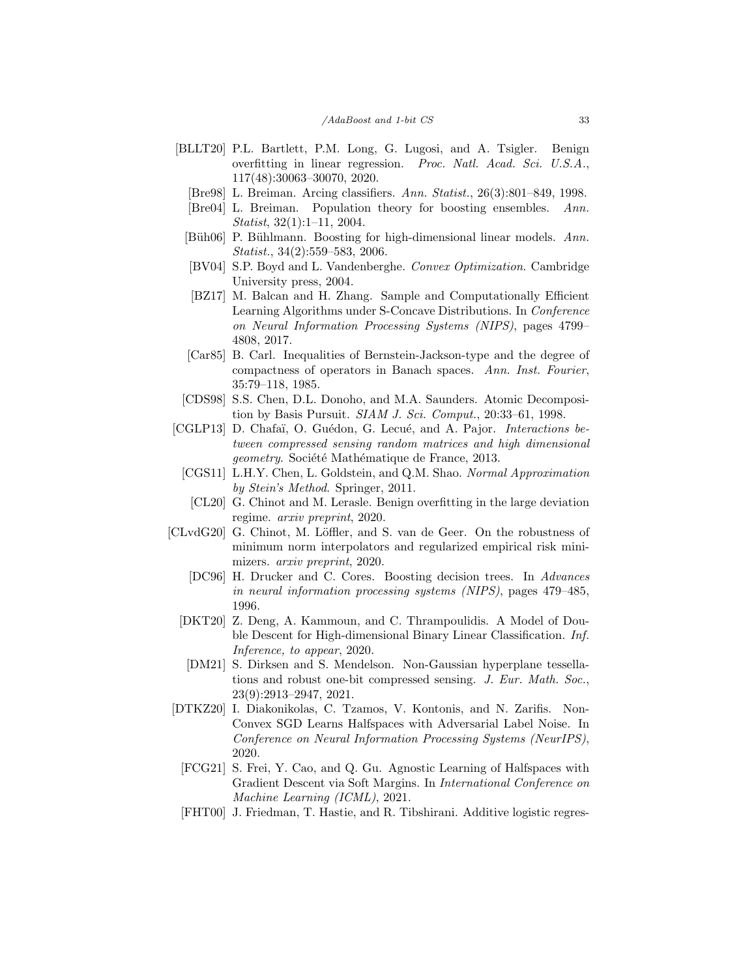- <span id="page-32-16"></span><span id="page-32-6"></span><span id="page-32-4"></span><span id="page-32-3"></span><span id="page-32-0"></span>[BLLT20] P.L. Bartlett, P.M. Long, G. Lugosi, and A. Tsigler. Benign overfitting in linear regression. Proc. Natl. Acad. Sci. U.S.A., 117(48):30063–30070, 2020.
	- [Bre98] L. Breiman. Arcing classifiers. Ann. Statist., 26(3):801–849, 1998.
	- [Bre04] L. Breiman. Population theory for boosting ensembles. Ann. Statist, 32(1):1–11, 2004.
	- [Büh06] P. Bühlmann. Boosting for high-dimensional linear models. Ann. Statist., 34(2):559–583, 2006.
	- [BV04] S.P. Boyd and L. Vandenberghe. Convex Optimization. Cambridge University press, 2004.
	- [BZ17] M. Balcan and H. Zhang. Sample and Computationally Efficient Learning Algorithms under S-Concave Distributions. In Conference on Neural Information Processing Systems (NIPS), pages 4799– 4808, 2017.
	- [Car85] B. Carl. Inequalities of Bernstein-Jackson-type and the degree of compactness of operators in Banach spaces. Ann. Inst. Fourier, 35:79–118, 1985.
- <span id="page-32-14"></span><span id="page-32-11"></span><span id="page-32-8"></span>[CDS98] S.S. Chen, D.L. Donoho, and M.A. Saunders. Atomic Decomposition by Basis Pursuit. SIAM J. Sci. Comput., 20:33-61, 1998.
- <span id="page-32-17"></span><span id="page-32-15"></span>[CGLP13] D. Chafaï, O. Guédon, G. Lecué, and A. Pajor. *Interactions be*tween compressed sensing random matrices and high dimensional *geometry.* Société Mathématique de France, 2013.
	- [CGS11] L.H.Y. Chen, L. Goldstein, and Q.M. Shao. Normal Approximation by Stein's Method. Springer, 2011.
	- [CL20] G. Chinot and M. Lerasle. Benign overfitting in the large deviation regime. arxiv preprint, 2020.
- <span id="page-32-9"></span><span id="page-32-7"></span><span id="page-32-5"></span><span id="page-32-2"></span>[CLvdG20] G. Chinot, M. Löffler, and S. van de Geer. On the robustness of minimum norm interpolators and regularized empirical risk minimizers. arxiv preprint, 2020.
	- [DC96] H. Drucker and C. Cores. Boosting decision trees. In Advances in neural information processing systems (NIPS), pages 479–485, 1996.
	- [DKT20] Z. Deng, A. Kammoun, and C. Thrampoulidis. A Model of Double Descent for High-dimensional Binary Linear Classification. Inf. Inference, to appear, 2020.
	- [DM21] S. Dirksen and S. Mendelson. Non-Gaussian hyperplane tessellations and robust one-bit compressed sensing. J. Eur. Math. Soc., 23(9):2913–2947, 2021.
- <span id="page-32-12"></span><span id="page-32-10"></span>[DTKZ20] I. Diakonikolas, C. Tzamos, V. Kontonis, and N. Zarifis. Non-Convex SGD Learns Halfspaces with Adversarial Label Noise. In Conference on Neural Information Processing Systems (NeurIPS), 2020.
	- [FCG21] S. Frei, Y. Cao, and Q. Gu. Agnostic Learning of Halfspaces with Gradient Descent via Soft Margins. In International Conference on Machine Learning (ICML), 2021.
- <span id="page-32-13"></span><span id="page-32-1"></span>[FHT00] J. Friedman, T. Hastie, and R. Tibshirani. Additive logistic regres-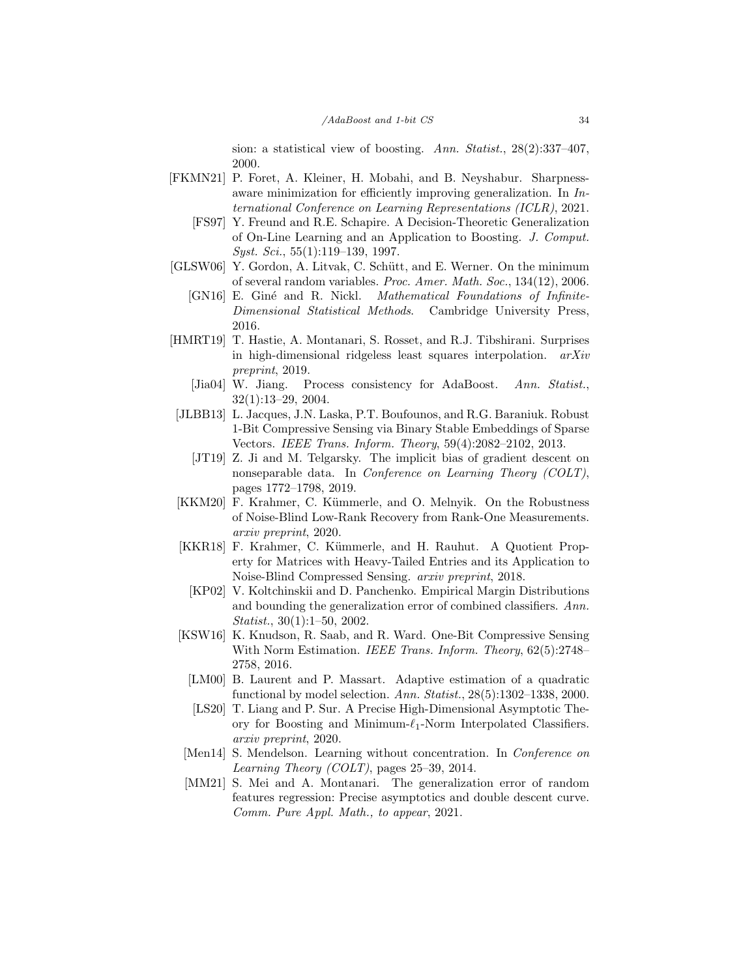sion: a statistical view of boosting. Ann. Statist., 28(2):337-407, 2000.

- <span id="page-33-7"></span><span id="page-33-0"></span>[FKMN21] P. Foret, A. Kleiner, H. Mobahi, and B. Neyshabur. Sharpnessaware minimization for efficiently improving generalization. In International Conference on Learning Representations (ICLR), 2021.
	- [FS97] Y. Freund and R.E. Schapire. A Decision-Theoretic Generalization of On-Line Learning and an Application to Boosting. J. Comput. Syst. Sci., 55(1):119–139, 1997.
- <span id="page-33-13"></span><span id="page-33-12"></span>[GLSW06] Y. Gordon, A. Litvak, C. Schütt, and E. Werner. On the minimum of several random variables. Proc. Amer. Math. Soc., 134(12), 2006.
	- [GN16] E. Giné and R. Nickl. *Mathematical Foundations of Infinite-*Dimensional Statistical Methods. Cambridge University Press, 2016.
- <span id="page-33-6"></span>[HMRT19] T. Hastie, A. Montanari, S. Rosset, and R.J. Tibshirani. Surprises in high-dimensional ridgeless least squares interpolation. arXiv preprint, 2019.
	- [Jia04] W. Jiang. Process consistency for AdaBoost. Ann. Statist., 32(1):13–29, 2004.
- <span id="page-33-10"></span><span id="page-33-3"></span><span id="page-33-2"></span>[JLBB13] L. Jacques, J.N. Laska, P.T. Boufounos, and R.G. Baraniuk. Robust 1-Bit Compressive Sensing via Binary Stable Embeddings of Sparse Vectors. IEEE Trans. Inform. Theory, 59(4):2082–2102, 2013.
	- [JT19] Z. Ji and M. Telgarsky. The implicit bias of gradient descent on nonseparable data. In *Conference on Learning Theory (COLT)*, pages 1772–1798, 2019.
- <span id="page-33-8"></span>[KKM20] F. Krahmer, C. Kümmerle, and O. Melnyik. On the Robustness of Noise-Blind Low-Rank Recovery from Rank-One Measurements. arxiv preprint, 2020.
- <span id="page-33-9"></span><span id="page-33-1"></span>[KKR18] F. Krahmer, C. Kümmerle, and H. Rauhut. A Quotient Property for Matrices with Heavy-Tailed Entries and its Application to Noise-Blind Compressed Sensing. arxiv preprint, 2018.
	- [KP02] V. Koltchinskii and D. Panchenko. Empirical Margin Distributions and bounding the generalization error of combined classifiers. Ann. Statist., 30(1):1–50, 2002.
- <span id="page-33-14"></span><span id="page-33-11"></span>[KSW16] K. Knudson, R. Saab, and R. Ward. One-Bit Compressive Sensing With Norm Estimation. IEEE Trans. Inform. Theory, 62(5):2748– 2758, 2016.
	- [LM00] B. Laurent and P. Massart. Adaptive estimation of a quadratic functional by model selection. Ann. Statist., 28(5):1302–1338, 2000.
	- [LS20] T. Liang and P. Sur. A Precise High-Dimensional Asymptotic Theory for Boosting and Minimum- $\ell_1$ -Norm Interpolated Classifiers. arxiv preprint, 2020.
- <span id="page-33-15"></span><span id="page-33-4"></span>[Men14] S. Mendelson. Learning without concentration. In *Conference on* Learning Theory (COLT), pages 25–39, 2014.
- <span id="page-33-5"></span>[MM21] S. Mei and A. Montanari. The generalization error of random features regression: Precise asymptotics and double descent curve. Comm. Pure Appl. Math., to appear, 2021.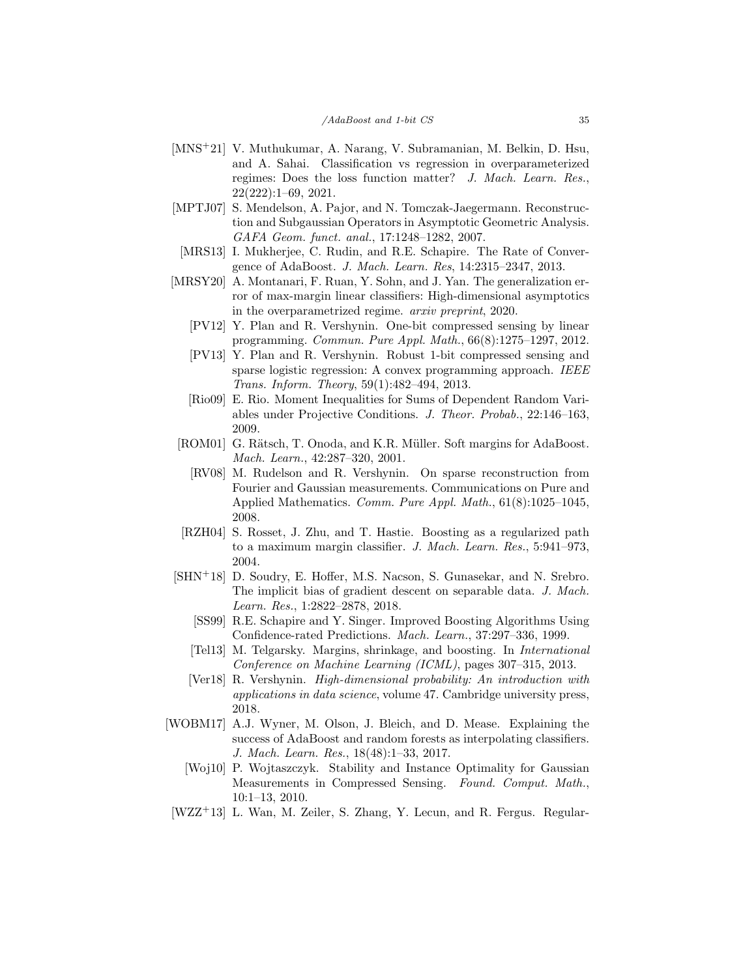- <span id="page-34-8"></span>[MNS+21] V. Muthukumar, A. Narang, V. Subramanian, M. Belkin, D. Hsu, and A. Sahai. Classification vs regression in overparameterized regimes: Does the loss function matter? J. Mach. Learn. Res., 22(222):1–69, 2021.
- <span id="page-34-16"></span>[MPTJ07] S. Mendelson, A. Pajor, and N. Tomczak-Jaegermann. Reconstruction and Subgaussian Operators in Asymptotic Geometric Analysis. GAFA Geom. funct. anal., 17:1248–1282, 2007.
- <span id="page-34-3"></span>[MRS13] I. Mukherjee, C. Rudin, and R.E. Schapire. The Rate of Convergence of AdaBoost. J. Mach. Learn. Res, 14:2315–2347, 2013.
- <span id="page-34-12"></span><span id="page-34-11"></span><span id="page-34-7"></span>[MRSY20] A. Montanari, F. Ruan, Y. Sohn, and J. Yan. The generalization error of max-margin linear classifiers: High-dimensional asymptotics in the overparametrized regime. arxiv preprint, 2020.
	- [PV12] Y. Plan and R. Vershynin. One-bit compressed sensing by linear programming. Commun. Pure Appl. Math., 66(8):1275–1297, 2012.
	- [PV13] Y. Plan and R. Vershynin. Robust 1-bit compressed sensing and sparse logistic regression: A convex programming approach. IEEE Trans. Inform. Theory, 59(1):482–494, 2013.
	- [Rio09] E. Rio. Moment Inequalities for Sums of Dependent Random Variables under Projective Conditions. J. Theor. Probab., 22:146–163, 2009.
- <span id="page-34-15"></span><span id="page-34-13"></span><span id="page-34-1"></span>[ROM01] G. Rätsch, T. Onoda, and K.R. Müller. Soft margins for AdaBoost. Mach. Learn., 42:287–320, 2001.
	- [RV08] M. Rudelson and R. Vershynin. On sparse reconstruction from Fourier and Gaussian measurements. Communications on Pure and Applied Mathematics. Comm. Pure Appl. Math., 61(8):1025–1045, 2008.
- <span id="page-34-2"></span>[RZH04] S. Rosset, J. Zhu, and T. Hastie. Boosting as a regularized path to a maximum margin classifier. J. Mach. Learn. Res., 5:941–973, 2004.
- <span id="page-34-6"></span><span id="page-34-4"></span><span id="page-34-0"></span>[SHN+18] D. Soudry, E. Hoffer, M.S. Nacson, S. Gunasekar, and N. Srebro. The implicit bias of gradient descent on separable data. J. Mach. Learn. Res., 1:2822–2878, 2018.
	- [SS99] R.E. Schapire and Y. Singer. Improved Boosting Algorithms Using Confidence-rated Predictions. Mach. Learn., 37:297–336, 1999.
	- [Tel13] M. Telgarsky. Margins, shrinkage, and boosting. In International Conference on Machine Learning (ICML), pages 307–315, 2013.
	- [Ver18] R. Vershynin. High-dimensional probability: An introduction with applications in data science, volume 47. Cambridge university press, 2018.
- <span id="page-34-14"></span><span id="page-34-10"></span><span id="page-34-5"></span>[WOBM17] A.J. Wyner, M. Olson, J. Bleich, and D. Mease. Explaining the success of AdaBoost and random forests as interpolating classifiers. J. Mach. Learn. Res., 18(48):1–33, 2017.
	- [Woj10] P. Wojtaszczyk. Stability and Instance Optimality for Gaussian Measurements in Compressed Sensing. Found. Comput. Math., 10:1–13, 2010.
- <span id="page-34-9"></span>[WZZ<sup>+</sup>13] L. Wan, M. Zeiler, S. Zhang, Y. Lecun, and R. Fergus. Regular-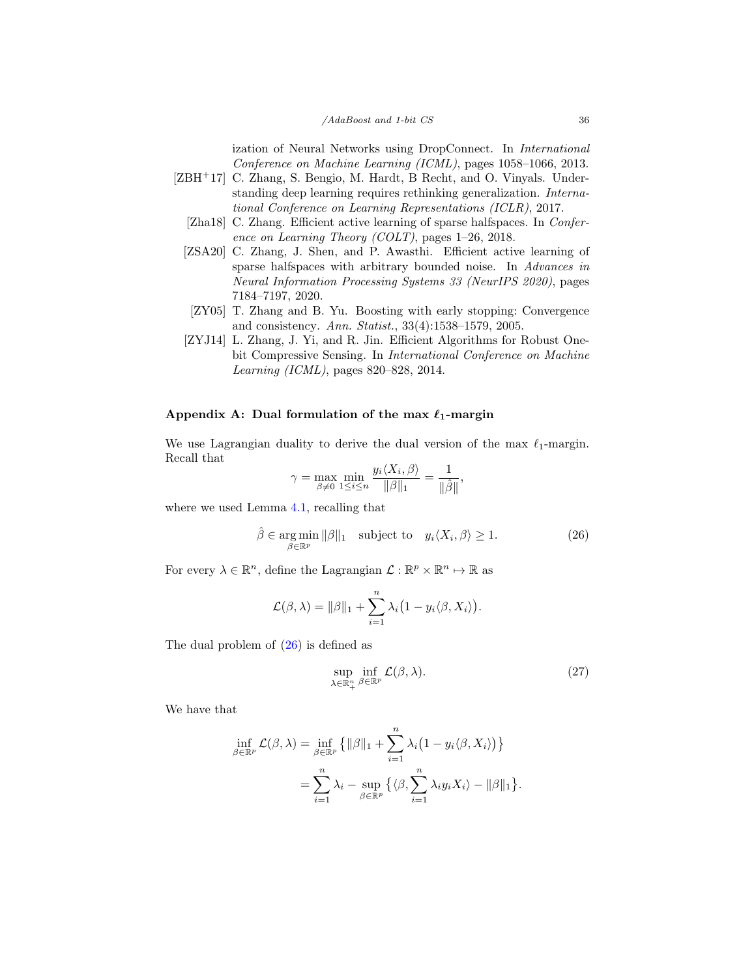ization of Neural Networks using DropConnect. In International Conference on Machine Learning (ICML), pages 1058–1066, 2013.

- <span id="page-35-4"></span><span id="page-35-3"></span><span id="page-35-2"></span>[ZBH+17] C. Zhang, S. Bengio, M. Hardt, B Recht, and O. Vinyals. Understanding deep learning requires rethinking generalization. International Conference on Learning Representations (ICLR), 2017.
	- [Zha18] C. Zhang. Efficient active learning of sparse halfspaces. In *Confer*ence on Learning Theory (COLT), pages 1–26, 2018.
	- [ZSA20] C. Zhang, J. Shen, and P. Awasthi. Efficient active learning of sparse halfspaces with arbitrary bounded noise. In Advances in Neural Information Processing Systems 33 (NeurIPS 2020), pages 7184–7197, 2020.
	- [ZY05] T. Zhang and B. Yu. Boosting with early stopping: Convergence and consistency. Ann. Statist., 33(4):1538–1579, 2005.
	- [ZYJ14] L. Zhang, J. Yi, and R. Jin. Efficient Algorithms for Robust Onebit Compressive Sensing. In International Conference on Machine Learning (ICML), pages 820–828, 2014.

## <span id="page-35-5"></span><span id="page-35-1"></span><span id="page-35-0"></span>Appendix A: Dual formulation of the max  $\ell_1$ -margin

We use Lagrangian duality to derive the dual version of the max  $\ell_1$ -margin. Recall that

$$
\gamma = \max_{\beta \neq 0} \min_{1 \leq i \leq n} \frac{y_i \langle X_i, \beta \rangle}{\|\beta\|_1} = \frac{1}{\|\hat{\beta}\|},
$$

where we used Lemma [4.1,](#page-15-0) recalling that

<span id="page-35-6"></span>
$$
\hat{\beta} \in \underset{\beta \in \mathbb{R}^p}{\text{arg min}} \|\beta\|_1 \quad \text{subject to} \quad y_i \langle X_i, \beta \rangle \ge 1. \tag{26}
$$

For every  $\lambda \in \mathbb{R}^n$ , define the Lagrangian  $\mathcal{L} : \mathbb{R}^p \times \mathbb{R}^n \mapsto \mathbb{R}$  as

$$
\mathcal{L}(\beta,\lambda) = \|\beta\|_1 + \sum_{i=1}^n \lambda_i (1 - y_i \langle \beta, X_i \rangle).
$$

The dual problem of  $(26)$  is defined as

<span id="page-35-7"></span>
$$
\sup_{\lambda \in \mathbb{R}_+^n} \inf_{\beta \in \mathbb{R}^p} \mathcal{L}(\beta, \lambda). \tag{27}
$$

We have that

$$
\inf_{\beta \in \mathbb{R}^p} \mathcal{L}(\beta, \lambda) = \inf_{\beta \in \mathbb{R}^p} \{ ||\beta||_1 + \sum_{i=1}^n \lambda_i (1 - y_i \langle \beta, X_i \rangle) \}
$$
  
= 
$$
\sum_{i=1}^n \lambda_i - \sup_{\beta \in \mathbb{R}^p} \{ \langle \beta, \sum_{i=1}^n \lambda_i y_i X_i \rangle - ||\beta||_1 \}.
$$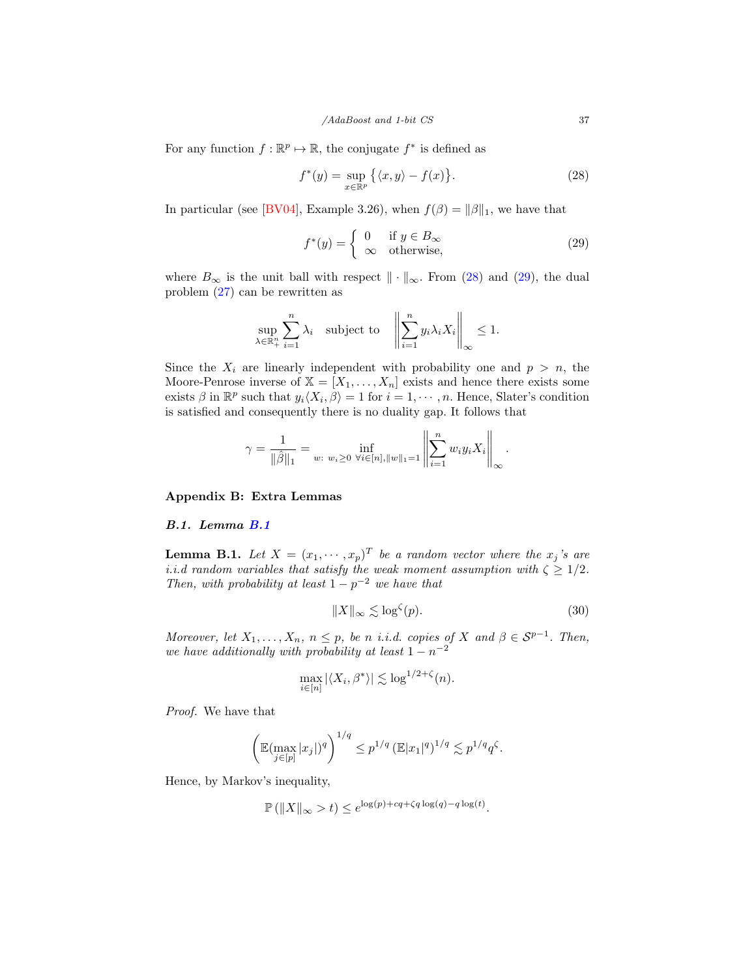For any function  $f : \mathbb{R}^p \to \mathbb{R}$ , the conjugate  $f^*$  is defined as

<span id="page-36-1"></span>
$$
f^*(y) = \sup_{x \in \mathbb{R}^p} \left\{ \langle x, y \rangle - f(x) \right\}.
$$
 (28)

In particular (see [\[BV04\]](#page-32-16), Example 3.26), when  $f(\beta) = ||\beta||_1$ , we have that

<span id="page-36-2"></span>
$$
f^*(y) = \begin{cases} 0 & \text{if } y \in B_\infty \\ \infty & \text{otherwise,} \end{cases}
$$
 (29)

where  $B_{\infty}$  is the unit ball with respect  $\|\cdot\|_{\infty}$ . From [\(28\)](#page-36-1) and [\(29\)](#page-36-2), the dual problem [\(27\)](#page-35-7) can be rewritten as

$$
\sup_{\lambda \in \mathbb{R}_+^n} \sum_{i=1}^n \lambda_i \quad \text{subject to} \quad \left\| \sum_{i=1}^n y_i \lambda_i X_i \right\|_{\infty} \le 1.
$$

Since the  $X_i$  are linearly independent with probability one and  $p > n$ , the Moore-Penrose inverse of  $X = [X_1, \ldots, X_n]$  exists and hence there exists some exists  $\beta$  in  $\mathbb{R}^p$  such that  $y_i\langle X_i, \beta \rangle = 1$  for  $i = 1, \dots, n$ . Hence, Slater's condition is satisfied and consequently there is no duality gap. It follows that

$$
\gamma = \frac{1}{\|\hat{\beta}\|_1} = \inf_{w: \ w_i \ge 0} \inf_{\forall i \in [n], \|w\|_1 = 1} \left\| \sum_{i=1}^n w_i y_i X_i \right\|_{\infty}.
$$

Appendix B: Extra Lemmas

#### B.1. Lemma [B.1](#page-36-0)

<span id="page-36-0"></span>**Lemma B.1.** Let  $X = (x_1, \dots, x_p)^T$  be a random vector where the  $x_j$ 's are i.i.d random variables that satisfy the weak moment assumption with  $\zeta \geq 1/2$ . Then, with probability at least  $1 - p^{-2}$  we have that

$$
||X||_{\infty} \lesssim \log^{\zeta}(p). \tag{30}
$$

Moreover, let  $X_1, \ldots, X_n$ ,  $n \leq p$ , be n i.i.d. copies of X and  $\beta \in S^{p-1}$ . Then, we have additionally with probability at least  $1 - n^{-2}$ 

$$
\max_{i \in [n]} |\langle X_i, \beta^* \rangle| \lesssim \log^{1/2 + \zeta}(n).
$$

Proof. We have that

$$
\left(\mathbb{E}(\max_{j\in[p]}|x_j|)^q\right)^{1/q} \leq p^{1/q} \left(\mathbb{E}|x_1|^q\right)^{1/q} \lesssim p^{1/q}q^{\zeta}.
$$

Hence, by Markov's inequality,

$$
\mathbb{P}\left(\|X\|_{\infty} > t\right) \le e^{\log(p) + cq + \zeta q \log(q) - q \log(t)}.
$$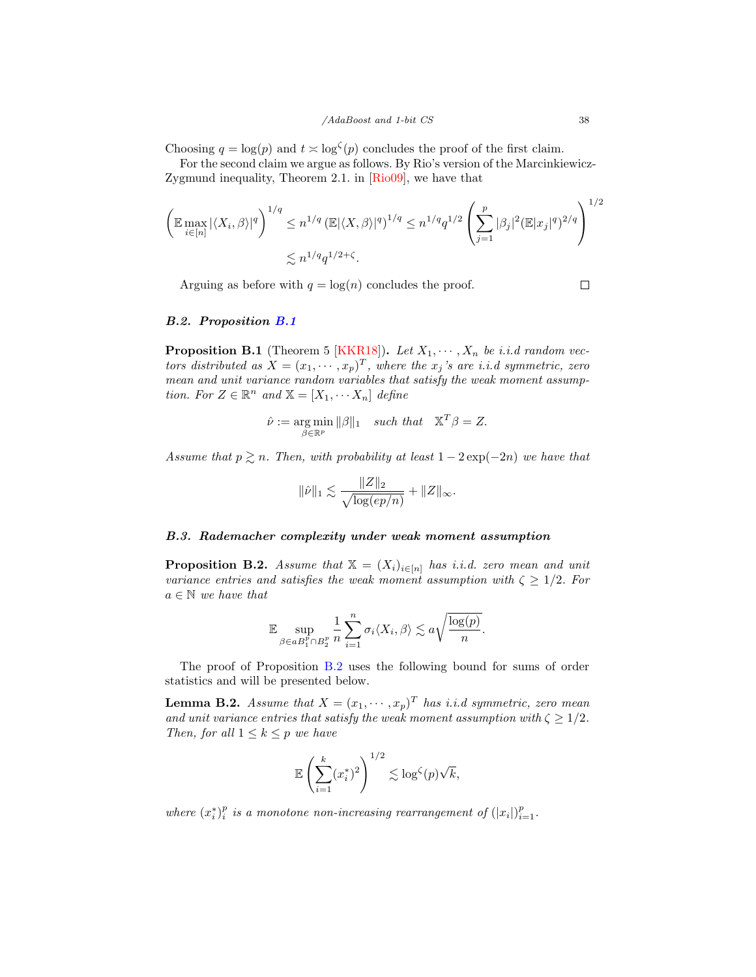Choosing  $q = \log(p)$  and  $t \geq \log^{\zeta}(p)$  concludes the proof of the first claim.

For the second claim we argue as follows. By Rio's version of the Marcinkiewicz-Zygmund inequality, Theorem 2.1. in [\[Rio09\]](#page-34-15), we have that

$$
\left(\mathbb{E} \max_{i \in [n]} |\langle X_i, \beta \rangle|^q\right)^{1/q} \leq n^{1/q} \left(\mathbb{E} |\langle X, \beta \rangle|^q\right)^{1/q} \leq n^{1/q} q^{1/2} \left(\sum_{j=1}^p |\beta_j|^2 (\mathbb{E} |x_j|^q)^{2/q}\right)^{1/2}
$$
  

$$
\lesssim n^{1/q} q^{1/2+\zeta}.
$$

Arguing as before with  $q = \log(n)$  concludes the proof.

 $\Box$ 

#### B.2. Proposition [B.1](#page-37-0)

<span id="page-37-0"></span>**Proposition B.1** (Theorem 5 [\[KKR18\]](#page-33-9)). Let  $X_1, \dots, X_n$  be i.i.d random vectors distributed as  $X = (x_1, \dots, x_p)^T$ , where the  $x_j$ 's are i.i.d symmetric, zero mean and unit variance random variables that satisfy the weak moment assumption. For  $Z \in \mathbb{R}^n$  and  $\mathbb{X} = [X_1, \cdots X_n]$  define

$$
\hat{\nu} := \underset{\beta \in \mathbb{R}^p}{\arg \min} \|\beta\|_1 \quad such \; that \quad \mathbb{X}^T \beta = Z.
$$

Assume that  $p \gtrsim n$ . Then, with probability at least  $1 - 2 \exp(-2n)$  we have that

$$
\|\hat{\nu}\|_1 \lesssim \frac{\|Z\|_2}{\sqrt{\log(ep/n)}} + \|Z\|_{\infty}.
$$

#### B.3. Rademacher complexity under weak moment assumption

<span id="page-37-1"></span>**Proposition B.2.** Assume that  $X = (X_i)_{i \in [n]}$  has i.i.d. zero mean and unit variance entries and satisfies the weak moment assumption with  $\zeta \geq 1/2$ . For  $a \in \mathbb{N}$  we have that

$$
\mathbb{E} \sup_{\beta \in aB_1^p \cap B_2^p} \frac{1}{n} \sum_{i=1}^n \sigma_i \langle X_i, \beta \rangle \lesssim a \sqrt{\frac{\log(p)}{n}}.
$$

The proof of Proposition [B.2](#page-37-1) uses the following bound for sums of order statistics and will be presented below.

<span id="page-37-2"></span>**Lemma B.2.** Assume that  $X = (x_1, \dots, x_p)^T$  has i.i.d symmetric, zero mean and unit variance entries that satisfy the weak moment assumption with  $\zeta \geq 1/2$ . Then, for all  $1 \leq k \leq p$  we have

$$
\mathbb{E}\left(\sum_{i=1}^k (x_i^*)^2\right)^{1/2} \lesssim \log^{\zeta}(p)\sqrt{k},
$$

where  $(x_i^*)_i^p$  is a monotone non-increasing rearrangement of  $(|x_i|)_{i=1}^p$ .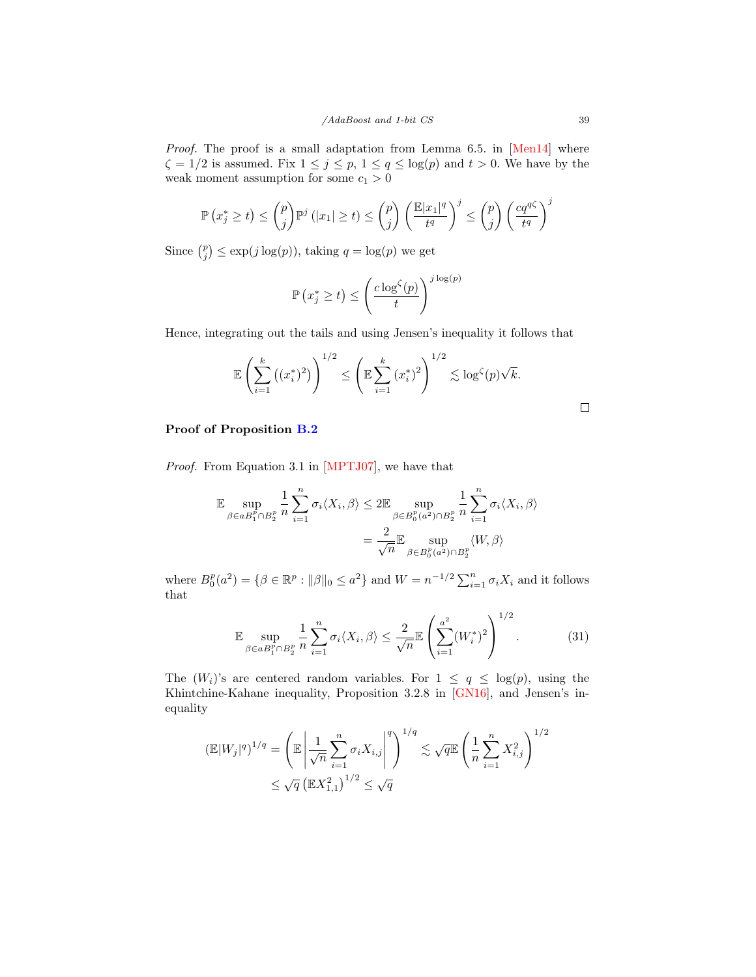Proof. The proof is a small adaptation from Lemma 6.5. in [\[Men14\]](#page-33-15) where  $\zeta = 1/2$  is assumed. Fix  $1 \leq j \leq p, 1 \leq q \leq \log(p)$  and  $t > 0$ . We have by the weak moment assumption for some  $c_1 > 0$ 

$$
\mathbb{P}\left(x_j^* \geq t\right) \leq \binom{p}{j} \mathbb{P}^j\left(|x_1| \geq t\right) \leq \binom{p}{j} \left(\frac{\mathbb{E}|x_1|^q}{t^q}\right)^j \leq \binom{p}{j} \left(\frac{cq^{q\zeta}}{t^q}\right)^j
$$

Since  $\binom{p}{j} \le \exp(j \log(p))$ , taking  $q = \log(p)$  we get

$$
\mathbb{P}\left(x_j^* \geq t\right) \leq \left(\frac{c \log^{\zeta}(p)}{t}\right)^{j \log(p)}
$$

Hence, integrating out the tails and using Jensen's inequality it follows that

$$
\mathbb{E}\left(\sum_{i=1}^k ((x_i^*)^2)\right)^{1/2} \le \left(\mathbb{E}\sum_{i=1}^k (x_i^*)^2\right)^{1/2} \lesssim \log^{\zeta}(p)\sqrt{k}.
$$

# Proof of Proposition [B.2](#page-37-1)

Proof. From Equation 3.1 in [\[MPTJ07\]](#page-34-16), we have that

$$
\mathbb{E} \sup_{\beta \in aB_1^p \cap B_2^p} \frac{1}{n} \sum_{i=1}^n \sigma_i \langle X_i, \beta \rangle \le 2 \mathbb{E} \sup_{\beta \in B_0^p(a^2) \cap B_2^p} \frac{1}{n} \sum_{i=1}^n \sigma_i \langle X_i, \beta \rangle
$$

$$
= \frac{2}{\sqrt{n}} \mathbb{E} \sup_{\beta \in B_0^p(a^2) \cap B_2^p} \langle W, \beta \rangle
$$

where  $B_0^p(a^2) = \{ \beta \in \mathbb{R}^p : ||\beta||_0 \leq a^2 \}$  and  $W = n^{-1/2} \sum_{i=1}^n \sigma_i X_i$  and it follows that

<span id="page-38-0"></span>
$$
\mathbb{E} \sup_{\beta \in aB_1^p \cap B_2^p} \frac{1}{n} \sum_{i=1}^n \sigma_i \langle X_i, \beta \rangle \le \frac{2}{\sqrt{n}} \mathbb{E} \left( \sum_{i=1}^{a^2} (W_i^*)^2 \right)^{1/2}.
$$
 (31)

The  $(W_i)$ 's are centered random variables. For  $1 \leq q \leq \log(p)$ , using the Khintchine-Kahane inequality, Proposition 3.2.8 in [\[GN16\]](#page-33-12), and Jensen's inequality

$$
(\mathbb{E}|W_j|^q)^{1/q} = \left(\mathbb{E}\left|\frac{1}{\sqrt{n}}\sum_{i=1}^n \sigma_i X_{i,j}\right|^q\right)^{1/q} \lesssim \sqrt{q} \mathbb{E}\left(\frac{1}{n}\sum_{i=1}^n X_{i,j}^2\right)^{1/2} \le \sqrt{q} \left(\mathbb{E}X_{1,1}^2\right)^{1/2} \le \sqrt{q}
$$